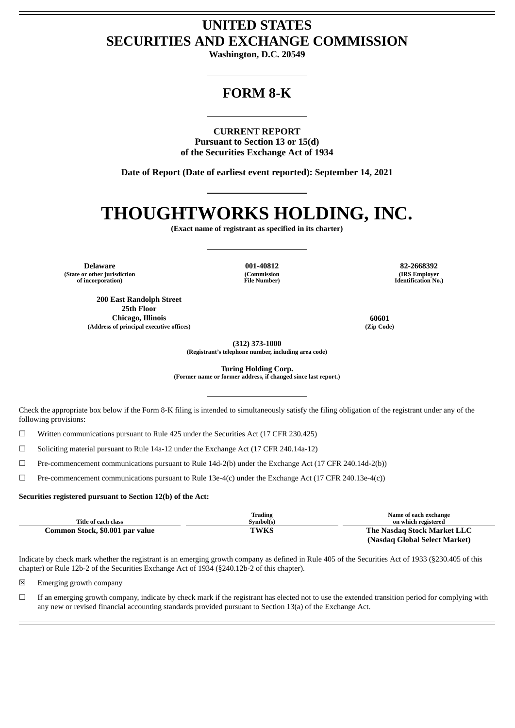# **UNITED STATES SECURITIES AND EXCHANGE COMMISSION**

**Washington, D.C. 20549**

# **FORM 8-K**

**CURRENT REPORT Pursuant to Section 13 or 15(d) of the Securities Exchange Act of 1934**

**Date of Report (Date of earliest event reported): September 14, 2021**

# **THOUGHTWORKS HOLDING, INC.**

**(Exact name of registrant as specified in its charter)**

**Delaware 001-40812 82-2668392 (State or other jurisdiction of incorporation)**

**200 East Randolph Street 25th Floor Chicago, Illinois 60601 (Address of principal executive offices) (Zip Code)**

**(Commission File Number)**

**(IRS Employer Identification No.)**

**(312) 373-1000**

**(Registrant's telephone number, including area code)**

**Turing Holding Corp.**

**(Former name or former address, if changed since last report.)**

Check the appropriate box below if the Form 8-K filing is intended to simultaneously satisfy the filing obligation of the registrant under any of the following provisions:

 $\Box$  Written communications pursuant to Rule 425 under the Securities Act (17 CFR 230.425)

☐ Soliciting material pursuant to Rule 14a-12 under the Exchange Act (17 CFR 240.14a-12)

☐ Pre-commencement communications pursuant to Rule 14d-2(b) under the Exchange Act (17 CFR 240.14d-2(b))

 $\Box$  Pre-commencement communications pursuant to Rule 13e-4(c) under the Exchange Act (17 CFR 240.13e-4(c))

#### **Securities registered pursuant to Section 12(b) of the Act:**

| Title of each class             | <b>Trading</b><br>Symbol(s) | Name of each exchange<br>on which registered |  |
|---------------------------------|-----------------------------|----------------------------------------------|--|
| Common Stock, \$0.001 par value | TWKS                        | The Nasdag Stock Market LLC                  |  |
|                                 |                             | (Nasdag Global Select Market)                |  |

Indicate by check mark whether the registrant is an emerging growth company as defined in Rule 405 of the Securities Act of 1933 (§230.405 of this chapter) or Rule 12b-2 of the Securities Exchange Act of 1934 (§240.12b-2 of this chapter).

☒ Emerging growth company

☐ If an emerging growth company, indicate by check mark if the registrant has elected not to use the extended transition period for complying with any new or revised financial accounting standards provided pursuant to Section 13(a) of the Exchange Act.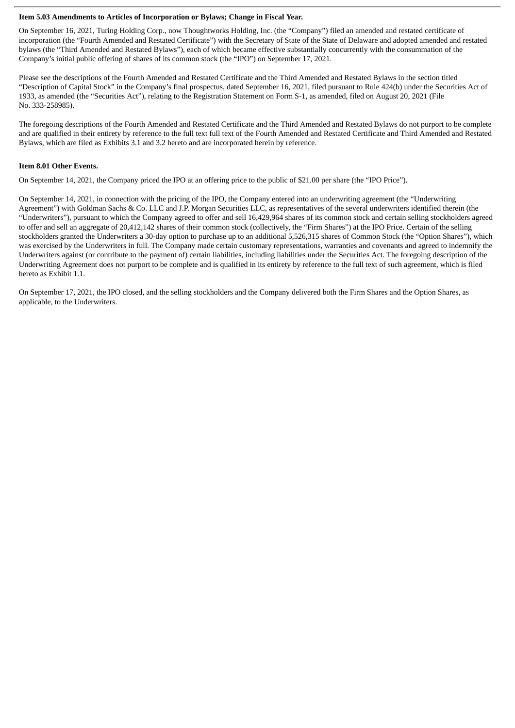## **Item 5.03 Amendments to Articles of Incorporation or Bylaws; Change in Fiscal Year.**

On September 16, 2021, Turing Holding Corp., now Thoughtworks Holding, Inc. (the "Company") filed an amended and restated certificate of incorporation (the "Fourth Amended and Restated Certificate") with the Secretary of State of the State of Delaware and adopted amended and restated bylaws (the "Third Amended and Restated Bylaws"), each of which became effective substantially concurrently with the consummation of the Company's initial public offering of shares of its common stock (the "IPO") on September 17, 2021.

Please see the descriptions of the Fourth Amended and Restated Certificate and the Third Amended and Restated Bylaws in the section titled "Description of Capital Stock" in the Company's final prospectus, dated September 16, 2021, filed pursuant to Rule 424(b) under the Securities Act of 1933, as amended (the "Securities Act"), relating to the Registration Statement on Form S-1, as amended, filed on August 20, 2021 (File No. 333-258985).

The foregoing descriptions of the Fourth Amended and Restated Certificate and the Third Amended and Restated Bylaws do not purport to be complete and are qualified in their entirety by reference to the full text full text of the Fourth Amended and Restated Certificate and Third Amended and Restated Bylaws, which are filed as Exhibits 3.1 and 3.2 hereto and are incorporated herein by reference.

## **Item 8.01 Other Events.**

On September 14, 2021, the Company priced the IPO at an offering price to the public of \$21.00 per share (the "IPO Price").

On September 14, 2021, in connection with the pricing of the IPO, the Company entered into an underwriting agreement (the "Underwriting Agreement") with Goldman Sachs & Co. LLC and J.P. Morgan Securities LLC, as representatives of the several underwriters identified therein (the "Underwriters"), pursuant to which the Company agreed to offer and sell 16,429,964 shares of its common stock and certain selling stockholders agreed to offer and sell an aggregate of 20,412,142 shares of their common stock (collectively, the "Firm Shares") at the IPO Price. Certain of the selling stockholders granted the Underwriters a 30-day option to purchase up to an additional 5,526,315 shares of Common Stock (the "Option Shares"), which was exercised by the Underwriters in full. The Company made certain customary representations, warranties and covenants and agreed to indemnify the Underwriters against (or contribute to the payment of) certain liabilities, including liabilities under the Securities Act. The foregoing description of the Underwriting Agreement does not purport to be complete and is qualified in its entirety by reference to the full text of such agreement, which is filed hereto as Exhibit 1.1.

On September 17, 2021, the IPO closed, and the selling stockholders and the Company delivered both the Firm Shares and the Option Shares, as applicable, to the Underwriters.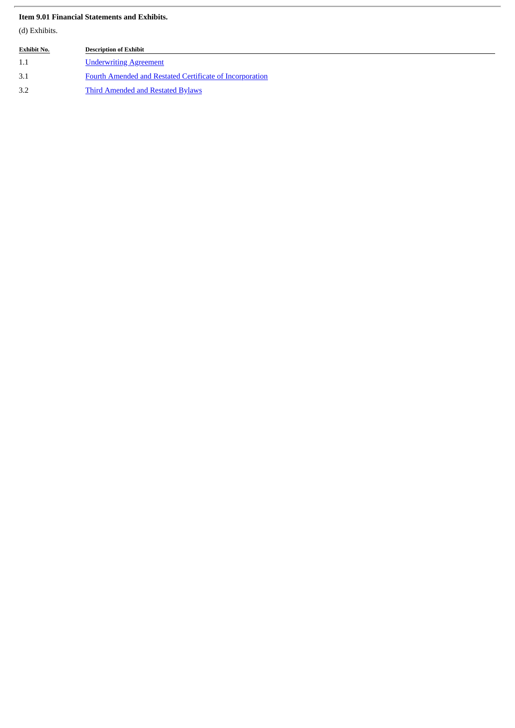# **Item 9.01 Financial Statements and Exhibits.**

(d) Exhibits.

| <b>Exhibit No.</b> | <b>Description of Exhibit</b>                                   |
|--------------------|-----------------------------------------------------------------|
| 1.1                | <b>Underwriting Agreement</b>                                   |
| 3.1                | <b>Fourth Amended and Restated Certificate of Incorporation</b> |
| 3.2                | <b>Third Amended and Restated Bylaws</b>                        |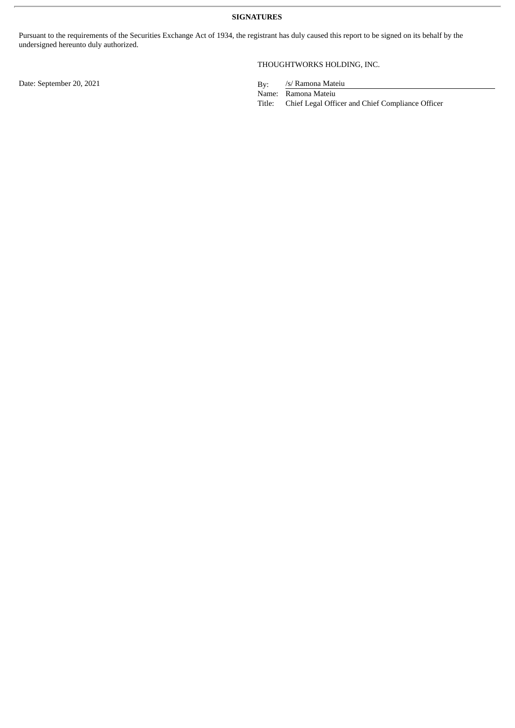Pursuant to the requirements of the Securities Exchange Act of 1934, the registrant has duly caused this report to be signed on its behalf by the undersigned hereunto duly authorized.

THOUGHTWORKS HOLDING, INC.

/s/ Ramona Mateiu

Name: Ramona Mateiu<br>Title: Chief Legal Offi Chief Legal Officer and Chief Compliance Officer

Date: September 20, 2021 By: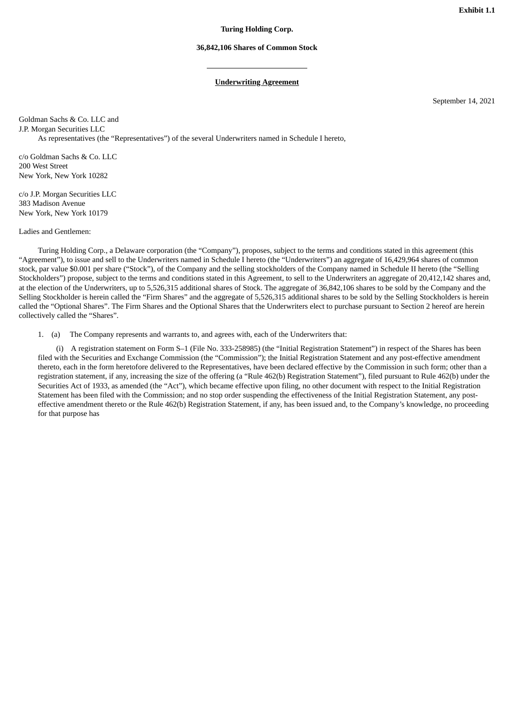#### **Turing Holding Corp.**

#### **36,842,106 Shares of Common Stock**

#### **Underwriting Agreement**

September 14, 2021

<span id="page-4-0"></span>Goldman Sachs & Co. LLC and J.P. Morgan Securities LLC As representatives (the "Representatives") of the several Underwriters named in Schedule I hereto,

c/o Goldman Sachs & Co. LLC 200 West Street New York, New York 10282

c/o J.P. Morgan Securities LLC 383 Madison Avenue New York, New York 10179

Ladies and Gentlemen:

Turing Holding Corp., a Delaware corporation (the "Company"), proposes, subject to the terms and conditions stated in this agreement (this "Agreement"), to issue and sell to the Underwriters named in Schedule I hereto (the "Underwriters") an aggregate of 16,429,964 shares of common stock, par value \$0.001 per share ("Stock"), of the Company and the selling stockholders of the Company named in Schedule II hereto (the "Selling Stockholders") propose, subject to the terms and conditions stated in this Agreement, to sell to the Underwriters an aggregate of 20,412,142 shares and, at the election of the Underwriters, up to 5,526,315 additional shares of Stock. The aggregate of 36,842,106 shares to be sold by the Company and the Selling Stockholder is herein called the "Firm Shares" and the aggregate of 5,526,315 additional shares to be sold by the Selling Stockholders is herein called the "Optional Shares". The Firm Shares and the Optional Shares that the Underwriters elect to purchase pursuant to Section 2 hereof are herein collectively called the "Shares".

1. (a) The Company represents and warrants to, and agrees with, each of the Underwriters that:

(i) A registration statement on Form S–1 (File No. 333-258985) (the "Initial Registration Statement") in respect of the Shares has been filed with the Securities and Exchange Commission (the "Commission"); the Initial Registration Statement and any post-effective amendment thereto, each in the form heretofore delivered to the Representatives, have been declared effective by the Commission in such form; other than a registration statement, if any, increasing the size of the offering (a "Rule 462(b) Registration Statement"), filed pursuant to Rule 462(b) under the Securities Act of 1933, as amended (the "Act"), which became effective upon filing, no other document with respect to the Initial Registration Statement has been filed with the Commission; and no stop order suspending the effectiveness of the Initial Registration Statement, any posteffective amendment thereto or the Rule 462(b) Registration Statement, if any, has been issued and, to the Company's knowledge, no proceeding for that purpose has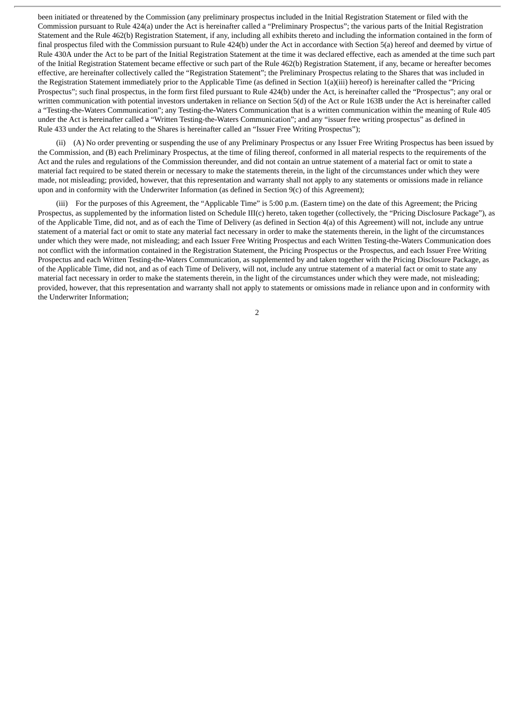been initiated or threatened by the Commission (any preliminary prospectus included in the Initial Registration Statement or filed with the Commission pursuant to Rule 424(a) under the Act is hereinafter called a "Preliminary Prospectus"; the various parts of the Initial Registration Statement and the Rule 462(b) Registration Statement, if any, including all exhibits thereto and including the information contained in the form of final prospectus filed with the Commission pursuant to Rule 424(b) under the Act in accordance with Section 5(a) hereof and deemed by virtue of Rule 430A under the Act to be part of the Initial Registration Statement at the time it was declared effective, each as amended at the time such part of the Initial Registration Statement became effective or such part of the Rule 462(b) Registration Statement, if any, became or hereafter becomes effective, are hereinafter collectively called the "Registration Statement"; the Preliminary Prospectus relating to the Shares that was included in the Registration Statement immediately prior to the Applicable Time (as defined in Section 1(a)(iii) hereof) is hereinafter called the "Pricing Prospectus"; such final prospectus, in the form first filed pursuant to Rule 424(b) under the Act, is hereinafter called the "Prospectus"; any oral or written communication with potential investors undertaken in reliance on Section 5(d) of the Act or Rule 163B under the Act is hereinafter called a "Testing-the-Waters Communication"; any Testing-the-Waters Communication that is a written communication within the meaning of Rule 405 under the Act is hereinafter called a "Written Testing-the-Waters Communication"; and any "issuer free writing prospectus" as defined in Rule 433 under the Act relating to the Shares is hereinafter called an "Issuer Free Writing Prospectus");

(ii) (A) No order preventing or suspending the use of any Preliminary Prospectus or any Issuer Free Writing Prospectus has been issued by the Commission, and (B) each Preliminary Prospectus, at the time of filing thereof, conformed in all material respects to the requirements of the Act and the rules and regulations of the Commission thereunder, and did not contain an untrue statement of a material fact or omit to state a material fact required to be stated therein or necessary to make the statements therein, in the light of the circumstances under which they were made, not misleading; provided, however, that this representation and warranty shall not apply to any statements or omissions made in reliance upon and in conformity with the Underwriter Information (as defined in Section  $9(c)$  of this Agreement);

(iii) For the purposes of this Agreement, the "Applicable Time" is 5:00 p.m. (Eastern time) on the date of this Agreement; the Pricing Prospectus, as supplemented by the information listed on Schedule III(c) hereto, taken together (collectively, the "Pricing Disclosure Package"), as of the Applicable Time, did not, and as of each the Time of Delivery (as defined in Section 4(a) of this Agreement) will not, include any untrue statement of a material fact or omit to state any material fact necessary in order to make the statements therein, in the light of the circumstances under which they were made, not misleading; and each Issuer Free Writing Prospectus and each Written Testing-the-Waters Communication does not conflict with the information contained in the Registration Statement, the Pricing Prospectus or the Prospectus, and each Issuer Free Writing Prospectus and each Written Testing-the-Waters Communication, as supplemented by and taken together with the Pricing Disclosure Package, as of the Applicable Time, did not, and as of each Time of Delivery, will not, include any untrue statement of a material fact or omit to state any material fact necessary in order to make the statements therein, in the light of the circumstances under which they were made, not misleading; provided, however, that this representation and warranty shall not apply to statements or omissions made in reliance upon and in conformity with the Underwriter Information;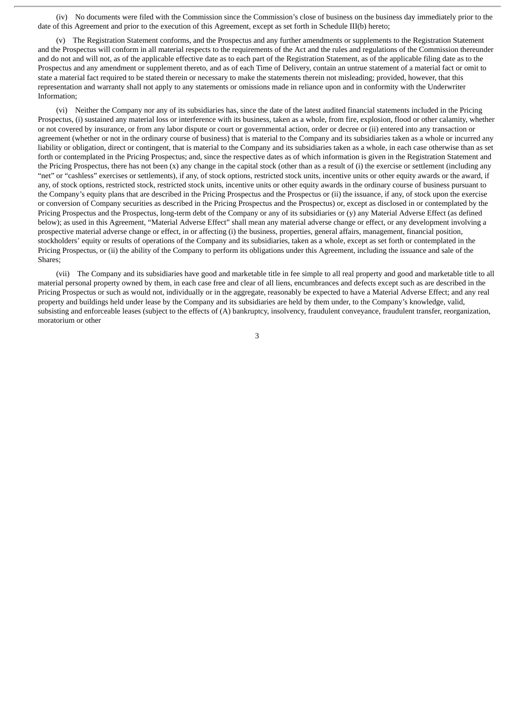(iv) No documents were filed with the Commission since the Commission's close of business on the business day immediately prior to the date of this Agreement and prior to the execution of this Agreement, except as set forth in Schedule III(b) hereto;

(v) The Registration Statement conforms, and the Prospectus and any further amendments or supplements to the Registration Statement and the Prospectus will conform in all material respects to the requirements of the Act and the rules and regulations of the Commission thereunder and do not and will not, as of the applicable effective date as to each part of the Registration Statement, as of the applicable filing date as to the Prospectus and any amendment or supplement thereto, and as of each Time of Delivery, contain an untrue statement of a material fact or omit to state a material fact required to be stated therein or necessary to make the statements therein not misleading; provided, however, that this representation and warranty shall not apply to any statements or omissions made in reliance upon and in conformity with the Underwriter Information;

(vi) Neither the Company nor any of its subsidiaries has, since the date of the latest audited financial statements included in the Pricing Prospectus, (i) sustained any material loss or interference with its business, taken as a whole, from fire, explosion, flood or other calamity, whether or not covered by insurance, or from any labor dispute or court or governmental action, order or decree or (ii) entered into any transaction or agreement (whether or not in the ordinary course of business) that is material to the Company and its subsidiaries taken as a whole or incurred any liability or obligation, direct or contingent, that is material to the Company and its subsidiaries taken as a whole, in each case otherwise than as set forth or contemplated in the Pricing Prospectus; and, since the respective dates as of which information is given in the Registration Statement and the Pricing Prospectus, there has not been (x) any change in the capital stock (other than as a result of (i) the exercise or settlement (including any "net" or "cashless" exercises or settlements), if any, of stock options, restricted stock units, incentive units or other equity awards or the award, if any, of stock options, restricted stock, restricted stock units, incentive units or other equity awards in the ordinary course of business pursuant to the Company's equity plans that are described in the Pricing Prospectus and the Prospectus or (ii) the issuance, if any, of stock upon the exercise or conversion of Company securities as described in the Pricing Prospectus and the Prospectus) or, except as disclosed in or contemplated by the Pricing Prospectus and the Prospectus, long-term debt of the Company or any of its subsidiaries or (y) any Material Adverse Effect (as defined below); as used in this Agreement, "Material Adverse Effect" shall mean any material adverse change or effect, or any development involving a prospective material adverse change or effect, in or affecting (i) the business, properties, general affairs, management, financial position, stockholders' equity or results of operations of the Company and its subsidiaries, taken as a whole, except as set forth or contemplated in the Pricing Prospectus, or (ii) the ability of the Company to perform its obligations under this Agreement, including the issuance and sale of the Shares;

(vii) The Company and its subsidiaries have good and marketable title in fee simple to all real property and good and marketable title to all material personal property owned by them, in each case free and clear of all liens, encumbrances and defects except such as are described in the Pricing Prospectus or such as would not, individually or in the aggregate, reasonably be expected to have a Material Adverse Effect; and any real property and buildings held under lease by the Company and its subsidiaries are held by them under, to the Company's knowledge, valid, subsisting and enforceable leases (subject to the effects of (A) bankruptcy, insolvency, fraudulent conveyance, fraudulent transfer, reorganization, moratorium or other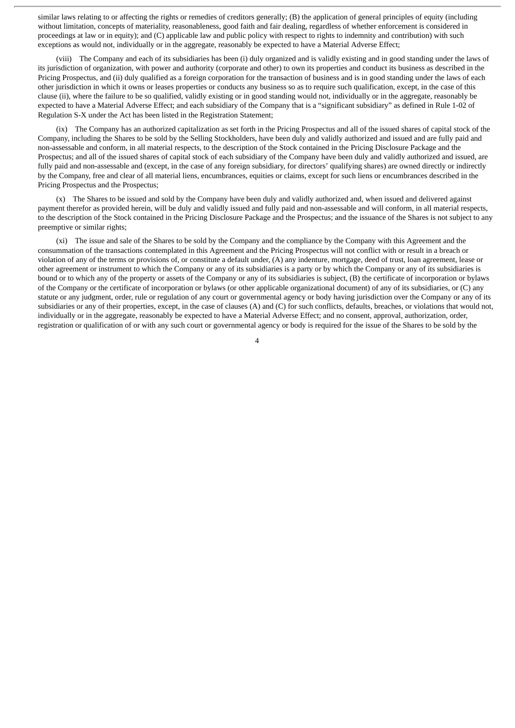similar laws relating to or affecting the rights or remedies of creditors generally; (B) the application of general principles of equity (including without limitation, concepts of materiality, reasonableness, good faith and fair dealing, regardless of whether enforcement is considered in proceedings at law or in equity); and (C) applicable law and public policy with respect to rights to indemnity and contribution) with such exceptions as would not, individually or in the aggregate, reasonably be expected to have a Material Adverse Effect;

(viii) The Company and each of its subsidiaries has been (i) duly organized and is validly existing and in good standing under the laws of its jurisdiction of organization, with power and authority (corporate and other) to own its properties and conduct its business as described in the Pricing Prospectus, and (ii) duly qualified as a foreign corporation for the transaction of business and is in good standing under the laws of each other jurisdiction in which it owns or leases properties or conducts any business so as to require such qualification, except, in the case of this clause (ii), where the failure to be so qualified, validly existing or in good standing would not, individually or in the aggregate, reasonably be expected to have a Material Adverse Effect; and each subsidiary of the Company that is a "significant subsidiary" as defined in Rule 1-02 of Regulation S-X under the Act has been listed in the Registration Statement;

(ix) The Company has an authorized capitalization as set forth in the Pricing Prospectus and all of the issued shares of capital stock of the Company, including the Shares to be sold by the Selling Stockholders, have been duly and validly authorized and issued and are fully paid and non-assessable and conform, in all material respects, to the description of the Stock contained in the Pricing Disclosure Package and the Prospectus; and all of the issued shares of capital stock of each subsidiary of the Company have been duly and validly authorized and issued, are fully paid and non-assessable and (except, in the case of any foreign subsidiary, for directors' qualifying shares) are owned directly or indirectly by the Company, free and clear of all material liens, encumbrances, equities or claims, except for such liens or encumbrances described in the Pricing Prospectus and the Prospectus;

(x) The Shares to be issued and sold by the Company have been duly and validly authorized and, when issued and delivered against payment therefor as provided herein, will be duly and validly issued and fully paid and non-assessable and will conform, in all material respects, to the description of the Stock contained in the Pricing Disclosure Package and the Prospectus; and the issuance of the Shares is not subject to any preemptive or similar rights;

(xi) The issue and sale of the Shares to be sold by the Company and the compliance by the Company with this Agreement and the consummation of the transactions contemplated in this Agreement and the Pricing Prospectus will not conflict with or result in a breach or violation of any of the terms or provisions of, or constitute a default under, (A) any indenture, mortgage, deed of trust, loan agreement, lease or other agreement or instrument to which the Company or any of its subsidiaries is a party or by which the Company or any of its subsidiaries is bound or to which any of the property or assets of the Company or any of its subsidiaries is subject, (B) the certificate of incorporation or bylaws of the Company or the certificate of incorporation or bylaws (or other applicable organizational document) of any of its subsidiaries, or (C) any statute or any judgment, order, rule or regulation of any court or governmental agency or body having jurisdiction over the Company or any of its subsidiaries or any of their properties, except, in the case of clauses (A) and (C) for such conflicts, defaults, breaches, or violations that would not, individually or in the aggregate, reasonably be expected to have a Material Adverse Effect; and no consent, approval, authorization, order, registration or qualification of or with any such court or governmental agency or body is required for the issue of the Shares to be sold by the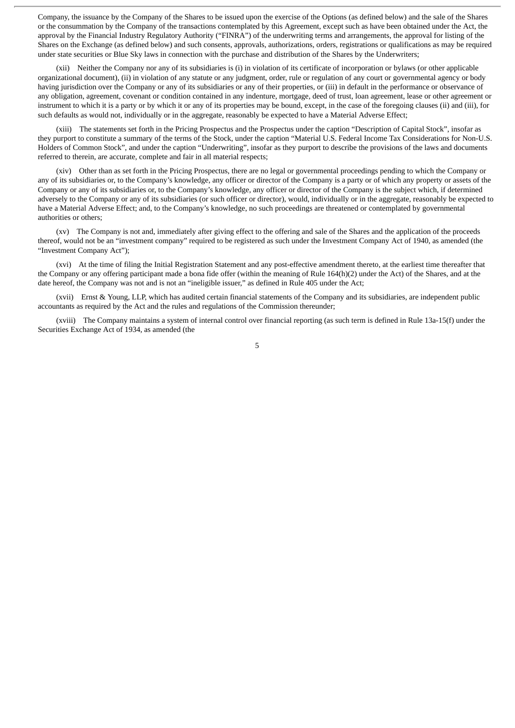Company, the issuance by the Company of the Shares to be issued upon the exercise of the Options (as defined below) and the sale of the Shares or the consummation by the Company of the transactions contemplated by this Agreement, except such as have been obtained under the Act, the approval by the Financial Industry Regulatory Authority ("FINRA") of the underwriting terms and arrangements, the approval for listing of the Shares on the Exchange (as defined below) and such consents, approvals, authorizations, orders, registrations or qualifications as may be required under state securities or Blue Sky laws in connection with the purchase and distribution of the Shares by the Underwriters;

(xii) Neither the Company nor any of its subsidiaries is (i) in violation of its certificate of incorporation or bylaws (or other applicable organizational document), (ii) in violation of any statute or any judgment, order, rule or regulation of any court or governmental agency or body having jurisdiction over the Company or any of its subsidiaries or any of their properties, or (iii) in default in the performance or observance of any obligation, agreement, covenant or condition contained in any indenture, mortgage, deed of trust, loan agreement, lease or other agreement or instrument to which it is a party or by which it or any of its properties may be bound, except, in the case of the foregoing clauses (ii) and (iii), for such defaults as would not, individually or in the aggregate, reasonably be expected to have a Material Adverse Effect;

(xiii) The statements set forth in the Pricing Prospectus and the Prospectus under the caption "Description of Capital Stock", insofar as they purport to constitute a summary of the terms of the Stock, under the caption "Material U.S. Federal Income Tax Considerations for Non-U.S. Holders of Common Stock", and under the caption "Underwriting", insofar as they purport to describe the provisions of the laws and documents referred to therein, are accurate, complete and fair in all material respects;

(xiv) Other than as set forth in the Pricing Prospectus, there are no legal or governmental proceedings pending to which the Company or any of its subsidiaries or, to the Company's knowledge, any officer or director of the Company is a party or of which any property or assets of the Company or any of its subsidiaries or, to the Company's knowledge, any officer or director of the Company is the subject which, if determined adversely to the Company or any of its subsidiaries (or such officer or director), would, individually or in the aggregate, reasonably be expected to have a Material Adverse Effect; and, to the Company's knowledge, no such proceedings are threatened or contemplated by governmental authorities or others;

(xv) The Company is not and, immediately after giving effect to the offering and sale of the Shares and the application of the proceeds thereof, would not be an "investment company" required to be registered as such under the Investment Company Act of 1940, as amended (the "Investment Company Act");

(xvi) At the time of filing the Initial Registration Statement and any post-effective amendment thereto, at the earliest time thereafter that the Company or any offering participant made a bona fide offer (within the meaning of Rule 164(h)(2) under the Act) of the Shares, and at the date hereof, the Company was not and is not an "ineligible issuer," as defined in Rule 405 under the Act;

(xvii) Ernst & Young, LLP, which has audited certain financial statements of the Company and its subsidiaries, are independent public accountants as required by the Act and the rules and regulations of the Commission thereunder;

(xviii) The Company maintains a system of internal control over financial reporting (as such term is defined in Rule 13a-15(f) under the Securities Exchange Act of 1934, as amended (the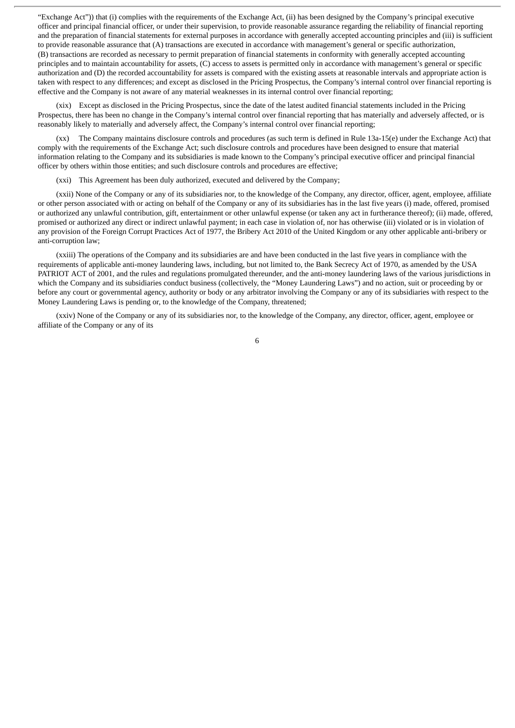"Exchange Act")) that (i) complies with the requirements of the Exchange Act, (ii) has been designed by the Company's principal executive officer and principal financial officer, or under their supervision, to provide reasonable assurance regarding the reliability of financial reporting and the preparation of financial statements for external purposes in accordance with generally accepted accounting principles and (iii) is sufficient to provide reasonable assurance that (A) transactions are executed in accordance with management's general or specific authorization, (B) transactions are recorded as necessary to permit preparation of financial statements in conformity with generally accepted accounting principles and to maintain accountability for assets, (C) access to assets is permitted only in accordance with management's general or specific authorization and (D) the recorded accountability for assets is compared with the existing assets at reasonable intervals and appropriate action is taken with respect to any differences; and except as disclosed in the Pricing Prospectus, the Company's internal control over financial reporting is effective and the Company is not aware of any material weaknesses in its internal control over financial reporting;

(xix) Except as disclosed in the Pricing Prospectus, since the date of the latest audited financial statements included in the Pricing Prospectus, there has been no change in the Company's internal control over financial reporting that has materially and adversely affected, or is reasonably likely to materially and adversely affect, the Company's internal control over financial reporting;

(xx) The Company maintains disclosure controls and procedures (as such term is defined in Rule 13a-15(e) under the Exchange Act) that comply with the requirements of the Exchange Act; such disclosure controls and procedures have been designed to ensure that material information relating to the Company and its subsidiaries is made known to the Company's principal executive officer and principal financial officer by others within those entities; and such disclosure controls and procedures are effective;

(xxi) This Agreement has been duly authorized, executed and delivered by the Company;

(xxii) None of the Company or any of its subsidiaries nor, to the knowledge of the Company, any director, officer, agent, employee, affiliate or other person associated with or acting on behalf of the Company or any of its subsidiaries has in the last five years (i) made, offered, promised or authorized any unlawful contribution, gift, entertainment or other unlawful expense (or taken any act in furtherance thereof); (ii) made, offered, promised or authorized any direct or indirect unlawful payment; in each case in violation of, nor has otherwise (iii) violated or is in violation of any provision of the Foreign Corrupt Practices Act of 1977, the Bribery Act 2010 of the United Kingdom or any other applicable anti-bribery or anti-corruption law;

(xxiii) The operations of the Company and its subsidiaries are and have been conducted in the last five years in compliance with the requirements of applicable anti-money laundering laws, including, but not limited to, the Bank Secrecy Act of 1970, as amended by the USA PATRIOT ACT of 2001, and the rules and regulations promulgated thereunder, and the anti-money laundering laws of the various jurisdictions in which the Company and its subsidiaries conduct business (collectively, the "Money Laundering Laws") and no action, suit or proceeding by or before any court or governmental agency, authority or body or any arbitrator involving the Company or any of its subsidiaries with respect to the Money Laundering Laws is pending or, to the knowledge of the Company, threatened;

(xxiv) None of the Company or any of its subsidiaries nor, to the knowledge of the Company, any director, officer, agent, employee or affiliate of the Company or any of its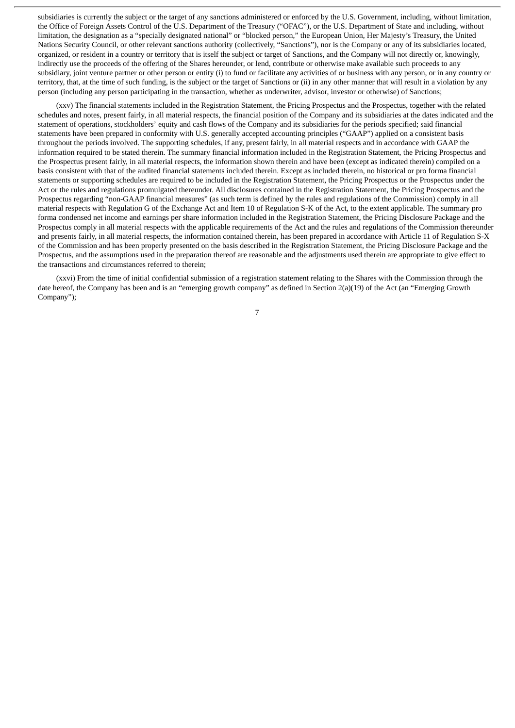subsidiaries is currently the subject or the target of any sanctions administered or enforced by the U.S. Government, including, without limitation, the Office of Foreign Assets Control of the U.S. Department of the Treasury ("OFAC"), or the U.S. Department of State and including, without limitation, the designation as a "specially designated national" or "blocked person," the European Union, Her Majesty's Treasury, the United Nations Security Council, or other relevant sanctions authority (collectively, "Sanctions"), nor is the Company or any of its subsidiaries located, organized, or resident in a country or territory that is itself the subject or target of Sanctions, and the Company will not directly or, knowingly, indirectly use the proceeds of the offering of the Shares hereunder, or lend, contribute or otherwise make available such proceeds to any subsidiary, joint venture partner or other person or entity (i) to fund or facilitate any activities of or business with any person, or in any country or territory, that, at the time of such funding, is the subject or the target of Sanctions or (ii) in any other manner that will result in a violation by any person (including any person participating in the transaction, whether as underwriter, advisor, investor or otherwise) of Sanctions;

(xxv) The financial statements included in the Registration Statement, the Pricing Prospectus and the Prospectus, together with the related schedules and notes, present fairly, in all material respects, the financial position of the Company and its subsidiaries at the dates indicated and the statement of operations, stockholders' equity and cash flows of the Company and its subsidiaries for the periods specified; said financial statements have been prepared in conformity with U.S. generally accepted accounting principles ("GAAP") applied on a consistent basis throughout the periods involved. The supporting schedules, if any, present fairly, in all material respects and in accordance with GAAP the information required to be stated therein. The summary financial information included in the Registration Statement, the Pricing Prospectus and the Prospectus present fairly, in all material respects, the information shown therein and have been (except as indicated therein) compiled on a basis consistent with that of the audited financial statements included therein. Except as included therein, no historical or pro forma financial statements or supporting schedules are required to be included in the Registration Statement, the Pricing Prospectus or the Prospectus under the Act or the rules and regulations promulgated thereunder. All disclosures contained in the Registration Statement, the Pricing Prospectus and the Prospectus regarding "non-GAAP financial measures" (as such term is defined by the rules and regulations of the Commission) comply in all material respects with Regulation G of the Exchange Act and Item 10 of Regulation S-K of the Act, to the extent applicable. The summary pro forma condensed net income and earnings per share information included in the Registration Statement, the Pricing Disclosure Package and the Prospectus comply in all material respects with the applicable requirements of the Act and the rules and regulations of the Commission thereunder and presents fairly, in all material respects, the information contained therein, has been prepared in accordance with Article 11 of Regulation S-X of the Commission and has been properly presented on the basis described in the Registration Statement, the Pricing Disclosure Package and the Prospectus, and the assumptions used in the preparation thereof are reasonable and the adjustments used therein are appropriate to give effect to the transactions and circumstances referred to therein;

(xxvi) From the time of initial confidential submission of a registration statement relating to the Shares with the Commission through the date hereof, the Company has been and is an "emerging growth company" as defined in Section 2(a)(19) of the Act (an "Emerging Growth Company");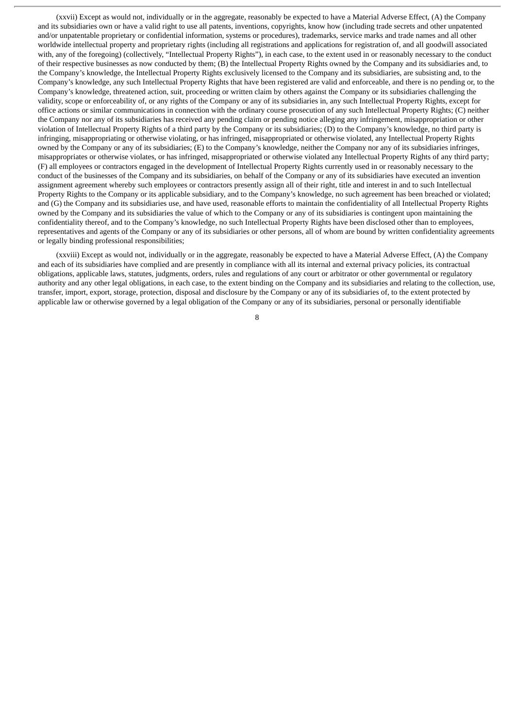(xxvii) Except as would not, individually or in the aggregate, reasonably be expected to have a Material Adverse Effect, (A) the Company and its subsidiaries own or have a valid right to use all patents, inventions, copyrights, know how (including trade secrets and other unpatented and/or unpatentable proprietary or confidential information, systems or procedures), trademarks, service marks and trade names and all other worldwide intellectual property and proprietary rights (including all registrations and applications for registration of, and all goodwill associated with, any of the foregoing) (collectively, "Intellectual Property Rights"), in each case, to the extent used in or reasonably necessary to the conduct of their respective businesses as now conducted by them; (B) the Intellectual Property Rights owned by the Company and its subsidiaries and, to the Company's knowledge, the Intellectual Property Rights exclusively licensed to the Company and its subsidiaries, are subsisting and, to the Company's knowledge, any such Intellectual Property Rights that have been registered are valid and enforceable, and there is no pending or, to the Company's knowledge, threatened action, suit, proceeding or written claim by others against the Company or its subsidiaries challenging the validity, scope or enforceability of, or any rights of the Company or any of its subsidiaries in, any such Intellectual Property Rights, except for office actions or similar communications in connection with the ordinary course prosecution of any such Intellectual Property Rights; (C) neither the Company nor any of its subsidiaries has received any pending claim or pending notice alleging any infringement, misappropriation or other violation of Intellectual Property Rights of a third party by the Company or its subsidiaries; (D) to the Company's knowledge, no third party is infringing, misappropriating or otherwise violating, or has infringed, misappropriated or otherwise violated, any Intellectual Property Rights owned by the Company or any of its subsidiaries; (E) to the Company's knowledge, neither the Company nor any of its subsidiaries infringes, misappropriates or otherwise violates, or has infringed, misappropriated or otherwise violated any Intellectual Property Rights of any third party; (F) all employees or contractors engaged in the development of Intellectual Property Rights currently used in or reasonably necessary to the conduct of the businesses of the Company and its subsidiaries, on behalf of the Company or any of its subsidiaries have executed an invention assignment agreement whereby such employees or contractors presently assign all of their right, title and interest in and to such Intellectual Property Rights to the Company or its applicable subsidiary, and to the Company's knowledge, no such agreement has been breached or violated; and (G) the Company and its subsidiaries use, and have used, reasonable efforts to maintain the confidentiality of all Intellectual Property Rights owned by the Company and its subsidiaries the value of which to the Company or any of its subsidiaries is contingent upon maintaining the confidentiality thereof, and to the Company's knowledge, no such Intellectual Property Rights have been disclosed other than to employees, representatives and agents of the Company or any of its subsidiaries or other persons, all of whom are bound by written confidentiality agreements or legally binding professional responsibilities;

(xxviii) Except as would not, individually or in the aggregate, reasonably be expected to have a Material Adverse Effect, (A) the Company and each of its subsidiaries have complied and are presently in compliance with all its internal and external privacy policies, its contractual obligations, applicable laws, statutes, judgments, orders, rules and regulations of any court or arbitrator or other governmental or regulatory authority and any other legal obligations, in each case, to the extent binding on the Company and its subsidiaries and relating to the collection, use, transfer, import, export, storage, protection, disposal and disclosure by the Company or any of its subsidiaries of, to the extent protected by applicable law or otherwise governed by a legal obligation of the Company or any of its subsidiaries, personal or personally identifiable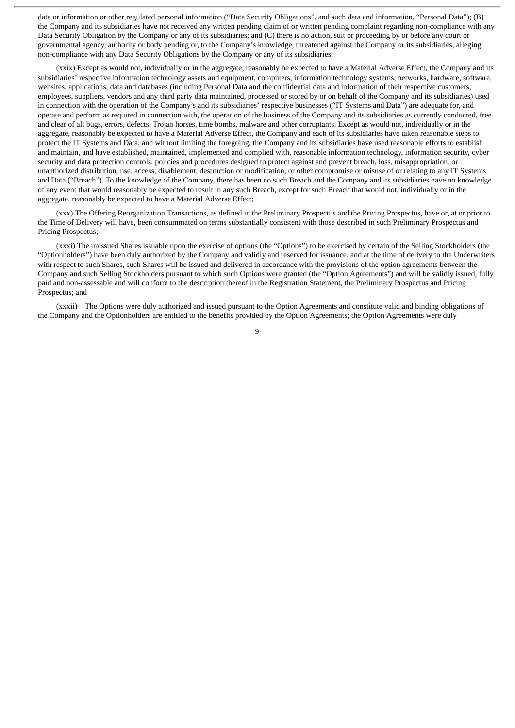data or information or other regulated personal information ("Data Security Obligations", and such data and information, "Personal Data"); (B) the Company and its subsidiaries have not received any written pending claim of or written pending complaint regarding non-compliance with any Data Security Obligation by the Company or any of its subsidiaries; and (C) there is no action, suit or proceeding by or before any court or governmental agency, authority or body pending or, to the Company's knowledge, threatened against the Company or its subsidiaries, alleging non-compliance with any Data Security Obligations by the Company or any of its subsidiaries;

(xxix) Except as would not, individually or in the aggregate, reasonably be expected to have a Material Adverse Effect, the Company and its subsidiaries' respective information technology assets and equipment, computers, information technology systems, networks, hardware, software, websites, applications, data and databases (including Personal Data and the confidential data and information of their respective customers, employees, suppliers, vendors and any third party data maintained, processed or stored by or on behalf of the Company and its subsidiaries) used in connection with the operation of the Company's and its subsidiaries' respective businesses ("IT Systems and Data") are adequate for, and operate and perform as required in connection with, the operation of the business of the Company and its subsidiaries as currently conducted, free and clear of all bugs, errors, defects, Trojan horses, time bombs, malware and other corruptants. Except as would not, individually or in the aggregate, reasonably be expected to have a Material Adverse Effect, the Company and each of its subsidiaries have taken reasonable steps to protect the IT Systems and Data, and without limiting the foregoing, the Company and its subsidiaries have used reasonable efforts to establish and maintain, and have established, maintained, implemented and complied with, reasonable information technology, information security, cyber security and data protection controls, policies and procedures designed to protect against and prevent breach, loss, misappropriation, or unauthorized distribution, use, access, disablement, destruction or modification, or other compromise or misuse of or relating to any IT Systems and Data ("Breach"). To the knowledge of the Company, there has been no such Breach and the Company and its subsidiaries have no knowledge of any event that would reasonably be expected to result in any such Breach, except for such Breach that would not, individually or in the aggregate, reasonably be expected to have a Material Adverse Effect;

(xxx) The Offering Reorganization Transactions, as defined in the Preliminary Prospectus and the Pricing Prospectus, have or, at or prior to the Time of Delivery will have, been consummated on terms substantially consistent with those described in such Preliminary Prospectus and Pricing Prospectus;

(xxxi) The unissued Shares issuable upon the exercise of options (the "Options") to be exercised by certain of the Selling Stockholders (the "Optionholders") have been duly authorized by the Company and validly and reserved for issuance, and at the time of delivery to the Underwriters with respect to such Shares, such Shares will be issued and delivered in accordance with the provisions of the option agreements between the Company and such Selling Stockholders pursuant to which such Options were granted (the "Option Agreements") and will be validly issued, fully paid and non-assessable and will conform to the description thereof in the Registration Statement, the Preliminary Prospectus and Pricing Prospectus; and

(xxxii) The Options were duly authorized and issued pursuant to the Option Agreements and constitute valid and binding obligations of the Company and the Optionholders are entitled to the benefits provided by the Option Agreements; the Option Agreements were duly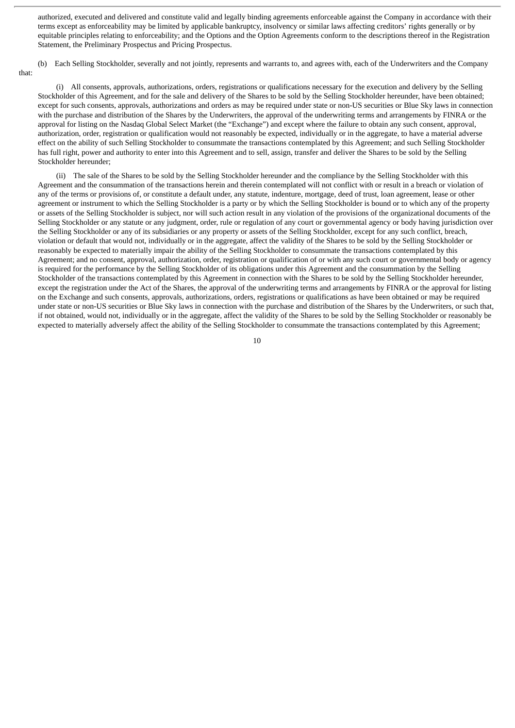authorized, executed and delivered and constitute valid and legally binding agreements enforceable against the Company in accordance with their terms except as enforceability may be limited by applicable bankruptcy, insolvency or similar laws affecting creditors' rights generally or by equitable principles relating to enforceability; and the Options and the Option Agreements conform to the descriptions thereof in the Registration Statement, the Preliminary Prospectus and Pricing Prospectus.

(b) Each Selling Stockholder, severally and not jointly, represents and warrants to, and agrees with, each of the Underwriters and the Company that:

(i) All consents, approvals, authorizations, orders, registrations or qualifications necessary for the execution and delivery by the Selling Stockholder of this Agreement, and for the sale and delivery of the Shares to be sold by the Selling Stockholder hereunder, have been obtained; except for such consents, approvals, authorizations and orders as may be required under state or non-US securities or Blue Sky laws in connection with the purchase and distribution of the Shares by the Underwriters, the approval of the underwriting terms and arrangements by FINRA or the approval for listing on the Nasdaq Global Select Market (the "Exchange") and except where the failure to obtain any such consent, approval, authorization, order, registration or qualification would not reasonably be expected, individually or in the aggregate, to have a material adverse effect on the ability of such Selling Stockholder to consummate the transactions contemplated by this Agreement; and such Selling Stockholder has full right, power and authority to enter into this Agreement and to sell, assign, transfer and deliver the Shares to be sold by the Selling Stockholder hereunder;

(ii) The sale of the Shares to be sold by the Selling Stockholder hereunder and the compliance by the Selling Stockholder with this Agreement and the consummation of the transactions herein and therein contemplated will not conflict with or result in a breach or violation of any of the terms or provisions of, or constitute a default under, any statute, indenture, mortgage, deed of trust, loan agreement, lease or other agreement or instrument to which the Selling Stockholder is a party or by which the Selling Stockholder is bound or to which any of the property or assets of the Selling Stockholder is subject, nor will such action result in any violation of the provisions of the organizational documents of the Selling Stockholder or any statute or any judgment, order, rule or regulation of any court or governmental agency or body having jurisdiction over the Selling Stockholder or any of its subsidiaries or any property or assets of the Selling Stockholder, except for any such conflict, breach, violation or default that would not, individually or in the aggregate, affect the validity of the Shares to be sold by the Selling Stockholder or reasonably be expected to materially impair the ability of the Selling Stockholder to consummate the transactions contemplated by this Agreement; and no consent, approval, authorization, order, registration or qualification of or with any such court or governmental body or agency is required for the performance by the Selling Stockholder of its obligations under this Agreement and the consummation by the Selling Stockholder of the transactions contemplated by this Agreement in connection with the Shares to be sold by the Selling Stockholder hereunder, except the registration under the Act of the Shares, the approval of the underwriting terms and arrangements by FINRA or the approval for listing on the Exchange and such consents, approvals, authorizations, orders, registrations or qualifications as have been obtained or may be required under state or non-US securities or Blue Sky laws in connection with the purchase and distribution of the Shares by the Underwriters, or such that, if not obtained, would not, individually or in the aggregate, affect the validity of the Shares to be sold by the Selling Stockholder or reasonably be expected to materially adversely affect the ability of the Selling Stockholder to consummate the transactions contemplated by this Agreement;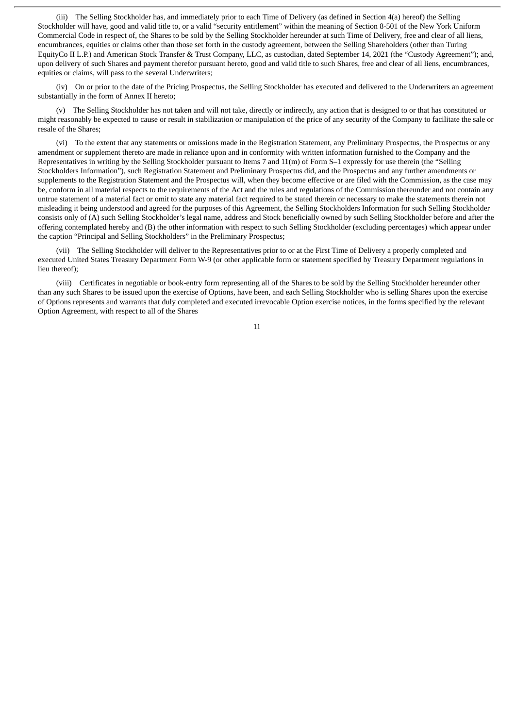(iii) The Selling Stockholder has, and immediately prior to each Time of Delivery (as defined in Section 4(a) hereof) the Selling Stockholder will have, good and valid title to, or a valid "security entitlement" within the meaning of Section 8-501 of the New York Uniform Commercial Code in respect of, the Shares to be sold by the Selling Stockholder hereunder at such Time of Delivery, free and clear of all liens, encumbrances, equities or claims other than those set forth in the custody agreement, between the Selling Shareholders (other than Turing EquityCo II L.P.) and American Stock Transfer & Trust Company, LLC, as custodian, dated September 14, 2021 (the "Custody Agreement"); and, upon delivery of such Shares and payment therefor pursuant hereto, good and valid title to such Shares, free and clear of all liens, encumbrances, equities or claims, will pass to the several Underwriters;

(iv) On or prior to the date of the Pricing Prospectus, the Selling Stockholder has executed and delivered to the Underwriters an agreement substantially in the form of Annex II hereto;

(v) The Selling Stockholder has not taken and will not take, directly or indirectly, any action that is designed to or that has constituted or might reasonably be expected to cause or result in stabilization or manipulation of the price of any security of the Company to facilitate the sale or resale of the Shares;

(vi) To the extent that any statements or omissions made in the Registration Statement, any Preliminary Prospectus, the Prospectus or any amendment or supplement thereto are made in reliance upon and in conformity with written information furnished to the Company and the Representatives in writing by the Selling Stockholder pursuant to Items 7 and 11(m) of Form S–1 expressly for use therein (the "Selling Stockholders Information"), such Registration Statement and Preliminary Prospectus did, and the Prospectus and any further amendments or supplements to the Registration Statement and the Prospectus will, when they become effective or are filed with the Commission, as the case may be, conform in all material respects to the requirements of the Act and the rules and regulations of the Commission thereunder and not contain any untrue statement of a material fact or omit to state any material fact required to be stated therein or necessary to make the statements therein not misleading it being understood and agreed for the purposes of this Agreement, the Selling Stockholders Information for such Selling Stockholder consists only of (A) such Selling Stockholder's legal name, address and Stock beneficially owned by such Selling Stockholder before and after the offering contemplated hereby and (B) the other information with respect to such Selling Stockholder (excluding percentages) which appear under the caption "Principal and Selling Stockholders" in the Preliminary Prospectus;

(vii) The Selling Stockholder will deliver to the Representatives prior to or at the First Time of Delivery a properly completed and executed United States Treasury Department Form W-9 (or other applicable form or statement specified by Treasury Department regulations in lieu thereof);

(viii) Certificates in negotiable or book-entry form representing all of the Shares to be sold by the Selling Stockholder hereunder other than any such Shares to be issued upon the exercise of Options, have been, and each Selling Stockholder who is selling Shares upon the exercise of Options represents and warrants that duly completed and executed irrevocable Option exercise notices, in the forms specified by the relevant Option Agreement, with respect to all of the Shares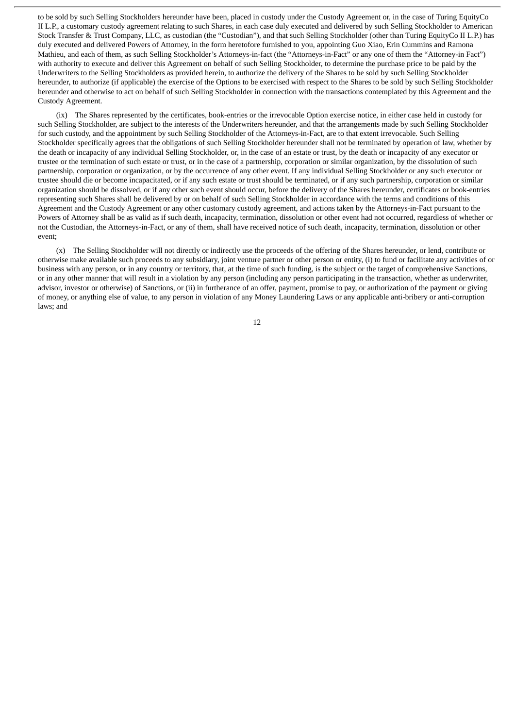to be sold by such Selling Stockholders hereunder have been, placed in custody under the Custody Agreement or, in the case of Turing EquityCo II L.P., a customary custody agreement relating to such Shares, in each case duly executed and delivered by such Selling Stockholder to American Stock Transfer & Trust Company, LLC, as custodian (the "Custodian"), and that such Selling Stockholder (other than Turing EquityCo II L.P.) has duly executed and delivered Powers of Attorney, in the form heretofore furnished to you, appointing Guo Xiao, Erin Cummins and Ramona Mathieu, and each of them, as such Selling Stockholder's Attorneys-in-fact (the "Attorneys-in-Fact" or any one of them the "Attorney-in Fact") with authority to execute and deliver this Agreement on behalf of such Selling Stockholder, to determine the purchase price to be paid by the Underwriters to the Selling Stockholders as provided herein, to authorize the delivery of the Shares to be sold by such Selling Stockholder hereunder, to authorize (if applicable) the exercise of the Options to be exercised with respect to the Shares to be sold by such Selling Stockholder hereunder and otherwise to act on behalf of such Selling Stockholder in connection with the transactions contemplated by this Agreement and the Custody Agreement.

(ix) The Shares represented by the certificates, book-entries or the irrevocable Option exercise notice, in either case held in custody for such Selling Stockholder, are subject to the interests of the Underwriters hereunder, and that the arrangements made by such Selling Stockholder for such custody, and the appointment by such Selling Stockholder of the Attorneys-in-Fact, are to that extent irrevocable. Such Selling Stockholder specifically agrees that the obligations of such Selling Stockholder hereunder shall not be terminated by operation of law, whether by the death or incapacity of any individual Selling Stockholder, or, in the case of an estate or trust, by the death or incapacity of any executor or trustee or the termination of such estate or trust, or in the case of a partnership, corporation or similar organization, by the dissolution of such partnership, corporation or organization, or by the occurrence of any other event. If any individual Selling Stockholder or any such executor or trustee should die or become incapacitated, or if any such estate or trust should be terminated, or if any such partnership, corporation or similar organization should be dissolved, or if any other such event should occur, before the delivery of the Shares hereunder, certificates or book-entries representing such Shares shall be delivered by or on behalf of such Selling Stockholder in accordance with the terms and conditions of this Agreement and the Custody Agreement or any other customary custody agreement, and actions taken by the Attorneys-in-Fact pursuant to the Powers of Attorney shall be as valid as if such death, incapacity, termination, dissolution or other event had not occurred, regardless of whether or not the Custodian, the Attorneys-in-Fact, or any of them, shall have received notice of such death, incapacity, termination, dissolution or other event;

(x) The Selling Stockholder will not directly or indirectly use the proceeds of the offering of the Shares hereunder, or lend, contribute or otherwise make available such proceeds to any subsidiary, joint venture partner or other person or entity, (i) to fund or facilitate any activities of or business with any person, or in any country or territory, that, at the time of such funding, is the subject or the target of comprehensive Sanctions, or in any other manner that will result in a violation by any person (including any person participating in the transaction, whether as underwriter, advisor, investor or otherwise) of Sanctions, or (ii) in furtherance of an offer, payment, promise to pay, or authorization of the payment or giving of money, or anything else of value, to any person in violation of any Money Laundering Laws or any applicable anti-bribery or anti-corruption laws; and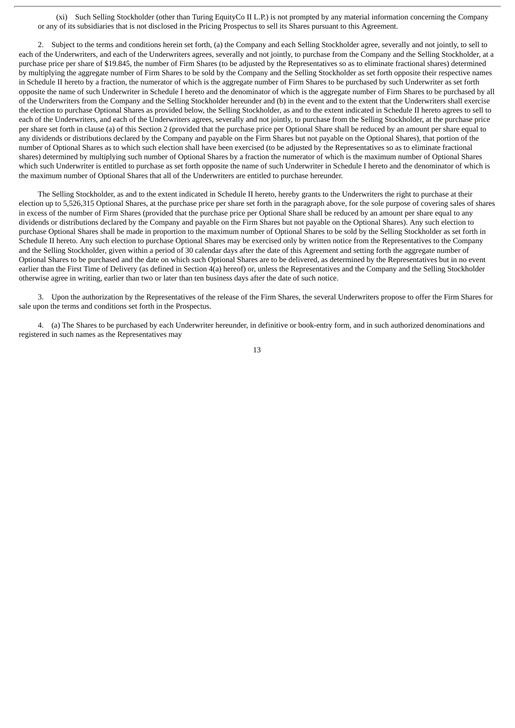(xi) Such Selling Stockholder (other than Turing EquityCo II L.P.) is not prompted by any material information concerning the Company or any of its subsidiaries that is not disclosed in the Pricing Prospectus to sell its Shares pursuant to this Agreement.

2. Subject to the terms and conditions herein set forth, (a) the Company and each Selling Stockholder agree, severally and not jointly, to sell to each of the Underwriters, and each of the Underwriters agrees, severally and not jointly, to purchase from the Company and the Selling Stockholder, at a purchase price per share of \$19.845, the number of Firm Shares (to be adjusted by the Representatives so as to eliminate fractional shares) determined by multiplying the aggregate number of Firm Shares to be sold by the Company and the Selling Stockholder as set forth opposite their respective names in Schedule II hereto by a fraction, the numerator of which is the aggregate number of Firm Shares to be purchased by such Underwriter as set forth opposite the name of such Underwriter in Schedule I hereto and the denominator of which is the aggregate number of Firm Shares to be purchased by all of the Underwriters from the Company and the Selling Stockholder hereunder and (b) in the event and to the extent that the Underwriters shall exercise the election to purchase Optional Shares as provided below, the Selling Stockholder, as and to the extent indicated in Schedule II hereto agrees to sell to each of the Underwriters, and each of the Underwriters agrees, severally and not jointly, to purchase from the Selling Stockholder, at the purchase price per share set forth in clause (a) of this Section 2 (provided that the purchase price per Optional Share shall be reduced by an amount per share equal to any dividends or distributions declared by the Company and payable on the Firm Shares but not payable on the Optional Shares), that portion of the number of Optional Shares as to which such election shall have been exercised (to be adjusted by the Representatives so as to eliminate fractional shares) determined by multiplying such number of Optional Shares by a fraction the numerator of which is the maximum number of Optional Shares which such Underwriter is entitled to purchase as set forth opposite the name of such Underwriter in Schedule I hereto and the denominator of which is the maximum number of Optional Shares that all of the Underwriters are entitled to purchase hereunder.

The Selling Stockholder, as and to the extent indicated in Schedule II hereto, hereby grants to the Underwriters the right to purchase at their election up to 5,526,315 Optional Shares, at the purchase price per share set forth in the paragraph above, for the sole purpose of covering sales of shares in excess of the number of Firm Shares (provided that the purchase price per Optional Share shall be reduced by an amount per share equal to any dividends or distributions declared by the Company and payable on the Firm Shares but not payable on the Optional Shares). Any such election to purchase Optional Shares shall be made in proportion to the maximum number of Optional Shares to be sold by the Selling Stockholder as set forth in Schedule II hereto. Any such election to purchase Optional Shares may be exercised only by written notice from the Representatives to the Company and the Selling Stockholder, given within a period of 30 calendar days after the date of this Agreement and setting forth the aggregate number of Optional Shares to be purchased and the date on which such Optional Shares are to be delivered, as determined by the Representatives but in no event earlier than the First Time of Delivery (as defined in Section 4(a) hereof) or, unless the Representatives and the Company and the Selling Stockholder otherwise agree in writing, earlier than two or later than ten business days after the date of such notice.

3. Upon the authorization by the Representatives of the release of the Firm Shares, the several Underwriters propose to offer the Firm Shares for sale upon the terms and conditions set forth in the Prospectus.

4. (a) The Shares to be purchased by each Underwriter hereunder, in definitive or book-entry form, and in such authorized denominations and registered in such names as the Representatives may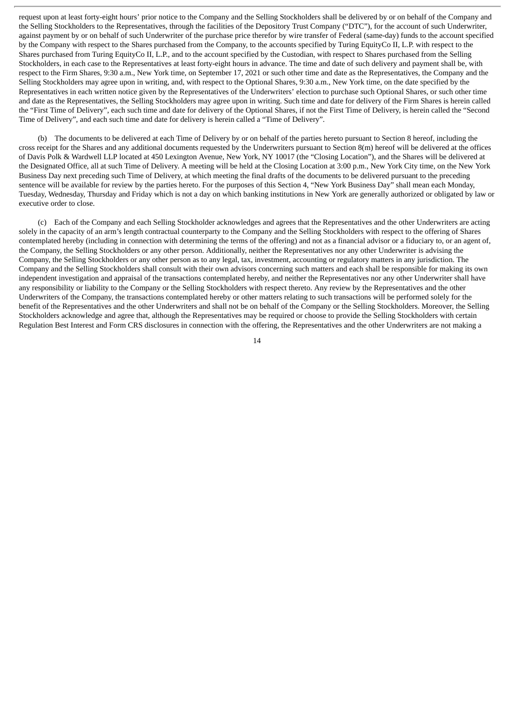request upon at least forty-eight hours' prior notice to the Company and the Selling Stockholders shall be delivered by or on behalf of the Company and the Selling Stockholders to the Representatives, through the facilities of the Depository Trust Company ("DTC"), for the account of such Underwriter, against payment by or on behalf of such Underwriter of the purchase price therefor by wire transfer of Federal (same-day) funds to the account specified by the Company with respect to the Shares purchased from the Company, to the accounts specified by Turing EquityCo II, L.P. with respect to the Shares purchased from Turing EquityCo II, L.P., and to the account specified by the Custodian, with respect to Shares purchased from the Selling Stockholders, in each case to the Representatives at least forty-eight hours in advance. The time and date of such delivery and payment shall be, with respect to the Firm Shares, 9:30 a.m., New York time, on September 17, 2021 or such other time and date as the Representatives, the Company and the Selling Stockholders may agree upon in writing, and, with respect to the Optional Shares, 9:30 a.m., New York time, on the date specified by the Representatives in each written notice given by the Representatives of the Underwriters' election to purchase such Optional Shares, or such other time and date as the Representatives, the Selling Stockholders may agree upon in writing. Such time and date for delivery of the Firm Shares is herein called the "First Time of Delivery", each such time and date for delivery of the Optional Shares, if not the First Time of Delivery, is herein called the "Second Time of Delivery", and each such time and date for delivery is herein called a "Time of Delivery".

(b) The documents to be delivered at each Time of Delivery by or on behalf of the parties hereto pursuant to Section 8 hereof, including the cross receipt for the Shares and any additional documents requested by the Underwriters pursuant to Section 8(m) hereof will be delivered at the offices of Davis Polk & Wardwell LLP located at 450 Lexington Avenue, New York, NY 10017 (the "Closing Location"), and the Shares will be delivered at the Designated Office, all at such Time of Delivery. A meeting will be held at the Closing Location at 3:00 p.m., New York City time, on the New York Business Day next preceding such Time of Delivery, at which meeting the final drafts of the documents to be delivered pursuant to the preceding sentence will be available for review by the parties hereto. For the purposes of this Section 4, "New York Business Day" shall mean each Monday, Tuesday, Wednesday, Thursday and Friday which is not a day on which banking institutions in New York are generally authorized or obligated by law or executive order to close.

(c) Each of the Company and each Selling Stockholder acknowledges and agrees that the Representatives and the other Underwriters are acting solely in the capacity of an arm's length contractual counterparty to the Company and the Selling Stockholders with respect to the offering of Shares contemplated hereby (including in connection with determining the terms of the offering) and not as a financial advisor or a fiduciary to, or an agent of, the Company, the Selling Stockholders or any other person. Additionally, neither the Representatives nor any other Underwriter is advising the Company, the Selling Stockholders or any other person as to any legal, tax, investment, accounting or regulatory matters in any jurisdiction. The Company and the Selling Stockholders shall consult with their own advisors concerning such matters and each shall be responsible for making its own independent investigation and appraisal of the transactions contemplated hereby, and neither the Representatives nor any other Underwriter shall have any responsibility or liability to the Company or the Selling Stockholders with respect thereto. Any review by the Representatives and the other Underwriters of the Company, the transactions contemplated hereby or other matters relating to such transactions will be performed solely for the benefit of the Representatives and the other Underwriters and shall not be on behalf of the Company or the Selling Stockholders. Moreover, the Selling Stockholders acknowledge and agree that, although the Representatives may be required or choose to provide the Selling Stockholders with certain Regulation Best Interest and Form CRS disclosures in connection with the offering, the Representatives and the other Underwriters are not making a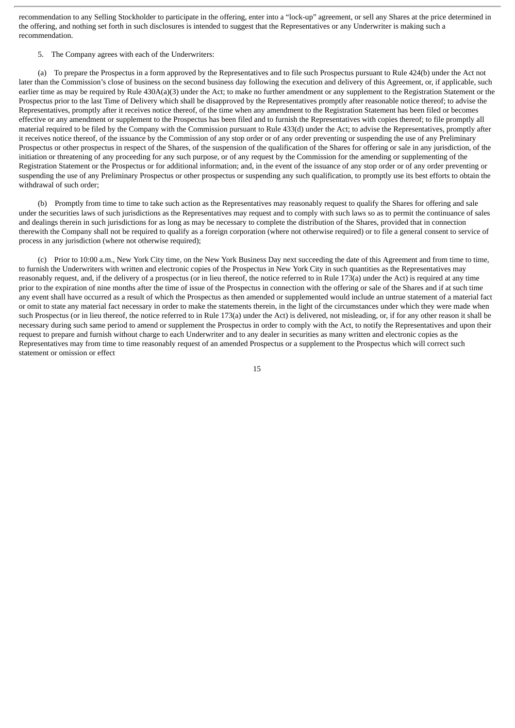recommendation to any Selling Stockholder to participate in the offering, enter into a "lock-up" agreement, or sell any Shares at the price determined in the offering, and nothing set forth in such disclosures is intended to suggest that the Representatives or any Underwriter is making such a recommendation.

5. The Company agrees with each of the Underwriters:

(a) To prepare the Prospectus in a form approved by the Representatives and to file such Prospectus pursuant to Rule 424(b) under the Act not later than the Commission's close of business on the second business day following the execution and delivery of this Agreement, or, if applicable, such earlier time as may be required by Rule 430A(a)(3) under the Act; to make no further amendment or any supplement to the Registration Statement or the Prospectus prior to the last Time of Delivery which shall be disapproved by the Representatives promptly after reasonable notice thereof; to advise the Representatives, promptly after it receives notice thereof, of the time when any amendment to the Registration Statement has been filed or becomes effective or any amendment or supplement to the Prospectus has been filed and to furnish the Representatives with copies thereof; to file promptly all material required to be filed by the Company with the Commission pursuant to Rule 433(d) under the Act; to advise the Representatives, promptly after it receives notice thereof, of the issuance by the Commission of any stop order or of any order preventing or suspending the use of any Preliminary Prospectus or other prospectus in respect of the Shares, of the suspension of the qualification of the Shares for offering or sale in any jurisdiction, of the initiation or threatening of any proceeding for any such purpose, or of any request by the Commission for the amending or supplementing of the Registration Statement or the Prospectus or for additional information; and, in the event of the issuance of any stop order or of any order preventing or suspending the use of any Preliminary Prospectus or other prospectus or suspending any such qualification, to promptly use its best efforts to obtain the withdrawal of such order;

(b) Promptly from time to time to take such action as the Representatives may reasonably request to qualify the Shares for offering and sale under the securities laws of such jurisdictions as the Representatives may request and to comply with such laws so as to permit the continuance of sales and dealings therein in such jurisdictions for as long as may be necessary to complete the distribution of the Shares, provided that in connection therewith the Company shall not be required to qualify as a foreign corporation (where not otherwise required) or to file a general consent to service of process in any jurisdiction (where not otherwise required);

(c) Prior to 10:00 a.m., New York City time, on the New York Business Day next succeeding the date of this Agreement and from time to time, to furnish the Underwriters with written and electronic copies of the Prospectus in New York City in such quantities as the Representatives may reasonably request, and, if the delivery of a prospectus (or in lieu thereof, the notice referred to in Rule 173(a) under the Act) is required at any time prior to the expiration of nine months after the time of issue of the Prospectus in connection with the offering or sale of the Shares and if at such time any event shall have occurred as a result of which the Prospectus as then amended or supplemented would include an untrue statement of a material fact or omit to state any material fact necessary in order to make the statements therein, in the light of the circumstances under which they were made when such Prospectus (or in lieu thereof, the notice referred to in Rule 173(a) under the Act) is delivered, not misleading, or, if for any other reason it shall be necessary during such same period to amend or supplement the Prospectus in order to comply with the Act, to notify the Representatives and upon their request to prepare and furnish without charge to each Underwriter and to any dealer in securities as many written and electronic copies as the Representatives may from time to time reasonably request of an amended Prospectus or a supplement to the Prospectus which will correct such statement or omission or effect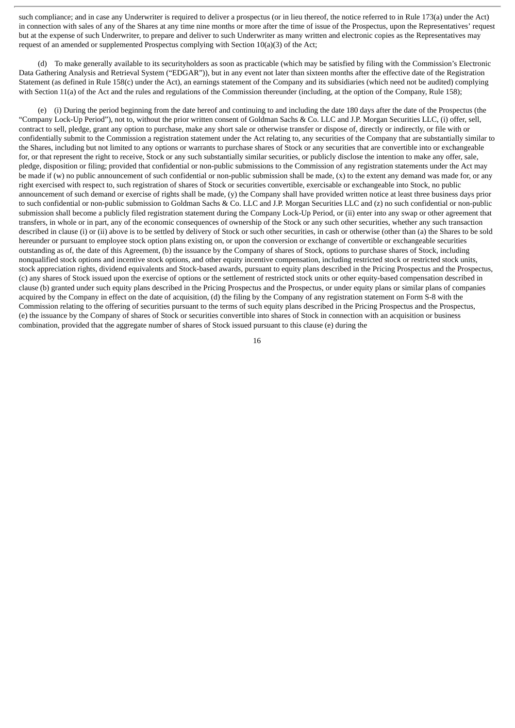such compliance; and in case any Underwriter is required to deliver a prospectus (or in lieu thereof, the notice referred to in Rule 173(a) under the Act) in connection with sales of any of the Shares at any time nine months or more after the time of issue of the Prospectus, upon the Representatives' request but at the expense of such Underwriter, to prepare and deliver to such Underwriter as many written and electronic copies as the Representatives may request of an amended or supplemented Prospectus complying with Section 10(a)(3) of the Act;

(d) To make generally available to its securityholders as soon as practicable (which may be satisfied by filing with the Commission's Electronic Data Gathering Analysis and Retrieval System ("EDGAR")), but in any event not later than sixteen months after the effective date of the Registration Statement (as defined in Rule 158(c) under the Act), an earnings statement of the Company and its subsidiaries (which need not be audited) complying with Section 11(a) of the Act and the rules and regulations of the Commission thereunder (including, at the option of the Company, Rule 158);

(e) (i) During the period beginning from the date hereof and continuing to and including the date 180 days after the date of the Prospectus (the "Company Lock-Up Period"), not to, without the prior written consent of Goldman Sachs & Co. LLC and J.P. Morgan Securities LLC, (i) offer, sell, contract to sell, pledge, grant any option to purchase, make any short sale or otherwise transfer or dispose of, directly or indirectly, or file with or confidentially submit to the Commission a registration statement under the Act relating to, any securities of the Company that are substantially similar to the Shares, including but not limited to any options or warrants to purchase shares of Stock or any securities that are convertible into or exchangeable for, or that represent the right to receive, Stock or any such substantially similar securities, or publicly disclose the intention to make any offer, sale, pledge, disposition or filing; provided that confidential or non-public submissions to the Commission of any registration statements under the Act may be made if (w) no public announcement of such confidential or non-public submission shall be made,  $(x)$  to the extent any demand was made for, or any right exercised with respect to, such registration of shares of Stock or securities convertible, exercisable or exchangeable into Stock, no public announcement of such demand or exercise of rights shall be made, (y) the Company shall have provided written notice at least three business days prior to such confidential or non-public submission to Goldman Sachs & Co. LLC and J.P. Morgan Securities LLC and (z) no such confidential or non-public submission shall become a publicly filed registration statement during the Company Lock-Up Period, or (ii) enter into any swap or other agreement that transfers, in whole or in part, any of the economic consequences of ownership of the Stock or any such other securities, whether any such transaction described in clause (i) or (ii) above is to be settled by delivery of Stock or such other securities, in cash or otherwise (other than (a) the Shares to be sold hereunder or pursuant to employee stock option plans existing on, or upon the conversion or exchange of convertible or exchangeable securities outstanding as of, the date of this Agreement, (b) the issuance by the Company of shares of Stock, options to purchase shares of Stock, including nonqualified stock options and incentive stock options, and other equity incentive compensation, including restricted stock or restricted stock units, stock appreciation rights, dividend equivalents and Stock-based awards, pursuant to equity plans described in the Pricing Prospectus and the Prospectus, (c) any shares of Stock issued upon the exercise of options or the settlement of restricted stock units or other equity-based compensation described in clause (b) granted under such equity plans described in the Pricing Prospectus and the Prospectus, or under equity plans or similar plans of companies acquired by the Company in effect on the date of acquisition, (d) the filing by the Company of any registration statement on Form S-8 with the Commission relating to the offering of securities pursuant to the terms of such equity plans described in the Pricing Prospectus and the Prospectus, (e) the issuance by the Company of shares of Stock or securities convertible into shares of Stock in connection with an acquisition or business combination, provided that the aggregate number of shares of Stock issued pursuant to this clause (e) during the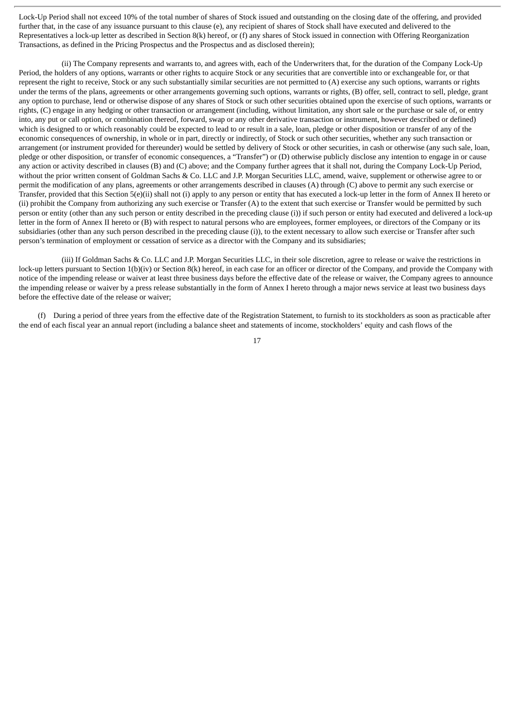Lock-Up Period shall not exceed 10% of the total number of shares of Stock issued and outstanding on the closing date of the offering, and provided further that, in the case of any issuance pursuant to this clause (e), any recipient of shares of Stock shall have executed and delivered to the Representatives a lock-up letter as described in Section 8(k) hereof, or (f) any shares of Stock issued in connection with Offering Reorganization Transactions, as defined in the Pricing Prospectus and the Prospectus and as disclosed therein);

(ii) The Company represents and warrants to, and agrees with, each of the Underwriters that, for the duration of the Company Lock-Up Period, the holders of any options, warrants or other rights to acquire Stock or any securities that are convertible into or exchangeable for, or that represent the right to receive, Stock or any such substantially similar securities are not permitted to (A) exercise any such options, warrants or rights under the terms of the plans, agreements or other arrangements governing such options, warrants or rights, (B) offer, sell, contract to sell, pledge, grant any option to purchase, lend or otherwise dispose of any shares of Stock or such other securities obtained upon the exercise of such options, warrants or rights, (C) engage in any hedging or other transaction or arrangement (including, without limitation, any short sale or the purchase or sale of, or entry into, any put or call option, or combination thereof, forward, swap or any other derivative transaction or instrument, however described or defined) which is designed to or which reasonably could be expected to lead to or result in a sale, loan, pledge or other disposition or transfer of any of the economic consequences of ownership, in whole or in part, directly or indirectly, of Stock or such other securities, whether any such transaction or arrangement (or instrument provided for thereunder) would be settled by delivery of Stock or other securities, in cash or otherwise (any such sale, loan, pledge or other disposition, or transfer of economic consequences, a "Transfer") or (D) otherwise publicly disclose any intention to engage in or cause any action or activity described in clauses (B) and (C) above; and the Company further agrees that it shall not, during the Company Lock-Up Period, without the prior written consent of Goldman Sachs & Co. LLC and J.P. Morgan Securities LLC, amend, waive, supplement or otherwise agree to or permit the modification of any plans, agreements or other arrangements described in clauses (A) through (C) above to permit any such exercise or Transfer, provided that this Section 5(e)(ii) shall not (i) apply to any person or entity that has executed a lock-up letter in the form of Annex II hereto or (ii) prohibit the Company from authorizing any such exercise or Transfer (A) to the extent that such exercise or Transfer would be permitted by such person or entity (other than any such person or entity described in the preceding clause (i)) if such person or entity had executed and delivered a lock-up letter in the form of Annex II hereto or (B) with respect to natural persons who are employees, former employees, or directors of the Company or its subsidiaries (other than any such person described in the preceding clause (i)), to the extent necessary to allow such exercise or Transfer after such person's termination of employment or cessation of service as a director with the Company and its subsidiaries;

(iii) If Goldman Sachs & Co. LLC and J.P. Morgan Securities LLC, in their sole discretion, agree to release or waive the restrictions in lock-up letters pursuant to Section 1(b)(iv) or Section 8(k) hereof, in each case for an officer or director of the Company, and provide the Company with notice of the impending release or waiver at least three business days before the effective date of the release or waiver, the Company agrees to announce the impending release or waiver by a press release substantially in the form of Annex I hereto through a major news service at least two business days before the effective date of the release or waiver;

(f) During a period of three years from the effective date of the Registration Statement, to furnish to its stockholders as soon as practicable after the end of each fiscal year an annual report (including a balance sheet and statements of income, stockholders' equity and cash flows of the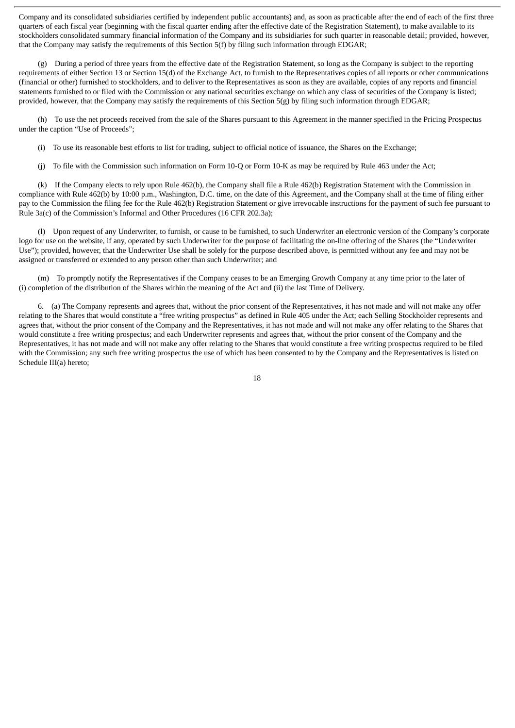Company and its consolidated subsidiaries certified by independent public accountants) and, as soon as practicable after the end of each of the first three quarters of each fiscal year (beginning with the fiscal quarter ending after the effective date of the Registration Statement), to make available to its stockholders consolidated summary financial information of the Company and its subsidiaries for such quarter in reasonable detail; provided, however, that the Company may satisfy the requirements of this Section 5(f) by filing such information through EDGAR;

(g) During a period of three years from the effective date of the Registration Statement, so long as the Company is subject to the reporting requirements of either Section 13 or Section 15(d) of the Exchange Act, to furnish to the Representatives copies of all reports or other communications (financial or other) furnished to stockholders, and to deliver to the Representatives as soon as they are available, copies of any reports and financial statements furnished to or filed with the Commission or any national securities exchange on which any class of securities of the Company is listed; provided, however, that the Company may satisfy the requirements of this Section 5(g) by filing such information through EDGAR;

(h) To use the net proceeds received from the sale of the Shares pursuant to this Agreement in the manner specified in the Pricing Prospectus under the caption "Use of Proceeds";

(i) To use its reasonable best efforts to list for trading, subject to official notice of issuance, the Shares on the Exchange;

(j) To file with the Commission such information on Form 10-Q or Form 10-K as may be required by Rule 463 under the Act;

(k) If the Company elects to rely upon Rule 462(b), the Company shall file a Rule 462(b) Registration Statement with the Commission in compliance with Rule 462(b) by 10:00 p.m., Washington, D.C. time, on the date of this Agreement, and the Company shall at the time of filing either pay to the Commission the filing fee for the Rule 462(b) Registration Statement or give irrevocable instructions for the payment of such fee pursuant to Rule 3a(c) of the Commission's Informal and Other Procedures (16 CFR 202.3a);

(l) Upon request of any Underwriter, to furnish, or cause to be furnished, to such Underwriter an electronic version of the Company's corporate logo for use on the website, if any, operated by such Underwriter for the purpose of facilitating the on-line offering of the Shares (the "Underwriter Use"); provided, however, that the Underwriter Use shall be solely for the purpose described above, is permitted without any fee and may not be assigned or transferred or extended to any person other than such Underwriter; and

(m) To promptly notify the Representatives if the Company ceases to be an Emerging Growth Company at any time prior to the later of (i) completion of the distribution of the Shares within the meaning of the Act and (ii) the last Time of Delivery.

6. (a) The Company represents and agrees that, without the prior consent of the Representatives, it has not made and will not make any offer relating to the Shares that would constitute a "free writing prospectus" as defined in Rule 405 under the Act; each Selling Stockholder represents and agrees that, without the prior consent of the Company and the Representatives, it has not made and will not make any offer relating to the Shares that would constitute a free writing prospectus; and each Underwriter represents and agrees that, without the prior consent of the Company and the Representatives, it has not made and will not make any offer relating to the Shares that would constitute a free writing prospectus required to be filed with the Commission; any such free writing prospectus the use of which has been consented to by the Company and the Representatives is listed on Schedule III(a) hereto;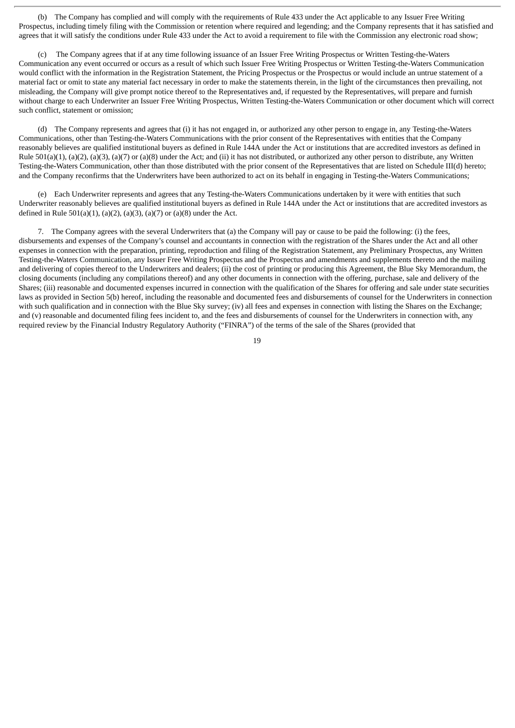(b) The Company has complied and will comply with the requirements of Rule 433 under the Act applicable to any Issuer Free Writing Prospectus, including timely filing with the Commission or retention where required and legending; and the Company represents that it has satisfied and agrees that it will satisfy the conditions under Rule 433 under the Act to avoid a requirement to file with the Commission any electronic road show;

(c) The Company agrees that if at any time following issuance of an Issuer Free Writing Prospectus or Written Testing-the-Waters Communication any event occurred or occurs as a result of which such Issuer Free Writing Prospectus or Written Testing-the-Waters Communication would conflict with the information in the Registration Statement, the Pricing Prospectus or the Prospectus or would include an untrue statement of a material fact or omit to state any material fact necessary in order to make the statements therein, in the light of the circumstances then prevailing, not misleading, the Company will give prompt notice thereof to the Representatives and, if requested by the Representatives, will prepare and furnish without charge to each Underwriter an Issuer Free Writing Prospectus, Written Testing-the-Waters Communication or other document which will correct such conflict, statement or omission;

(d) The Company represents and agrees that (i) it has not engaged in, or authorized any other person to engage in, any Testing-the-Waters Communications, other than Testing-the-Waters Communications with the prior consent of the Representatives with entities that the Company reasonably believes are qualified institutional buyers as defined in Rule 144A under the Act or institutions that are accredited investors as defined in Rule  $501(a)(1)$ , (a)(2), (a)(3), (a)(7) or (a)(8) under the Act; and (ii) it has not distributed, or authorized any other person to distribute, any Written Testing-the-Waters Communication, other than those distributed with the prior consent of the Representatives that are listed on Schedule III(d) hereto; and the Company reconfirms that the Underwriters have been authorized to act on its behalf in engaging in Testing-the-Waters Communications;

(e) Each Underwriter represents and agrees that any Testing-the-Waters Communications undertaken by it were with entities that such Underwriter reasonably believes are qualified institutional buyers as defined in Rule 144A under the Act or institutions that are accredited investors as defined in Rule 501(a)(1), (a)(2), (a)(3), (a)(7) or (a)(8) under the Act.

7. The Company agrees with the several Underwriters that (a) the Company will pay or cause to be paid the following: (i) the fees, disbursements and expenses of the Company's counsel and accountants in connection with the registration of the Shares under the Act and all other expenses in connection with the preparation, printing, reproduction and filing of the Registration Statement, any Preliminary Prospectus, any Written Testing-the-Waters Communication, any Issuer Free Writing Prospectus and the Prospectus and amendments and supplements thereto and the mailing and delivering of copies thereof to the Underwriters and dealers; (ii) the cost of printing or producing this Agreement, the Blue Sky Memorandum, the closing documents (including any compilations thereof) and any other documents in connection with the offering, purchase, sale and delivery of the Shares; (iii) reasonable and documented expenses incurred in connection with the qualification of the Shares for offering and sale under state securities laws as provided in Section 5(b) hereof, including the reasonable and documented fees and disbursements of counsel for the Underwriters in connection with such qualification and in connection with the Blue Sky survey; (iv) all fees and expenses in connection with listing the Shares on the Exchange; and (v) reasonable and documented filing fees incident to, and the fees and disbursements of counsel for the Underwriters in connection with, any required review by the Financial Industry Regulatory Authority ("FINRA") of the terms of the sale of the Shares (provided that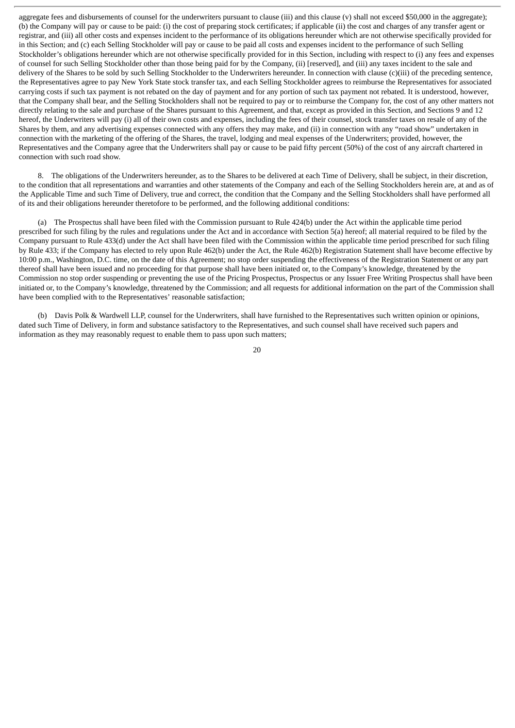aggregate fees and disbursements of counsel for the underwriters pursuant to clause (iii) and this clause (v) shall not exceed \$50,000 in the aggregate); (b) the Company will pay or cause to be paid: (i) the cost of preparing stock certificates; if applicable (ii) the cost and charges of any transfer agent or registrar, and (iii) all other costs and expenses incident to the performance of its obligations hereunder which are not otherwise specifically provided for in this Section; and (c) each Selling Stockholder will pay or cause to be paid all costs and expenses incident to the performance of such Selling Stockholder's obligations hereunder which are not otherwise specifically provided for in this Section, including with respect to (i) any fees and expenses of counsel for such Selling Stockholder other than those being paid for by the Company, (ii) [reserved], and (iii) any taxes incident to the sale and delivery of the Shares to be sold by such Selling Stockholder to the Underwriters hereunder. In connection with clause (c)(iii) of the preceding sentence, the Representatives agree to pay New York State stock transfer tax, and each Selling Stockholder agrees to reimburse the Representatives for associated carrying costs if such tax payment is not rebated on the day of payment and for any portion of such tax payment not rebated. It is understood, however, that the Company shall bear, and the Selling Stockholders shall not be required to pay or to reimburse the Company for, the cost of any other matters not directly relating to the sale and purchase of the Shares pursuant to this Agreement, and that, except as provided in this Section, and Sections 9 and 12 hereof, the Underwriters will pay (i) all of their own costs and expenses, including the fees of their counsel, stock transfer taxes on resale of any of the Shares by them, and any advertising expenses connected with any offers they may make, and (ii) in connection with any "road show" undertaken in connection with the marketing of the offering of the Shares, the travel, lodging and meal expenses of the Underwriters; provided, however, the Representatives and the Company agree that the Underwriters shall pay or cause to be paid fifty percent (50%) of the cost of any aircraft chartered in connection with such road show.

8. The obligations of the Underwriters hereunder, as to the Shares to be delivered at each Time of Delivery, shall be subject, in their discretion, to the condition that all representations and warranties and other statements of the Company and each of the Selling Stockholders herein are, at and as of the Applicable Time and such Time of Delivery, true and correct, the condition that the Company and the Selling Stockholders shall have performed all of its and their obligations hereunder theretofore to be performed, and the following additional conditions:

(a) The Prospectus shall have been filed with the Commission pursuant to Rule 424(b) under the Act within the applicable time period prescribed for such filing by the rules and regulations under the Act and in accordance with Section 5(a) hereof; all material required to be filed by the Company pursuant to Rule 433(d) under the Act shall have been filed with the Commission within the applicable time period prescribed for such filing by Rule 433; if the Company has elected to rely upon Rule 462(b) under the Act, the Rule 462(b) Registration Statement shall have become effective by 10:00 p.m., Washington, D.C. time, on the date of this Agreement; no stop order suspending the effectiveness of the Registration Statement or any part thereof shall have been issued and no proceeding for that purpose shall have been initiated or, to the Company's knowledge, threatened by the Commission no stop order suspending or preventing the use of the Pricing Prospectus, Prospectus or any Issuer Free Writing Prospectus shall have been initiated or, to the Company's knowledge, threatened by the Commission; and all requests for additional information on the part of the Commission shall have been complied with to the Representatives' reasonable satisfaction;

(b) Davis Polk & Wardwell LLP, counsel for the Underwriters, shall have furnished to the Representatives such written opinion or opinions, dated such Time of Delivery, in form and substance satisfactory to the Representatives, and such counsel shall have received such papers and information as they may reasonably request to enable them to pass upon such matters;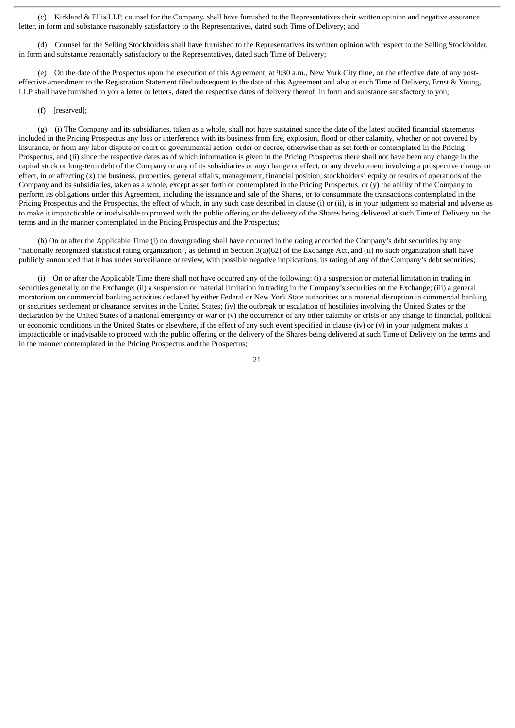(c) Kirkland & Ellis LLP, counsel for the Company, shall have furnished to the Representatives their written opinion and negative assurance letter, in form and substance reasonably satisfactory to the Representatives, dated such Time of Delivery; and

(d) Counsel for the Selling Stockholders shall have furnished to the Representatives its written opinion with respect to the Selling Stockholder, in form and substance reasonably satisfactory to the Representatives, dated such Time of Delivery;

(e) On the date of the Prospectus upon the execution of this Agreement, at 9:30 a.m., New York City time, on the effective date of any posteffective amendment to the Registration Statement filed subsequent to the date of this Agreement and also at each Time of Delivery, Ernst & Young, LLP shall have furnished to you a letter or letters, dated the respective dates of delivery thereof, in form and substance satisfactory to you;

#### (f) [reserved];

(g) (i) The Company and its subsidiaries, taken as a whole, shall not have sustained since the date of the latest audited financial statements included in the Pricing Prospectus any loss or interference with its business from fire, explosion, flood or other calamity, whether or not covered by insurance, or from any labor dispute or court or governmental action, order or decree, otherwise than as set forth or contemplated in the Pricing Prospectus, and (ii) since the respective dates as of which information is given in the Pricing Prospectus there shall not have been any change in the capital stock or long-term debt of the Company or any of its subsidiaries or any change or effect, or any development involving a prospective change or effect, in or affecting (x) the business, properties, general affairs, management, financial position, stockholders' equity or results of operations of the Company and its subsidiaries, taken as a whole, except as set forth or contemplated in the Pricing Prospectus, or  $(y)$  the ability of the Company to perform its obligations under this Agreement, including the issuance and sale of the Shares, or to consummate the transactions contemplated in the Pricing Prospectus and the Prospectus, the effect of which, in any such case described in clause (i) or (ii), is in your judgment so material and adverse as to make it impracticable or inadvisable to proceed with the public offering or the delivery of the Shares being delivered at such Time of Delivery on the terms and in the manner contemplated in the Pricing Prospectus and the Prospectus;

(h) On or after the Applicable Time (i) no downgrading shall have occurred in the rating accorded the Company's debt securities by any "nationally recognized statistical rating organization", as defined in Section 3(a)(62) of the Exchange Act, and (ii) no such organization shall have publicly announced that it has under surveillance or review, with possible negative implications, its rating of any of the Company's debt securities;

(i) On or after the Applicable Time there shall not have occurred any of the following: (i) a suspension or material limitation in trading in securities generally on the Exchange; (ii) a suspension or material limitation in trading in the Company's securities on the Exchange; (iii) a general moratorium on commercial banking activities declared by either Federal or New York State authorities or a material disruption in commercial banking or securities settlement or clearance services in the United States; (iv) the outbreak or escalation of hostilities involving the United States or the declaration by the United States of a national emergency or war or (v) the occurrence of any other calamity or crisis or any change in financial, political or economic conditions in the United States or elsewhere, if the effect of any such event specified in clause (iv) or  $(v)$  in your judgment makes it impracticable or inadvisable to proceed with the public offering or the delivery of the Shares being delivered at such Time of Delivery on the terms and in the manner contemplated in the Pricing Prospectus and the Prospectus;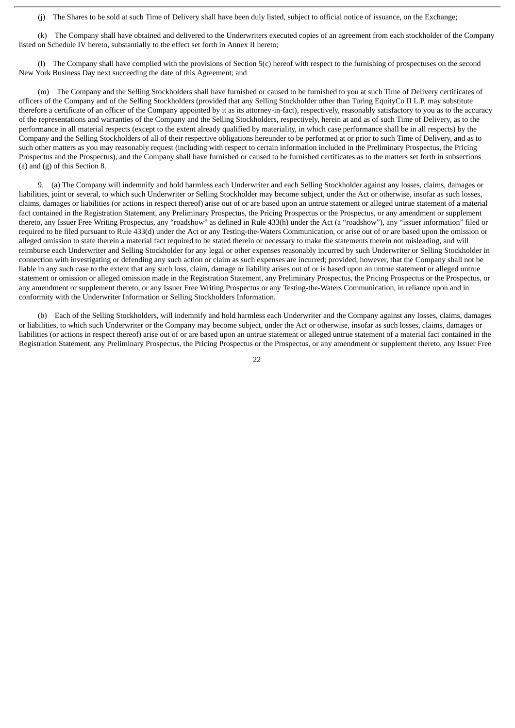(j) The Shares to be sold at such Time of Delivery shall have been duly listed, subject to official notice of issuance, on the Exchange;

(k) The Company shall have obtained and delivered to the Underwriters executed copies of an agreement from each stockholder of the Company listed on Schedule IV hereto, substantially to the effect set forth in Annex II hereto;

(l) The Company shall have complied with the provisions of Section 5(c) hereof with respect to the furnishing of prospectuses on the second New York Business Day next succeeding the date of this Agreement; and

(m) The Company and the Selling Stockholders shall have furnished or caused to be furnished to you at such Time of Delivery certificates of officers of the Company and of the Selling Stockholders (provided that any Selling Stockholder other than Turing EquityCo II L.P. may substitute therefore a certificate of an officer of the Company appointed by it as its attorney-in-fact), respectively, reasonably satisfactory to you as to the accuracy of the representations and warranties of the Company and the Selling Stockholders, respectively, herein at and as of such Time of Delivery, as to the performance in all material respects (except to the extent already qualified by materiality, in which case performance shall be in all respects) by the Company and the Selling Stockholders of all of their respective obligations hereunder to be performed at or prior to such Time of Delivery, and as to such other matters as you may reasonably request (including with respect to certain information included in the Preliminary Prospectus, the Pricing Prospectus and the Prospectus), and the Company shall have furnished or caused to be furnished certificates as to the matters set forth in subsections (a) and (g) of this Section 8.

9. (a) The Company will indemnify and hold harmless each Underwriter and each Selling Stockholder against any losses, claims, damages or liabilities, joint or several, to which such Underwriter or Selling Stockholder may become subject, under the Act or otherwise, insofar as such losses, claims, damages or liabilities (or actions in respect thereof) arise out of or are based upon an untrue statement or alleged untrue statement of a material fact contained in the Registration Statement, any Preliminary Prospectus, the Pricing Prospectus or the Prospectus, or any amendment or supplement thereto, any Issuer Free Writing Prospectus, any "roadshow" as defined in Rule 433(h) under the Act (a "roadshow"), any "issuer information" filed or required to be filed pursuant to Rule 433(d) under the Act or any Testing-the-Waters Communication, or arise out of or are based upon the omission or alleged omission to state therein a material fact required to be stated therein or necessary to make the statements therein not misleading, and will reimburse each Underwriter and Selling Stockholder for any legal or other expenses reasonably incurred by such Underwriter or Selling Stockholder in connection with investigating or defending any such action or claim as such expenses are incurred; provided, however, that the Company shall not be liable in any such case to the extent that any such loss, claim, damage or liability arises out of or is based upon an untrue statement or alleged untrue statement or omission or alleged omission made in the Registration Statement, any Preliminary Prospectus, the Pricing Prospectus or the Prospectus, or any amendment or supplement thereto, or any Issuer Free Writing Prospectus or any Testing-the-Waters Communication, in reliance upon and in conformity with the Underwriter Information or Selling Stockholders Information.

(b) Each of the Selling Stockholders, will indemnify and hold harmless each Underwriter and the Company against any losses, claims, damages or liabilities, to which such Underwriter or the Company may become subject, under the Act or otherwise, insofar as such losses, claims, damages or liabilities (or actions in respect thereof) arise out of or are based upon an untrue statement or alleged untrue statement of a material fact contained in the Registration Statement, any Preliminary Prospectus, the Pricing Prospectus or the Prospectus, or any amendment or supplement thereto, any Issuer Free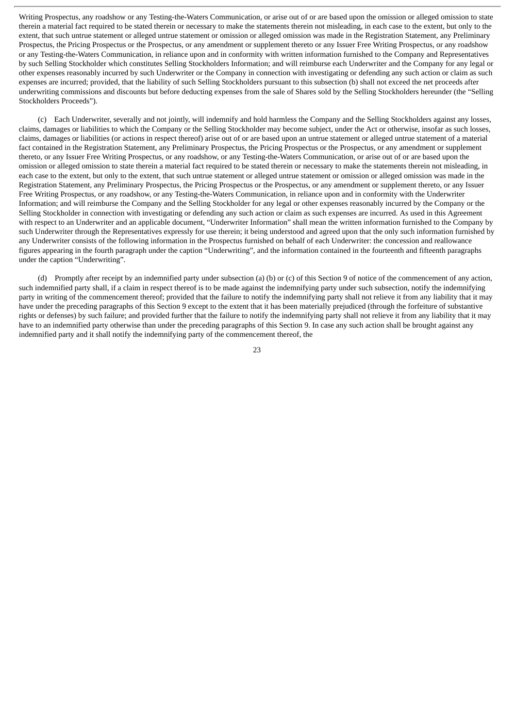Writing Prospectus, any roadshow or any Testing-the-Waters Communication, or arise out of or are based upon the omission or alleged omission to state therein a material fact required to be stated therein or necessary to make the statements therein not misleading, in each case to the extent, but only to the extent, that such untrue statement or alleged untrue statement or omission or alleged omission was made in the Registration Statement, any Preliminary Prospectus, the Pricing Prospectus or the Prospectus, or any amendment or supplement thereto or any Issuer Free Writing Prospectus, or any roadshow or any Testing-the-Waters Communication, in reliance upon and in conformity with written information furnished to the Company and Representatives by such Selling Stockholder which constitutes Selling Stockholders Information; and will reimburse each Underwriter and the Company for any legal or other expenses reasonably incurred by such Underwriter or the Company in connection with investigating or defending any such action or claim as such expenses are incurred; provided, that the liability of such Selling Stockholders pursuant to this subsection (b) shall not exceed the net proceeds after underwriting commissions and discounts but before deducting expenses from the sale of Shares sold by the Selling Stockholders hereunder (the "Selling Stockholders Proceeds").

(c) Each Underwriter, severally and not jointly, will indemnify and hold harmless the Company and the Selling Stockholders against any losses, claims, damages or liabilities to which the Company or the Selling Stockholder may become subject, under the Act or otherwise, insofar as such losses, claims, damages or liabilities (or actions in respect thereof) arise out of or are based upon an untrue statement or alleged untrue statement of a material fact contained in the Registration Statement, any Preliminary Prospectus, the Pricing Prospectus or the Prospectus, or any amendment or supplement thereto, or any Issuer Free Writing Prospectus, or any roadshow, or any Testing-the-Waters Communication, or arise out of or are based upon the omission or alleged omission to state therein a material fact required to be stated therein or necessary to make the statements therein not misleading, in each case to the extent, but only to the extent, that such untrue statement or alleged untrue statement or omission or alleged omission was made in the Registration Statement, any Preliminary Prospectus, the Pricing Prospectus or the Prospectus, or any amendment or supplement thereto, or any Issuer Free Writing Prospectus, or any roadshow, or any Testing-the-Waters Communication, in reliance upon and in conformity with the Underwriter Information; and will reimburse the Company and the Selling Stockholder for any legal or other expenses reasonably incurred by the Company or the Selling Stockholder in connection with investigating or defending any such action or claim as such expenses are incurred. As used in this Agreement with respect to an Underwriter and an applicable document, "Underwriter Information" shall mean the written information furnished to the Company by such Underwriter through the Representatives expressly for use therein; it being understood and agreed upon that the only such information furnished by any Underwriter consists of the following information in the Prospectus furnished on behalf of each Underwriter: the concession and reallowance figures appearing in the fourth paragraph under the caption "Underwriting", and the information contained in the fourteenth and fifteenth paragraphs under the caption "Underwriting".

(d) Promptly after receipt by an indemnified party under subsection (a) (b) or (c) of this Section 9 of notice of the commencement of any action, such indemnified party shall, if a claim in respect thereof is to be made against the indemnifying party under such subsection, notify the indemnifying party in writing of the commencement thereof; provided that the failure to notify the indemnifying party shall not relieve it from any liability that it may have under the preceding paragraphs of this Section 9 except to the extent that it has been materially prejudiced (through the forfeiture of substantive rights or defenses) by such failure; and provided further that the failure to notify the indemnifying party shall not relieve it from any liability that it may have to an indemnified party otherwise than under the preceding paragraphs of this Section 9. In case any such action shall be brought against any indemnified party and it shall notify the indemnifying party of the commencement thereof, the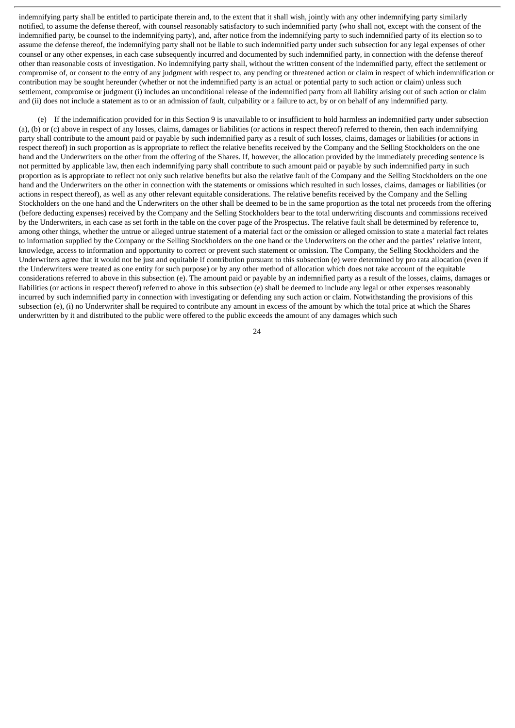indemnifying party shall be entitled to participate therein and, to the extent that it shall wish, jointly with any other indemnifying party similarly notified, to assume the defense thereof, with counsel reasonably satisfactory to such indemnified party (who shall not, except with the consent of the indemnified party, be counsel to the indemnifying party), and, after notice from the indemnifying party to such indemnified party of its election so to assume the defense thereof, the indemnifying party shall not be liable to such indemnified party under such subsection for any legal expenses of other counsel or any other expenses, in each case subsequently incurred and documented by such indemnified party, in connection with the defense thereof other than reasonable costs of investigation. No indemnifying party shall, without the written consent of the indemnified party, effect the settlement or compromise of, or consent to the entry of any judgment with respect to, any pending or threatened action or claim in respect of which indemnification or contribution may be sought hereunder (whether or not the indemnified party is an actual or potential party to such action or claim) unless such settlement, compromise or judgment (i) includes an unconditional release of the indemnified party from all liability arising out of such action or claim and (ii) does not include a statement as to or an admission of fault, culpability or a failure to act, by or on behalf of any indemnified party.

(e) If the indemnification provided for in this Section 9 is unavailable to or insufficient to hold harmless an indemnified party under subsection (a), (b) or (c) above in respect of any losses, claims, damages or liabilities (or actions in respect thereof) referred to therein, then each indemnifying party shall contribute to the amount paid or payable by such indemnified party as a result of such losses, claims, damages or liabilities (or actions in respect thereof) in such proportion as is appropriate to reflect the relative benefits received by the Company and the Selling Stockholders on the one hand and the Underwriters on the other from the offering of the Shares. If, however, the allocation provided by the immediately preceding sentence is not permitted by applicable law, then each indemnifying party shall contribute to such amount paid or payable by such indemnified party in such proportion as is appropriate to reflect not only such relative benefits but also the relative fault of the Company and the Selling Stockholders on the one hand and the Underwriters on the other in connection with the statements or omissions which resulted in such losses, claims, damages or liabilities (or actions in respect thereof), as well as any other relevant equitable considerations. The relative benefits received by the Company and the Selling Stockholders on the one hand and the Underwriters on the other shall be deemed to be in the same proportion as the total net proceeds from the offering (before deducting expenses) received by the Company and the Selling Stockholders bear to the total underwriting discounts and commissions received by the Underwriters, in each case as set forth in the table on the cover page of the Prospectus. The relative fault shall be determined by reference to, among other things, whether the untrue or alleged untrue statement of a material fact or the omission or alleged omission to state a material fact relates to information supplied by the Company or the Selling Stockholders on the one hand or the Underwriters on the other and the parties' relative intent, knowledge, access to information and opportunity to correct or prevent such statement or omission. The Company, the Selling Stockholders and the Underwriters agree that it would not be just and equitable if contribution pursuant to this subsection (e) were determined by pro rata allocation (even if the Underwriters were treated as one entity for such purpose) or by any other method of allocation which does not take account of the equitable considerations referred to above in this subsection (e). The amount paid or payable by an indemnified party as a result of the losses, claims, damages or liabilities (or actions in respect thereof) referred to above in this subsection (e) shall be deemed to include any legal or other expenses reasonably incurred by such indemnified party in connection with investigating or defending any such action or claim. Notwithstanding the provisions of this subsection (e), (i) no Underwriter shall be required to contribute any amount in excess of the amount by which the total price at which the Shares underwritten by it and distributed to the public were offered to the public exceeds the amount of any damages which such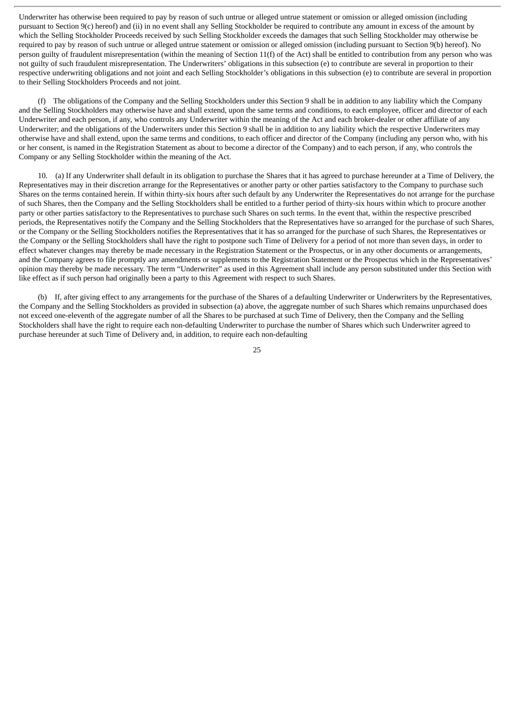Underwriter has otherwise been required to pay by reason of such untrue or alleged untrue statement or omission or alleged omission (including pursuant to Section 9(c) hereof) and (ii) in no event shall any Selling Stockholder be required to contribute any amount in excess of the amount by which the Selling Stockholder Proceeds received by such Selling Stockholder exceeds the damages that such Selling Stockholder may otherwise be required to pay by reason of such untrue or alleged untrue statement or omission or alleged omission (including pursuant to Section 9(b) hereof). No person guilty of fraudulent misrepresentation (within the meaning of Section 11(f) of the Act) shall be entitled to contribution from any person who was not guilty of such fraudulent misrepresentation. The Underwriters' obligations in this subsection (e) to contribute are several in proportion to their respective underwriting obligations and not joint and each Selling Stockholder's obligations in this subsection (e) to contribute are several in proportion to their Selling Stockholders Proceeds and not joint.

(f) The obligations of the Company and the Selling Stockholders under this Section 9 shall be in addition to any liability which the Company and the Selling Stockholders may otherwise have and shall extend, upon the same terms and conditions, to each employee, officer and director of each Underwriter and each person, if any, who controls any Underwriter within the meaning of the Act and each broker-dealer or other affiliate of any Underwriter; and the obligations of the Underwriters under this Section 9 shall be in addition to any liability which the respective Underwriters may otherwise have and shall extend, upon the same terms and conditions, to each officer and director of the Company (including any person who, with his or her consent, is named in the Registration Statement as about to become a director of the Company) and to each person, if any, who controls the Company or any Selling Stockholder within the meaning of the Act.

10. (a) If any Underwriter shall default in its obligation to purchase the Shares that it has agreed to purchase hereunder at a Time of Delivery, the Representatives may in their discretion arrange for the Representatives or another party or other parties satisfactory to the Company to purchase such Shares on the terms contained herein. If within thirty-six hours after such default by any Underwriter the Representatives do not arrange for the purchase of such Shares, then the Company and the Selling Stockholders shall be entitled to a further period of thirty-six hours within which to procure another party or other parties satisfactory to the Representatives to purchase such Shares on such terms. In the event that, within the respective prescribed periods, the Representatives notify the Company and the Selling Stockholders that the Representatives have so arranged for the purchase of such Shares, or the Company or the Selling Stockholders notifies the Representatives that it has so arranged for the purchase of such Shares, the Representatives or the Company or the Selling Stockholders shall have the right to postpone such Time of Delivery for a period of not more than seven days, in order to effect whatever changes may thereby be made necessary in the Registration Statement or the Prospectus, or in any other documents or arrangements, and the Company agrees to file promptly any amendments or supplements to the Registration Statement or the Prospectus which in the Representatives' opinion may thereby be made necessary. The term "Underwriter" as used in this Agreement shall include any person substituted under this Section with like effect as if such person had originally been a party to this Agreement with respect to such Shares.

(b) If, after giving effect to any arrangements for the purchase of the Shares of a defaulting Underwriter or Underwriters by the Representatives, the Company and the Selling Stockholders as provided in subsection (a) above, the aggregate number of such Shares which remains unpurchased does not exceed one-eleventh of the aggregate number of all the Shares to be purchased at such Time of Delivery, then the Company and the Selling Stockholders shall have the right to require each non-defaulting Underwriter to purchase the number of Shares which such Underwriter agreed to purchase hereunder at such Time of Delivery and, in addition, to require each non-defaulting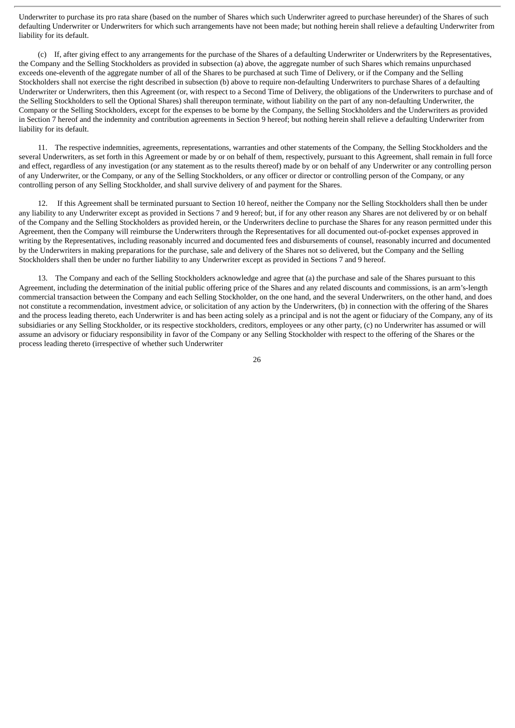Underwriter to purchase its pro rata share (based on the number of Shares which such Underwriter agreed to purchase hereunder) of the Shares of such defaulting Underwriter or Underwriters for which such arrangements have not been made; but nothing herein shall relieve a defaulting Underwriter from liability for its default.

(c) If, after giving effect to any arrangements for the purchase of the Shares of a defaulting Underwriter or Underwriters by the Representatives, the Company and the Selling Stockholders as provided in subsection (a) above, the aggregate number of such Shares which remains unpurchased exceeds one-eleventh of the aggregate number of all of the Shares to be purchased at such Time of Delivery, or if the Company and the Selling Stockholders shall not exercise the right described in subsection (b) above to require non-defaulting Underwriters to purchase Shares of a defaulting Underwriter or Underwriters, then this Agreement (or, with respect to a Second Time of Delivery, the obligations of the Underwriters to purchase and of the Selling Stockholders to sell the Optional Shares) shall thereupon terminate, without liability on the part of any non-defaulting Underwriter, the Company or the Selling Stockholders, except for the expenses to be borne by the Company, the Selling Stockholders and the Underwriters as provided in Section 7 hereof and the indemnity and contribution agreements in Section 9 hereof; but nothing herein shall relieve a defaulting Underwriter from liability for its default.

11. The respective indemnities, agreements, representations, warranties and other statements of the Company, the Selling Stockholders and the several Underwriters, as set forth in this Agreement or made by or on behalf of them, respectively, pursuant to this Agreement, shall remain in full force and effect, regardless of any investigation (or any statement as to the results thereof) made by or on behalf of any Underwriter or any controlling person of any Underwriter, or the Company, or any of the Selling Stockholders, or any officer or director or controlling person of the Company, or any controlling person of any Selling Stockholder, and shall survive delivery of and payment for the Shares.

12. If this Agreement shall be terminated pursuant to Section 10 hereof, neither the Company nor the Selling Stockholders shall then be under any liability to any Underwriter except as provided in Sections 7 and 9 hereof; but, if for any other reason any Shares are not delivered by or on behalf of the Company and the Selling Stockholders as provided herein, or the Underwriters decline to purchase the Shares for any reason permitted under this Agreement, then the Company will reimburse the Underwriters through the Representatives for all documented out-of-pocket expenses approved in writing by the Representatives, including reasonably incurred and documented fees and disbursements of counsel, reasonably incurred and documented by the Underwriters in making preparations for the purchase, sale and delivery of the Shares not so delivered, but the Company and the Selling Stockholders shall then be under no further liability to any Underwriter except as provided in Sections 7 and 9 hereof.

13. The Company and each of the Selling Stockholders acknowledge and agree that (a) the purchase and sale of the Shares pursuant to this Agreement, including the determination of the initial public offering price of the Shares and any related discounts and commissions, is an arm's-length commercial transaction between the Company and each Selling Stockholder, on the one hand, and the several Underwriters, on the other hand, and does not constitute a recommendation, investment advice, or solicitation of any action by the Underwriters, (b) in connection with the offering of the Shares and the process leading thereto, each Underwriter is and has been acting solely as a principal and is not the agent or fiduciary of the Company, any of its subsidiaries or any Selling Stockholder, or its respective stockholders, creditors, employees or any other party, (c) no Underwriter has assumed or will assume an advisory or fiduciary responsibility in favor of the Company or any Selling Stockholder with respect to the offering of the Shares or the process leading thereto (irrespective of whether such Underwriter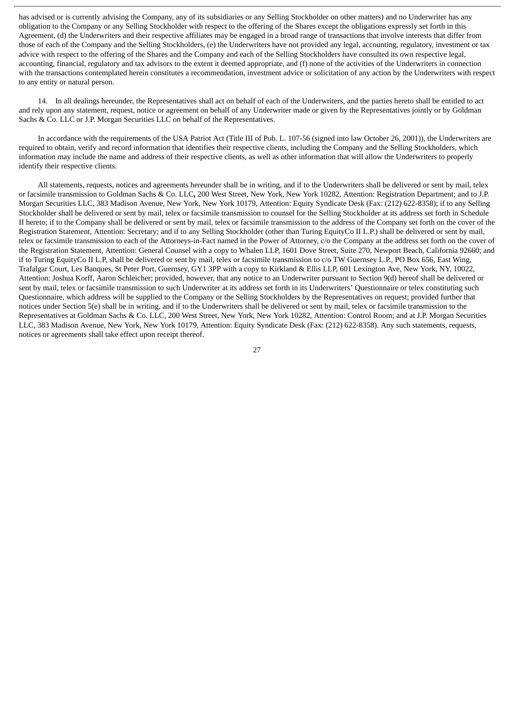has advised or is currently advising the Company, any of its subsidiaries or any Selling Stockholder on other matters) and no Underwriter has any obligation to the Company or any Selling Stockholder with respect to the offering of the Shares except the obligations expressly set forth in this Agreement, (d) the Underwriters and their respective affiliates may be engaged in a broad range of transactions that involve interests that differ from those of each of the Company and the Selling Stockholders, (e) the Underwriters have not provided any legal, accounting, regulatory, investment or tax advice with respect to the offering of the Shares and the Company and each of the Selling Stockholders have consulted its own respective legal, accounting, financial, regulatory and tax advisors to the extent it deemed appropriate, and (f) none of the activities of the Underwriters in connection with the transactions contemplated herein constitutes a recommendation, investment advice or solicitation of any action by the Underwriters with respect to any entity or natural person.

14. In all dealings hereunder, the Representatives shall act on behalf of each of the Underwriters, and the parties hereto shall be entitled to act and rely upon any statement, request, notice or agreement on behalf of any Underwriter made or given by the Representatives jointly or by Goldman Sachs & Co. LLC or J.P. Morgan Securities LLC on behalf of the Representatives.

In accordance with the requirements of the USA Patriot Act (Title III of Pub. L. 107-56 (signed into law October 26, 2001)), the Underwriters are required to obtain, verify and record information that identifies their respective clients, including the Company and the Selling Stockholders, which information may include the name and address of their respective clients, as well as other information that will allow the Underwriters to properly identify their respective clients.

All statements, requests, notices and agreements hereunder shall be in writing, and if to the Underwriters shall be delivered or sent by mail, telex or facsimile transmission to Goldman Sachs & Co. LLC**,** 200 West Street, New York, New York 10282, Attention: Registration Department; and to J.P. Morgan Securities LLC, 383 Madison Avenue, New York, New York 10179, Attention: Equity Syndicate Desk (Fax: (212) 622-8358); if to any Selling Stockholder shall be delivered or sent by mail, telex or facsimile transmission to counsel for the Selling Stockholder at its address set forth in Schedule II hereto; if to the Company shall be delivered or sent by mail, telex or facsimile transmission to the address of the Company set forth on the cover of the Registration Statement, Attention: Secretary; and if to any Selling Stockholder (other than Turing EquityCo II L.P.) shall be delivered or sent by mail, telex or facsimile transmission to each of the Attorneys-in-Fact named in the Power of Attorney, c/o the Company at the address set forth on the cover of the Registration Statement, Attention: General Counsel with a copy to Whalen LLP, 1601 Dove Street, Suite 270, Newport Beach, California 92660; and if to Turing EquityCo II L.P, shall be delivered or sent by mail, telex or facsimile transmission to c/o TW Guernsey L.P., PO Box 656, East Wing, Trafalgar Court, Les Banques, St Peter Port, Guernsey, GY1 3PP with a copy to Kirkland & Ellis LLP, 601 Lexington Ave, New York, NY, 10022, Attention: Joshua Korff, Aaron Schleicher; provided, however, that any notice to an Underwriter pursuant to Section 9(d) hereof shall be delivered or sent by mail, telex or facsimile transmission to such Underwriter at its address set forth in its Underwriters' Questionnaire or telex constituting such Questionnaire, which address will be supplied to the Company or the Selling Stockholders by the Representatives on request; provided further that notices under Section 5(e) shall be in writing, and if to the Underwriters shall be delivered or sent by mail, telex or facsimile transmission to the Representatives at Goldman Sachs & Co. LLC, 200 West Street, New York, New York 10282, Attention: Control Room; and at J.P. Morgan Securities LLC, 383 Madison Avenue, New York, New York 10179, Attention: Equity Syndicate Desk (Fax: (212) 622-8358). Any such statements, requests, notices or agreements shall take effect upon receipt thereof.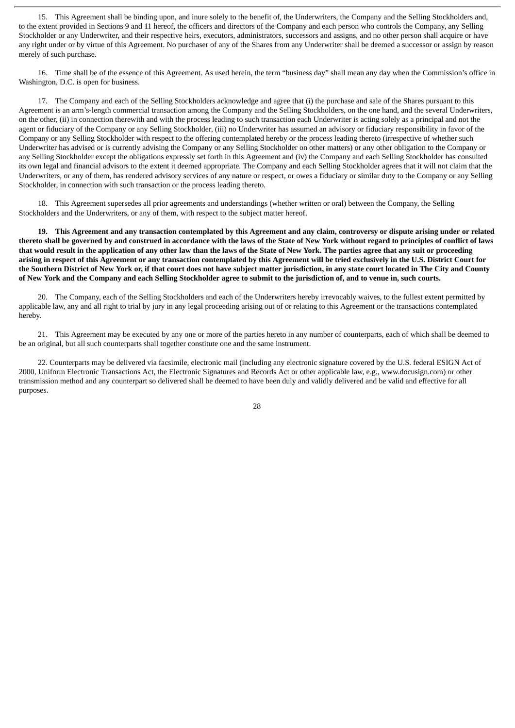15. This Agreement shall be binding upon, and inure solely to the benefit of, the Underwriters, the Company and the Selling Stockholders and, to the extent provided in Sections 9 and 11 hereof, the officers and directors of the Company and each person who controls the Company, any Selling Stockholder or any Underwriter, and their respective heirs, executors, administrators, successors and assigns, and no other person shall acquire or have any right under or by virtue of this Agreement. No purchaser of any of the Shares from any Underwriter shall be deemed a successor or assign by reason merely of such purchase.

16. Time shall be of the essence of this Agreement. As used herein, the term "business day" shall mean any day when the Commission's office in Washington, D.C. is open for business.

17. The Company and each of the Selling Stockholders acknowledge and agree that (i) the purchase and sale of the Shares pursuant to this Agreement is an arm's-length commercial transaction among the Company and the Selling Stockholders, on the one hand, and the several Underwriters, on the other, (ii) in connection therewith and with the process leading to such transaction each Underwriter is acting solely as a principal and not the agent or fiduciary of the Company or any Selling Stockholder, (iii) no Underwriter has assumed an advisory or fiduciary responsibility in favor of the Company or any Selling Stockholder with respect to the offering contemplated hereby or the process leading thereto (irrespective of whether such Underwriter has advised or is currently advising the Company or any Selling Stockholder on other matters) or any other obligation to the Company or any Selling Stockholder except the obligations expressly set forth in this Agreement and (iv) the Company and each Selling Stockholder has consulted its own legal and financial advisors to the extent it deemed appropriate. The Company and each Selling Stockholder agrees that it will not claim that the Underwriters, or any of them, has rendered advisory services of any nature or respect, or owes a fiduciary or similar duty to the Company or any Selling Stockholder, in connection with such transaction or the process leading thereto.

18. This Agreement supersedes all prior agreements and understandings (whether written or oral) between the Company, the Selling Stockholders and the Underwriters, or any of them, with respect to the subject matter hereof.

19. This Agreement and any transaction contemplated by this Agreement and any claim, controversy or dispute arising under or related thereto shall be governed by and construed in accordance with the laws of the State of New York without regard to principles of conflict of laws that would result in the application of any other law than the laws of the State of New York. The parties agree that any suit or proceeding arising in respect of this Agreement or any transaction contemplated by this Agreement will be tried exclusively in the U.S. District Court for the Southern District of New York or, if that court does not have subject matter jurisdiction, in any state court located in The City and County of New York and the Company and each Selling Stockholder agree to submit to the jurisdiction of, and to venue in, such courts.

20. The Company, each of the Selling Stockholders and each of the Underwriters hereby irrevocably waives, to the fullest extent permitted by applicable law, any and all right to trial by jury in any legal proceeding arising out of or relating to this Agreement or the transactions contemplated hereby.

21. This Agreement may be executed by any one or more of the parties hereto in any number of counterparts, each of which shall be deemed to be an original, but all such counterparts shall together constitute one and the same instrument.

22. Counterparts may be delivered via facsimile, electronic mail (including any electronic signature covered by the U.S. federal ESIGN Act of 2000, Uniform Electronic Transactions Act, the Electronic Signatures and Records Act or other applicable law, e.g., www.docusign.com) or other transmission method and any counterpart so delivered shall be deemed to have been duly and validly delivered and be valid and effective for all purposes.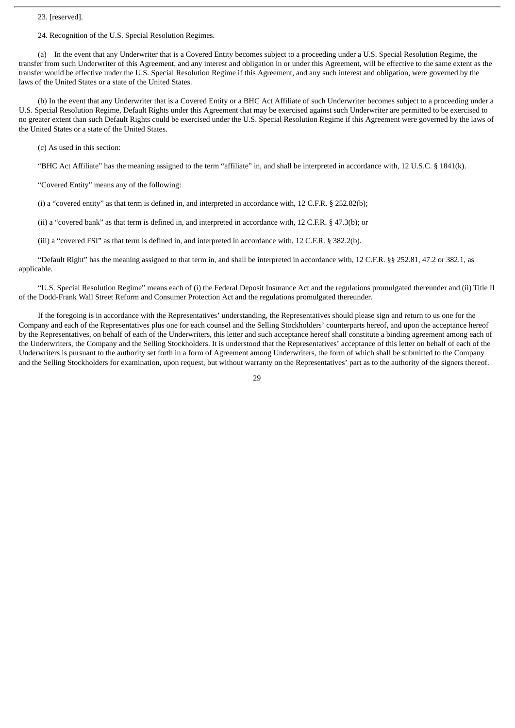23. [reserved].

24. Recognition of the U.S. Special Resolution Regimes.

(a) In the event that any Underwriter that is a Covered Entity becomes subject to a proceeding under a U.S. Special Resolution Regime, the transfer from such Underwriter of this Agreement, and any interest and obligation in or under this Agreement, will be effective to the same extent as the transfer would be effective under the U.S. Special Resolution Regime if this Agreement, and any such interest and obligation, were governed by the laws of the United States or a state of the United States.

(b) In the event that any Underwriter that is a Covered Entity or a BHC Act Affiliate of such Underwriter becomes subject to a proceeding under a U.S. Special Resolution Regime, Default Rights under this Agreement that may be exercised against such Underwriter are permitted to be exercised to no greater extent than such Default Rights could be exercised under the U.S. Special Resolution Regime if this Agreement were governed by the laws of the United States or a state of the United States.

(c) As used in this section:

"BHC Act Affiliate" has the meaning assigned to the term "affiliate" in, and shall be interpreted in accordance with, 12 U.S.C. § 1841(k).

"Covered Entity" means any of the following:

(i) a "covered entity" as that term is defined in, and interpreted in accordance with, 12 C.F.R. § 252.82(b);

(ii) a "covered bank" as that term is defined in, and interpreted in accordance with, 12 C.F.R. § 47.3(b); or

(iii) a "covered FSI" as that term is defined in, and interpreted in accordance with, 12 C.F.R. § 382.2(b).

"Default Right" has the meaning assigned to that term in, and shall be interpreted in accordance with, 12 C.F.R. §§ 252.81, 47.2 or 382.1, as applicable.

"U.S. Special Resolution Regime" means each of (i) the Federal Deposit Insurance Act and the regulations promulgated thereunder and (ii) Title II of the Dodd-Frank Wall Street Reform and Consumer Protection Act and the regulations promulgated thereunder.

If the foregoing is in accordance with the Representatives' understanding, the Representatives should please sign and return to us one for the Company and each of the Representatives plus one for each counsel and the Selling Stockholders' counterparts hereof, and upon the acceptance hereof by the Representatives, on behalf of each of the Underwriters, this letter and such acceptance hereof shall constitute a binding agreement among each of the Underwriters, the Company and the Selling Stockholders. It is understood that the Representatives' acceptance of this letter on behalf of each of the Underwriters is pursuant to the authority set forth in a form of Agreement among Underwriters, the form of which shall be submitted to the Company and the Selling Stockholders for examination, upon request, but without warranty on the Representatives' part as to the authority of the signers thereof.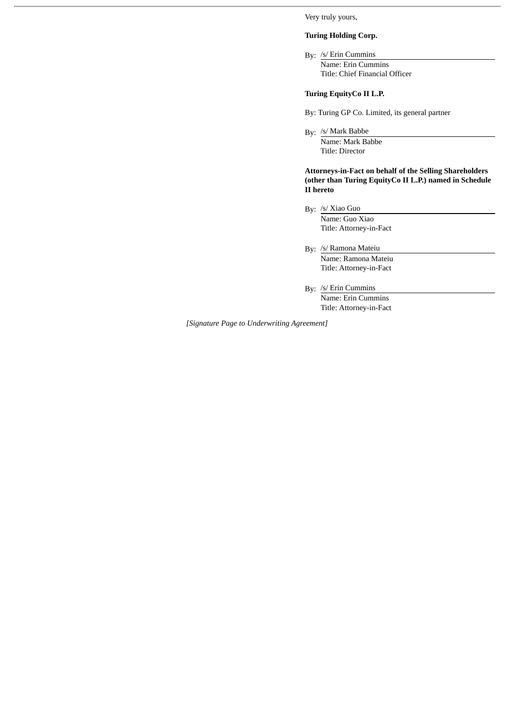Very truly yours,

# **Turing Holding Corp.**

By: /s/ Erin Cummins Name: Erin Cummins

Title: Chief Financial Officer

## **Turing EquityCo II L.P.**

By: Turing GP Co. Limited, its general partner

By: /s/ Mark Babbe

Name: Mark Babbe Title: Director

**Attorneys-in-Fact on behalf of the Selling Shareholders (other than Turing EquityCo II L.P.) named in Schedule II hereto**

By: /s/Xiao Guo

Name: Guo Xiao Title: Attorney-in-Fact

By: /s/ Ramona Mateiu

Name: Ramona Mateiu Title: Attorney-in-Fact

By: /s/ Erin Cummins Name: Erin Cummins

Title: Attorney-in-Fact

*[Signature Page to Underwriting Agreement]*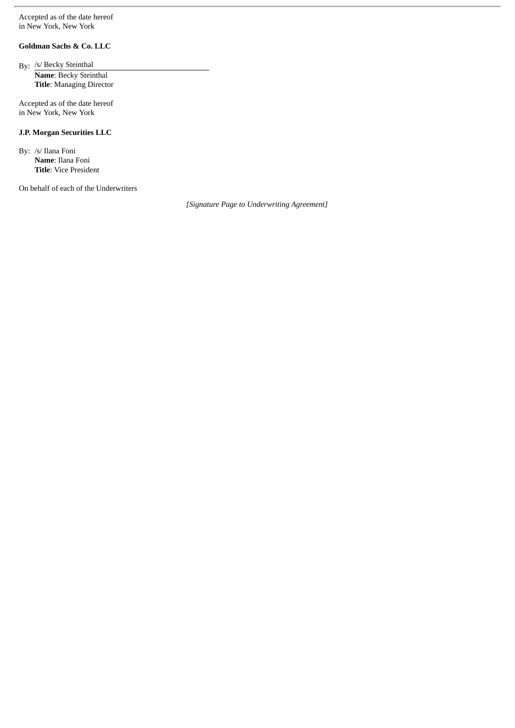Accepted as of the date hereof in New York, New York

**Goldman Sachs & Co. LLC**

By: /s/ Becky Steinthal **Name**: Becky Steinthal **Title**: Managing Director

Accepted as of the date hereof in New York, New York

# **J.P. Morgan Securities LLC**

By: /s/ Ilana Foni **Name**: Ilana Foni **Title**: Vice President

On behalf of each of the Underwriters

*[Signature Page to Underwriting Agreement]*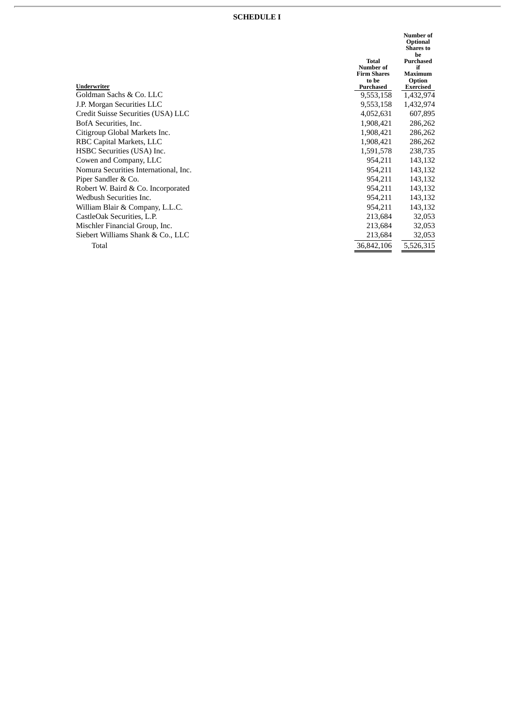#### **SCHEDULE I**

|                                       |                                                                              | <b>Number of</b><br><b>Optional</b><br><b>Shares</b> to<br>be |
|---------------------------------------|------------------------------------------------------------------------------|---------------------------------------------------------------|
| Underwriter                           | <b>Total</b><br><b>Number of</b><br><b>Firm Shares</b><br>to be<br>Purchased | <b>Purchased</b><br>if<br>Maximum<br>Option<br>Exercised      |
| Goldman Sachs & Co. LLC               | 9,553,158                                                                    | 1,432,974                                                     |
| J.P. Morgan Securities LLC            | 9,553,158                                                                    | 1,432,974                                                     |
| Credit Suisse Securities (USA) LLC    | 4,052,631                                                                    | 607,895                                                       |
| BofA Securities, Inc.                 | 1,908,421                                                                    | 286,262                                                       |
| Citigroup Global Markets Inc.         | 1,908,421                                                                    | 286,262                                                       |
| RBC Capital Markets, LLC              | 1,908,421                                                                    | 286,262                                                       |
| HSBC Securities (USA) Inc.            | 1,591,578                                                                    | 238,735                                                       |
| Cowen and Company, LLC                | 954,211                                                                      | 143,132                                                       |
| Nomura Securities International, Inc. | 954,211                                                                      | 143,132                                                       |
| Piper Sandler & Co.                   | 954,211                                                                      | 143,132                                                       |
| Robert W. Baird & Co. Incorporated    | 954,211                                                                      | 143,132                                                       |
| Wedbush Securities Inc.               | 954,211                                                                      | 143,132                                                       |
| William Blair & Company, L.L.C.       | 954,211                                                                      | 143,132                                                       |
| CastleOak Securities, L.P.            | 213,684                                                                      | 32,053                                                        |
| Mischler Financial Group, Inc.        | 213,684                                                                      | 32,053                                                        |
| Siebert Williams Shank & Co., LLC     | 213,684                                                                      | 32,053                                                        |
| Total                                 | 36,842,106                                                                   | 5,526,315                                                     |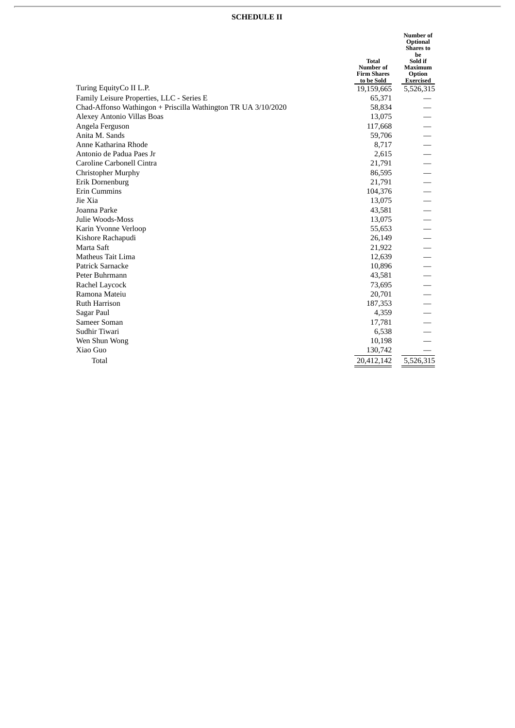# **SCHEDULE II**

|                                                               | Total<br><b>Number of</b><br><b>Firm Shares</b><br>to be Sold | Number of<br><b>Optional</b><br><b>Shares to</b><br>be<br>Sold if<br>Maximum<br>Option<br>Exercised |
|---------------------------------------------------------------|---------------------------------------------------------------|-----------------------------------------------------------------------------------------------------|
| Turing EquityCo II L.P.                                       | 19,159,665                                                    | 5,526,315                                                                                           |
| Family Leisure Properties, LLC - Series E                     | 65,371                                                        |                                                                                                     |
| Chad-Affonso Wathingon + Priscilla Wathington TR UA 3/10/2020 | 58,834                                                        |                                                                                                     |
| Alexey Antonio Villas Boas                                    | 13,075                                                        |                                                                                                     |
| Angela Ferguson                                               | 117,668                                                       |                                                                                                     |
| Anita M. Sands                                                | 59,706                                                        |                                                                                                     |
| Anne Katharina Rhode                                          | 8,717                                                         |                                                                                                     |
| Antonio de Padua Paes Jr                                      | 2,615                                                         |                                                                                                     |
| Caroline Carbonell Cintra                                     | 21,791                                                        |                                                                                                     |
| <b>Christopher Murphy</b>                                     | 86,595                                                        |                                                                                                     |
| Erik Dornenburg                                               | 21,791                                                        |                                                                                                     |
| Erin Cummins                                                  | 104,376                                                       |                                                                                                     |
| Jie Xia                                                       | 13,075                                                        |                                                                                                     |
| Joanna Parke                                                  | 43,581                                                        |                                                                                                     |
| Julie Woods-Moss                                              | 13,075                                                        |                                                                                                     |
| Karin Yvonne Verloop                                          | 55,653                                                        |                                                                                                     |
| Kishore Rachapudi                                             | 26,149                                                        |                                                                                                     |
| Marta Saft                                                    | 21,922                                                        |                                                                                                     |
| Matheus Tait Lima                                             | 12,639                                                        |                                                                                                     |
| Patrick Sarnacke                                              | 10,896                                                        |                                                                                                     |
| Peter Buhrmann                                                | 43,581                                                        |                                                                                                     |
| Rachel Laycock                                                | 73,695                                                        |                                                                                                     |
| Ramona Mateiu                                                 | 20,701                                                        |                                                                                                     |
| Ruth Harrison                                                 | 187,353                                                       |                                                                                                     |
| Sagar Paul                                                    | 4,359                                                         |                                                                                                     |
| Sameer Soman                                                  | 17,781                                                        |                                                                                                     |
| Sudhir Tiwari                                                 | 6,538                                                         |                                                                                                     |
| Wen Shun Wong                                                 | 10,198                                                        |                                                                                                     |
| Xiao Guo                                                      | 130,742                                                       |                                                                                                     |
| Total                                                         | 20,412,142                                                    | 5,526,315                                                                                           |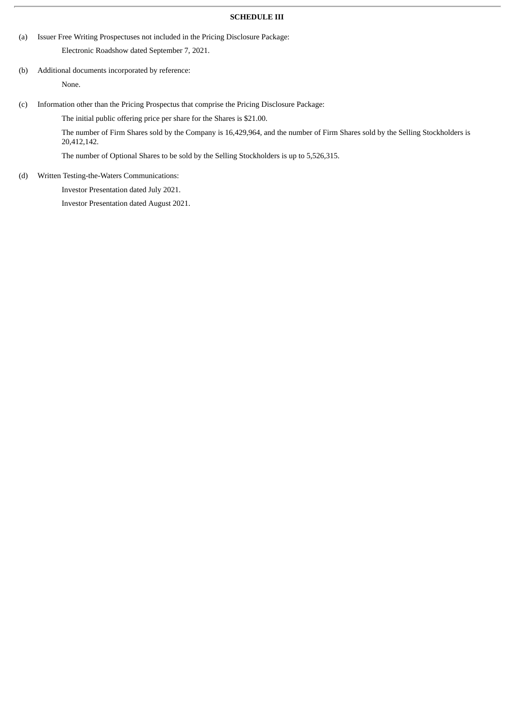## **SCHEDULE III**

- (a) Issuer Free Writing Prospectuses not included in the Pricing Disclosure Package: Electronic Roadshow dated September 7, 2021.
- (b) Additional documents incorporated by reference:

None.

(c) Information other than the Pricing Prospectus that comprise the Pricing Disclosure Package:

The initial public offering price per share for the Shares is \$21.00.

The number of Firm Shares sold by the Company is 16,429,964, and the number of Firm Shares sold by the Selling Stockholders is 20,412,142.

The number of Optional Shares to be sold by the Selling Stockholders is up to 5,526,315.

(d) Written Testing-the-Waters Communications:

Investor Presentation dated July 2021.

Investor Presentation dated August 2021.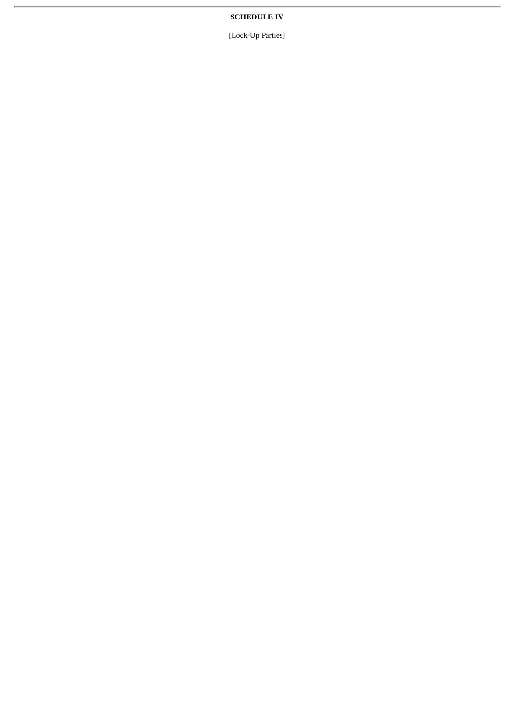# **SCHEDULE IV**

[Lock-Up Parties]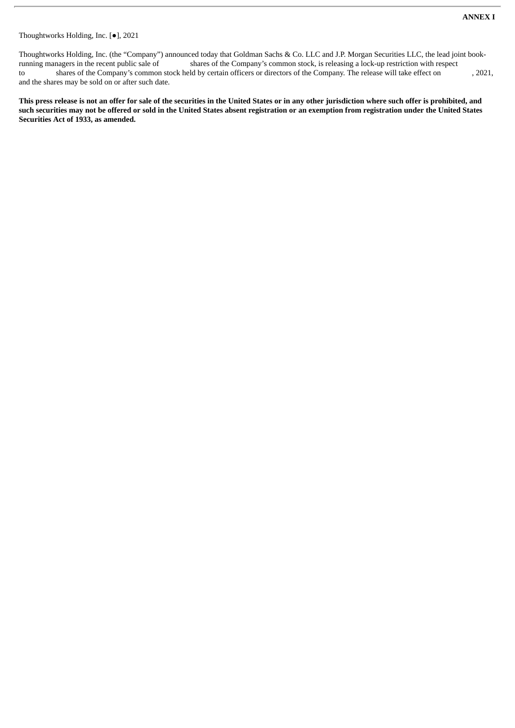## Thoughtworks Holding, Inc. [●], 2021

Thoughtworks Holding, Inc. (the "Company") announced today that Goldman Sachs & Co. LLC and J.P. Morgan Securities LLC, the lead joint book-<br>running managers in the recent public sale of shares of the Company's common stoc shares of the Company's common stock, is releasing a lock-up restriction with respect to shares of the Company's common stock held by certain officers or directors of the Company. The release will take effect on , 2021, and the shares may be sold on or after such date.

This press release is not an offer for sale of the securities in the United States or in any other jurisdiction where such offer is prohibited, and such securities may not be offered or sold in the United States absent registration or an exemption from registration under the United States **Securities Act of 1933, as amended.**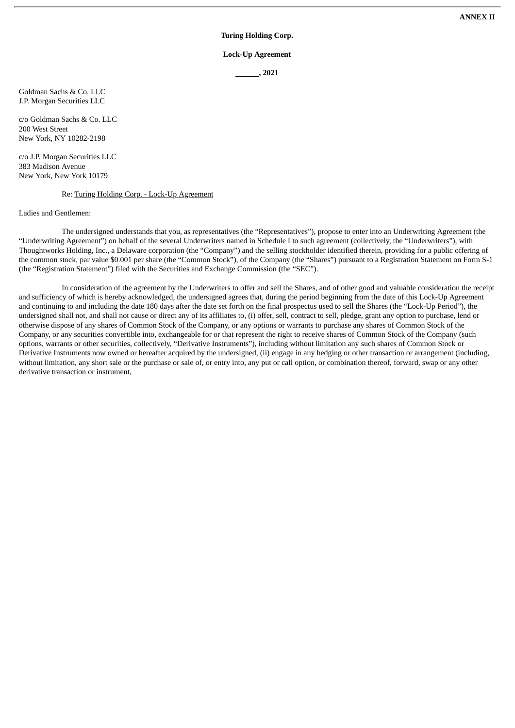## **Turing Holding Corp.**

#### **Lock-Up Agreement**

**, 2021**

Goldman Sachs & Co. LLC J.P. Morgan Securities LLC

c/o Goldman Sachs & Co. LLC 200 West Street New York, NY 10282-2198

c/o J.P. Morgan Securities LLC 383 Madison Avenue New York, New York 10179

Re: Turing Holding Corp. - Lock-Up Agreement

Ladies and Gentlemen:

The undersigned understands that you, as representatives (the "Representatives"), propose to enter into an Underwriting Agreement (the "Underwriting Agreement") on behalf of the several Underwriters named in Schedule I to such agreement (collectively, the "Underwriters"), with Thoughtworks Holding, Inc., a Delaware corporation (the "Company") and the selling stockholder identified therein, providing for a public offering of the common stock, par value \$0.001 per share (the "Common Stock"), of the Company (the "Shares") pursuant to a Registration Statement on Form S-1 (the "Registration Statement") filed with the Securities and Exchange Commission (the "SEC").

In consideration of the agreement by the Underwriters to offer and sell the Shares, and of other good and valuable consideration the receipt and sufficiency of which is hereby acknowledged, the undersigned agrees that, during the period beginning from the date of this Lock-Up Agreement and continuing to and including the date 180 days after the date set forth on the final prospectus used to sell the Shares (the "Lock-Up Period"), the undersigned shall not, and shall not cause or direct any of its affiliates to, (i) offer, sell, contract to sell, pledge, grant any option to purchase, lend or otherwise dispose of any shares of Common Stock of the Company, or any options or warrants to purchase any shares of Common Stock of the Company, or any securities convertible into, exchangeable for or that represent the right to receive shares of Common Stock of the Company (such options, warrants or other securities, collectively, "Derivative Instruments"), including without limitation any such shares of Common Stock or Derivative Instruments now owned or hereafter acquired by the undersigned, (ii) engage in any hedging or other transaction or arrangement (including, without limitation, any short sale or the purchase or sale of, or entry into, any put or call option, or combination thereof, forward, swap or any other derivative transaction or instrument,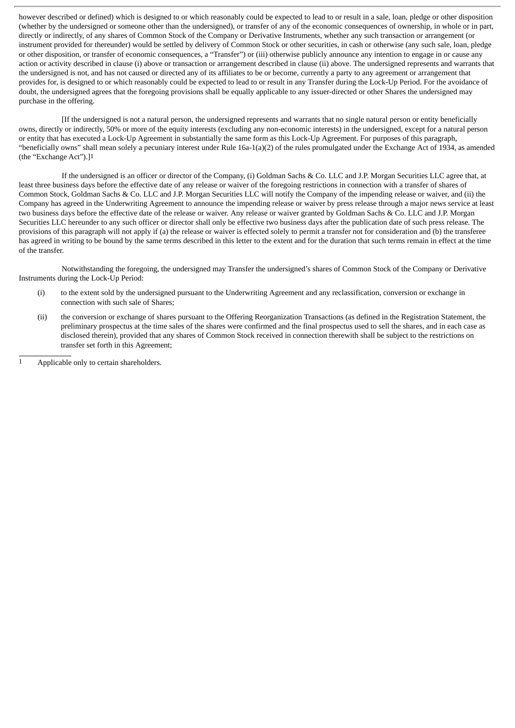however described or defined) which is designed to or which reasonably could be expected to lead to or result in a sale, loan, pledge or other disposition (whether by the undersigned or someone other than the undersigned), or transfer of any of the economic consequences of ownership, in whole or in part, directly or indirectly, of any shares of Common Stock of the Company or Derivative Instruments, whether any such transaction or arrangement (or instrument provided for thereunder) would be settled by delivery of Common Stock or other securities, in cash or otherwise (any such sale, loan, pledge or other disposition, or transfer of economic consequences, a "Transfer") or (iii) otherwise publicly announce any intention to engage in or cause any action or activity described in clause (i) above or transaction or arrangement described in clause (ii) above. The undersigned represents and warrants that the undersigned is not, and has not caused or directed any of its affiliates to be or become, currently a party to any agreement or arrangement that provides for, is designed to or which reasonably could be expected to lead to or result in any Transfer during the Lock-Up Period. For the avoidance of doubt, the undersigned agrees that the foregoing provisions shall be equally applicable to any issuer-directed or other Shares the undersigned may purchase in the offering.

[If the undersigned is not a natural person, the undersigned represents and warrants that no single natural person or entity beneficially owns, directly or indirectly, 50% or more of the equity interests (excluding any non-economic interests) in the undersigned, except for a natural person or entity that has executed a Lock-Up Agreement in substantially the same form as this Lock-Up Agreement. For purposes of this paragraph, "beneficially owns" shall mean solely a pecuniary interest under Rule  $16a-1(a)(2)$  of the rules promulgated under the Exchange Act of 1934, as amended (the "Exchange Act").]1

If the undersigned is an officer or director of the Company, (i) Goldman Sachs & Co. LLC and J.P. Morgan Securities LLC agree that, at least three business days before the effective date of any release or waiver of the foregoing restrictions in connection with a transfer of shares of Common Stock, Goldman Sachs & Co. LLC and J.P. Morgan Securities LLC will notify the Company of the impending release or waiver, and (ii) the Company has agreed in the Underwriting Agreement to announce the impending release or waiver by press release through a major news service at least two business days before the effective date of the release or waiver. Any release or waiver granted by Goldman Sachs & Co. LLC and J.P. Morgan Securities LLC hereunder to any such officer or director shall only be effective two business days after the publication date of such press release. The provisions of this paragraph will not apply if (a) the release or waiver is effected solely to permit a transfer not for consideration and (b) the transferee has agreed in writing to be bound by the same terms described in this letter to the extent and for the duration that such terms remain in effect at the time of the transfer.

Notwithstanding the foregoing, the undersigned may Transfer the undersigned's shares of Common Stock of the Company or Derivative Instruments during the Lock-Up Period:

- (i) to the extent sold by the undersigned pursuant to the Underwriting Agreement and any reclassification, conversion or exchange in connection with such sale of Shares;
- (ii) the conversion or exchange of shares pursuant to the Offering Reorganization Transactions (as defined in the Registration Statement, the preliminary prospectus at the time sales of the shares were confirmed and the final prospectus used to sell the shares, and in each case as disclosed therein), provided that any shares of Common Stock received in connection therewith shall be subject to the restrictions on transfer set forth in this Agreement;
- 1 Applicable only to certain shareholders.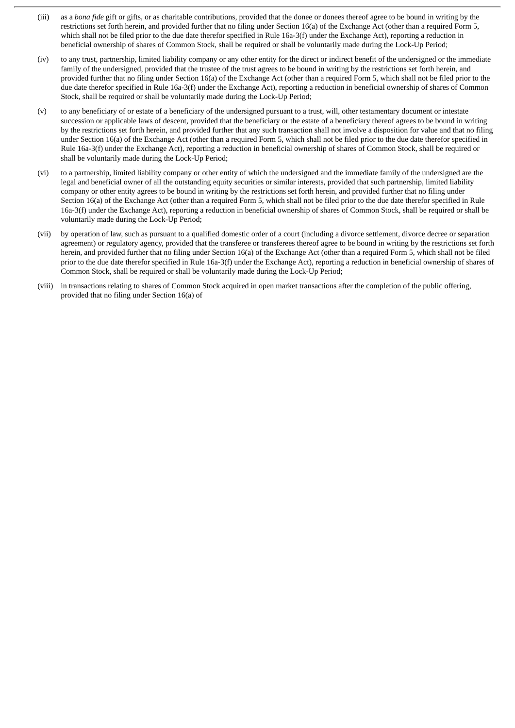- (iii) as a *bona fide* gift or gifts, or as charitable contributions, provided that the donee or donees thereof agree to be bound in writing by the restrictions set forth herein, and provided further that no filing under Section 16(a) of the Exchange Act (other than a required Form 5, which shall not be filed prior to the due date therefor specified in Rule 16a-3(f) under the Exchange Act), reporting a reduction in beneficial ownership of shares of Common Stock, shall be required or shall be voluntarily made during the Lock-Up Period;
- (iv) to any trust, partnership, limited liability company or any other entity for the direct or indirect benefit of the undersigned or the immediate family of the undersigned, provided that the trustee of the trust agrees to be bound in writing by the restrictions set forth herein, and provided further that no filing under Section 16(a) of the Exchange Act (other than a required Form 5, which shall not be filed prior to the due date therefor specified in Rule 16a-3(f) under the Exchange Act), reporting a reduction in beneficial ownership of shares of Common Stock, shall be required or shall be voluntarily made during the Lock-Up Period;
- (v) to any beneficiary of or estate of a beneficiary of the undersigned pursuant to a trust, will, other testamentary document or intestate succession or applicable laws of descent, provided that the beneficiary or the estate of a beneficiary thereof agrees to be bound in writing by the restrictions set forth herein, and provided further that any such transaction shall not involve a disposition for value and that no filing under Section 16(a) of the Exchange Act (other than a required Form 5, which shall not be filed prior to the due date therefor specified in Rule 16a-3(f) under the Exchange Act), reporting a reduction in beneficial ownership of shares of Common Stock, shall be required or shall be voluntarily made during the Lock-Up Period;
- (vi) to a partnership, limited liability company or other entity of which the undersigned and the immediate family of the undersigned are the legal and beneficial owner of all the outstanding equity securities or similar interests, provided that such partnership, limited liability company or other entity agrees to be bound in writing by the restrictions set forth herein, and provided further that no filing under Section 16(a) of the Exchange Act (other than a required Form 5, which shall not be filed prior to the due date therefor specified in Rule 16a-3(f) under the Exchange Act), reporting a reduction in beneficial ownership of shares of Common Stock, shall be required or shall be voluntarily made during the Lock-Up Period;
- (vii) by operation of law, such as pursuant to a qualified domestic order of a court (including a divorce settlement, divorce decree or separation agreement) or regulatory agency, provided that the transferee or transferees thereof agree to be bound in writing by the restrictions set forth herein, and provided further that no filing under Section 16(a) of the Exchange Act (other than a required Form 5, which shall not be filed prior to the due date therefor specified in Rule 16a-3(f) under the Exchange Act), reporting a reduction in beneficial ownership of shares of Common Stock, shall be required or shall be voluntarily made during the Lock-Up Period;
- (viii) in transactions relating to shares of Common Stock acquired in open market transactions after the completion of the public offering, provided that no filing under Section 16(a) of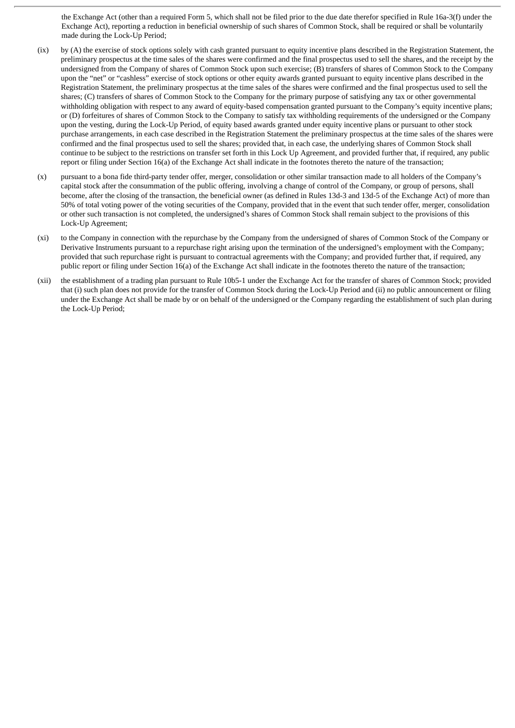the Exchange Act (other than a required Form 5, which shall not be filed prior to the due date therefor specified in Rule 16a-3(f) under the Exchange Act), reporting a reduction in beneficial ownership of such shares of Common Stock, shall be required or shall be voluntarily made during the Lock-Up Period;

- (ix) by (A) the exercise of stock options solely with cash granted pursuant to equity incentive plans described in the Registration Statement, the preliminary prospectus at the time sales of the shares were confirmed and the final prospectus used to sell the shares, and the receipt by the undersigned from the Company of shares of Common Stock upon such exercise; (B) transfers of shares of Common Stock to the Company upon the "net" or "cashless" exercise of stock options or other equity awards granted pursuant to equity incentive plans described in the Registration Statement, the preliminary prospectus at the time sales of the shares were confirmed and the final prospectus used to sell the shares; (C) transfers of shares of Common Stock to the Company for the primary purpose of satisfying any tax or other governmental withholding obligation with respect to any award of equity-based compensation granted pursuant to the Company's equity incentive plans; or (D) forfeitures of shares of Common Stock to the Company to satisfy tax withholding requirements of the undersigned or the Company upon the vesting, during the Lock-Up Period, of equity based awards granted under equity incentive plans or pursuant to other stock purchase arrangements, in each case described in the Registration Statement the preliminary prospectus at the time sales of the shares were confirmed and the final prospectus used to sell the shares; provided that, in each case, the underlying shares of Common Stock shall continue to be subject to the restrictions on transfer set forth in this Lock Up Agreement, and provided further that, if required, any public report or filing under Section 16(a) of the Exchange Act shall indicate in the footnotes thereto the nature of the transaction;
- (x) pursuant to a bona fide third-party tender offer, merger, consolidation or other similar transaction made to all holders of the Company's capital stock after the consummation of the public offering, involving a change of control of the Company, or group of persons, shall become, after the closing of the transaction, the beneficial owner (as defined in Rules 13d-3 and 13d-5 of the Exchange Act) of more than 50% of total voting power of the voting securities of the Company, provided that in the event that such tender offer, merger, consolidation or other such transaction is not completed, the undersigned's shares of Common Stock shall remain subject to the provisions of this Lock-Up Agreement;
- (xi) to the Company in connection with the repurchase by the Company from the undersigned of shares of Common Stock of the Company or Derivative Instruments pursuant to a repurchase right arising upon the termination of the undersigned's employment with the Company; provided that such repurchase right is pursuant to contractual agreements with the Company; and provided further that, if required, any public report or filing under Section 16(a) of the Exchange Act shall indicate in the footnotes thereto the nature of the transaction;
- (xii) the establishment of a trading plan pursuant to Rule 10b5-1 under the Exchange Act for the transfer of shares of Common Stock; provided that (i) such plan does not provide for the transfer of Common Stock during the Lock-Up Period and (ii) no public announcement or filing under the Exchange Act shall be made by or on behalf of the undersigned or the Company regarding the establishment of such plan during the Lock-Up Period;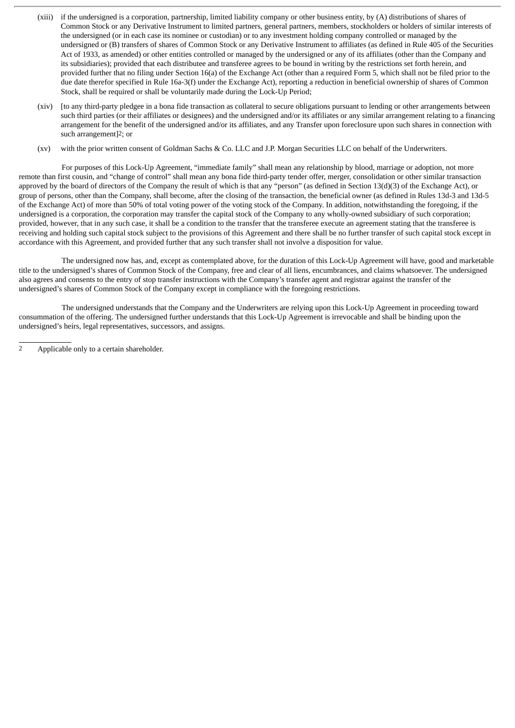- (xiii) if the undersigned is a corporation, partnership, limited liability company or other business entity, by (A) distributions of shares of Common Stock or any Derivative Instrument to limited partners, general partners, members, stockholders or holders of similar interests of the undersigned (or in each case its nominee or custodian) or to any investment holding company controlled or managed by the undersigned or (B) transfers of shares of Common Stock or any Derivative Instrument to affiliates (as defined in Rule 405 of the Securities Act of 1933, as amended) or other entities controlled or managed by the undersigned or any of its affiliates (other than the Company and its subsidiaries); provided that each distributee and transferee agrees to be bound in writing by the restrictions set forth herein, and provided further that no filing under Section 16(a) of the Exchange Act (other than a required Form 5, which shall not be filed prior to the due date therefor specified in Rule 16a-3(f) under the Exchange Act), reporting a reduction in beneficial ownership of shares of Common Stock, shall be required or shall be voluntarily made during the Lock-Up Period;
- (xiv) [to any third-party pledgee in a bona fide transaction as collateral to secure obligations pursuant to lending or other arrangements between such third parties (or their affiliates or designees) and the undersigned and/or its affiliates or any similar arrangement relating to a financing arrangement for the benefit of the undersigned and/or its affiliates, and any Transfer upon foreclosure upon such shares in connection with such arrangement]2; or
- (xv) with the prior written consent of Goldman Sachs & Co. LLC and J.P. Morgan Securities LLC on behalf of the Underwriters.

For purposes of this Lock-Up Agreement, "immediate family" shall mean any relationship by blood, marriage or adoption, not more remote than first cousin, and "change of control" shall mean any bona fide third-party tender offer, merger, consolidation or other similar transaction approved by the board of directors of the Company the result of which is that any "person" (as defined in Section 13(d)(3) of the Exchange Act), or group of persons, other than the Company, shall become, after the closing of the transaction, the beneficial owner (as defined in Rules 13d-3 and 13d-5 of the Exchange Act) of more than 50% of total voting power of the voting stock of the Company. In addition, notwithstanding the foregoing, if the undersigned is a corporation, the corporation may transfer the capital stock of the Company to any wholly-owned subsidiary of such corporation; provided, however, that in any such case, it shall be a condition to the transfer that the transferee execute an agreement stating that the transferee is receiving and holding such capital stock subject to the provisions of this Agreement and there shall be no further transfer of such capital stock except in accordance with this Agreement, and provided further that any such transfer shall not involve a disposition for value.

The undersigned now has, and, except as contemplated above, for the duration of this Lock-Up Agreement will have, good and marketable title to the undersigned's shares of Common Stock of the Company, free and clear of all liens, encumbrances, and claims whatsoever. The undersigned also agrees and consents to the entry of stop transfer instructions with the Company's transfer agent and registrar against the transfer of the undersigned's shares of Common Stock of the Company except in compliance with the foregoing restrictions.

The undersigned understands that the Company and the Underwriters are relying upon this Lock-Up Agreement in proceeding toward consummation of the offering. The undersigned further understands that this Lock-Up Agreement is irrevocable and shall be binding upon the undersigned's heirs, legal representatives, successors, and assigns.

<sup>&</sup>lt;sup>2</sup> Applicable only to a certain shareholder.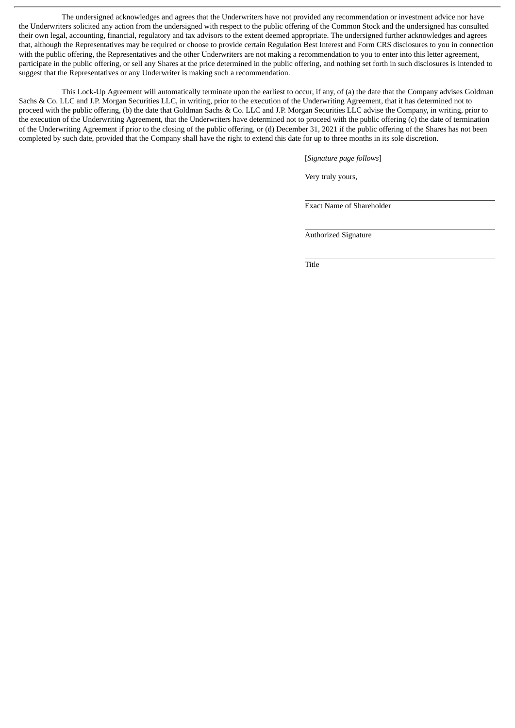The undersigned acknowledges and agrees that the Underwriters have not provided any recommendation or investment advice nor have the Underwriters solicited any action from the undersigned with respect to the public offering of the Common Stock and the undersigned has consulted their own legal, accounting, financial, regulatory and tax advisors to the extent deemed appropriate. The undersigned further acknowledges and agrees that, although the Representatives may be required or choose to provide certain Regulation Best Interest and Form CRS disclosures to you in connection with the public offering, the Representatives and the other Underwriters are not making a recommendation to you to enter into this letter agreement, participate in the public offering, or sell any Shares at the price determined in the public offering, and nothing set forth in such disclosures is intended to suggest that the Representatives or any Underwriter is making such a recommendation.

This Lock-Up Agreement will automatically terminate upon the earliest to occur, if any, of (a) the date that the Company advises Goldman Sachs & Co. LLC and J.P. Morgan Securities LLC, in writing, prior to the execution of the Underwriting Agreement, that it has determined not to proceed with the public offering, (b) the date that Goldman Sachs & Co. LLC and J.P. Morgan Securities LLC advise the Company, in writing, prior to the execution of the Underwriting Agreement, that the Underwriters have determined not to proceed with the public offering (c) the date of termination of the Underwriting Agreement if prior to the closing of the public offering, or (d) December 31, 2021 if the public offering of the Shares has not been completed by such date, provided that the Company shall have the right to extend this date for up to three months in its sole discretion.

[*Signature page follows*]

Very truly yours,

Exact Name of Shareholder

Authorized Signature

Title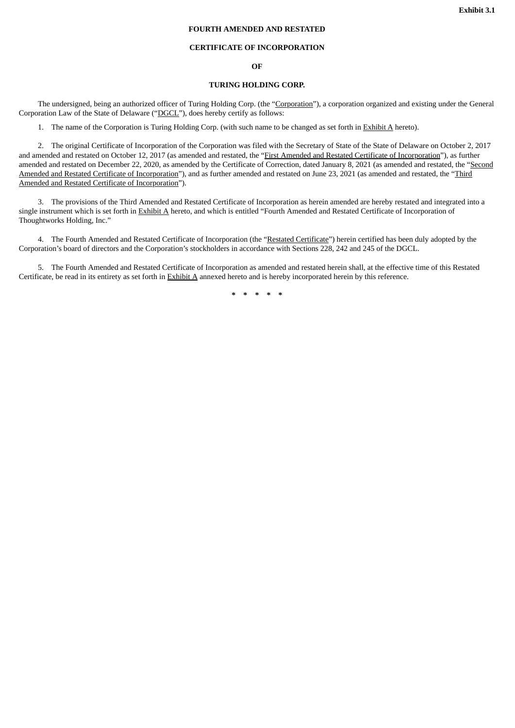## **FOURTH AMENDED AND RESTATED**

#### **CERTIFICATE OF INCORPORATION**

#### **OF**

#### **TURING HOLDING CORP.**

The undersigned, being an authorized officer of Turing Holding Corp. (the "Corporation"), a corporation organized and existing under the General Corporation Law of the State of Delaware ("DGCL"), does hereby certify as follows:

1. The name of the Corporation is Turing Holding Corp. (with such name to be changed as set forth in  $\frac{Exhibit A}{Ex}}$  hereto).

2. The original Certificate of Incorporation of the Corporation was filed with the Secretary of State of the State of Delaware on October 2, 2017 and amended and restated on October 12, 2017 (as amended and restated, the "First Amended and Restated Certificate of Incorporation"), as further amended and restated on December 22, 2020, as amended by the Certificate of Correction, dated January 8, 2021 (as amended and restated, the "Second Amended and Restated Certificate of Incorporation"), and as further amended and restated on June 23, 2021 (as amended and restated, the "Third Amended and Restated Certificate of Incorporation").

3. The provisions of the Third Amended and Restated Certificate of Incorporation as herein amended are hereby restated and integrated into a single instrument which is set forth in Exhibit A hereto, and which is entitled "Fourth Amended and Restated Certificate of Incorporation of Thoughtworks Holding, Inc."

4. The Fourth Amended and Restated Certificate of Incorporation (the "Restated Certificate") herein certified has been duly adopted by the Corporation's board of directors and the Corporation's stockholders in accordance with Sections 228, 242 and 245 of the DGCL.

5. The Fourth Amended and Restated Certificate of Incorporation as amended and restated herein shall, at the effective time of this Restated Certificate, be read in its entirety as set forth in Exhibit A annexed hereto and is hereby incorporated herein by this reference.

**\* \* \* \* \***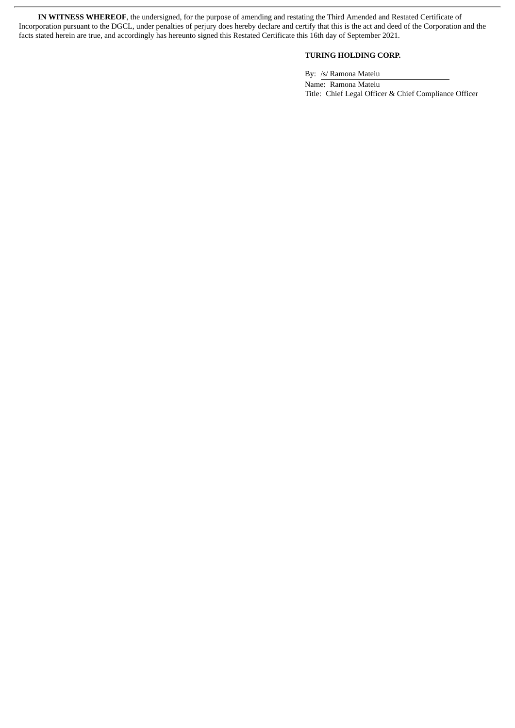**IN WITNESS WHEREOF**, the undersigned, for the purpose of amending and restating the Third Amended and Restated Certificate of Incorporation pursuant to the DGCL, under penalties of perjury does hereby declare and certify that this is the act and deed of the Corporation and the facts stated herein are true, and accordingly has hereunto signed this Restated Certificate this 16th day of September 2021.

# **TURING HOLDING CORP.**

By: /s/ Ramona Mateiu Name: Ramona Mateiu Title: Chief Legal Officer & Chief Compliance Officer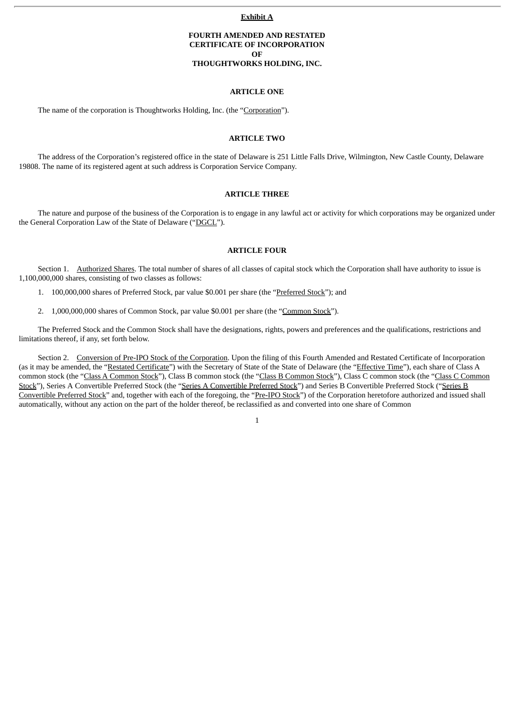#### **Exhibit A**

#### **FOURTH AMENDED AND RESTATED CERTIFICATE OF INCORPORATION OF THOUGHTWORKS HOLDING, INC.**

#### **ARTICLE ONE**

The name of the corporation is Thoughtworks Holding, Inc. (the "Corporation").

#### **ARTICLE TWO**

The address of the Corporation's registered office in the state of Delaware is 251 Little Falls Drive, Wilmington, New Castle County, Delaware 19808. The name of its registered agent at such address is Corporation Service Company.

## **ARTICLE THREE**

The nature and purpose of the business of the Corporation is to engage in any lawful act or activity for which corporations may be organized under the General Corporation Law of the State of Delaware ("DGCL").

## **ARTICLE FOUR**

Section 1. Authorized Shares. The total number of shares of all classes of capital stock which the Corporation shall have authority to issue is 1,100,000,000 shares, consisting of two classes as follows:

- 1. 100,000,000 shares of Preferred Stock, par value \$0.001 per share (the "Preferred Stock"); and
- 2. 1,000,000,000 shares of Common Stock, par value \$0.001 per share (the "Common Stock").

The Preferred Stock and the Common Stock shall have the designations, rights, powers and preferences and the qualifications, restrictions and limitations thereof, if any, set forth below.

Section 2. Conversion of Pre-IPO Stock of the Corporation. Upon the filing of this Fourth Amended and Restated Certificate of Incorporation (as it may be amended, the "Restated Certificate") with the Secretary of State of the State of Delaware (the "Effective Time"), each share of Class A common stock (the "Class A Common Stock"), Class B common stock (the "Class B Common Stock"), Class C common stock (the "Class C Common Stock"), Series A Convertible Preferred Stock (the "Series A Convertible Preferred Stock") and Series B Convertible Preferred Stock ("Series B Convertible Preferred Stock" and, together with each of the foregoing, the "Pre-IPO Stock") of the Corporation heretofore authorized and issued shall automatically, without any action on the part of the holder thereof, be reclassified as and converted into one share of Common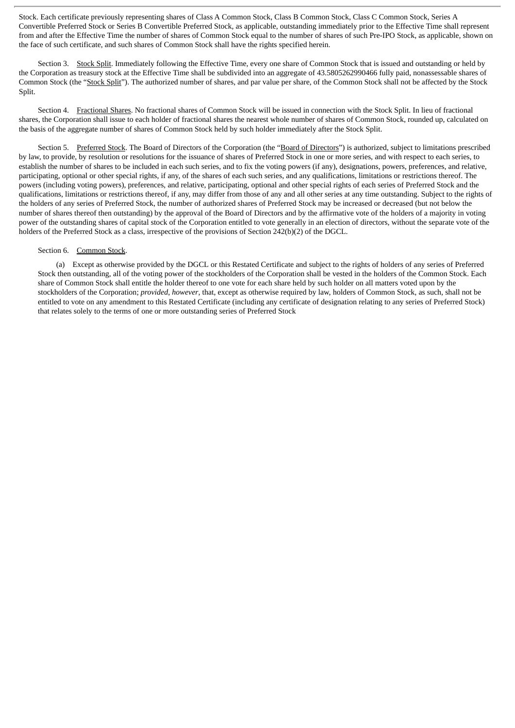Stock. Each certificate previously representing shares of Class A Common Stock, Class B Common Stock, Class C Common Stock, Series A Convertible Preferred Stock or Series B Convertible Preferred Stock, as applicable, outstanding immediately prior to the Effective Time shall represent from and after the Effective Time the number of shares of Common Stock equal to the number of shares of such Pre-IPO Stock, as applicable, shown on the face of such certificate, and such shares of Common Stock shall have the rights specified herein.

Section 3. Stock Split. Immediately following the Effective Time, every one share of Common Stock that is issued and outstanding or held by the Corporation as treasury stock at the Effective Time shall be subdivided into an aggregate of 43.5805262990466 fully paid, nonassessable shares of Common Stock (the "Stock Split"). The authorized number of shares, and par value per share, of the Common Stock shall not be affected by the Stock Split.

Section 4. Fractional Shares. No fractional shares of Common Stock will be issued in connection with the Stock Split. In lieu of fractional shares, the Corporation shall issue to each holder of fractional shares the nearest whole number of shares of Common Stock, rounded up, calculated on the basis of the aggregate number of shares of Common Stock held by such holder immediately after the Stock Split.

Section 5. Preferred Stock. The Board of Directors of the Corporation (the "Board of Directors") is authorized, subject to limitations prescribed by law, to provide, by resolution or resolutions for the issuance of shares of Preferred Stock in one or more series, and with respect to each series, to establish the number of shares to be included in each such series, and to fix the voting powers (if any), designations, powers, preferences, and relative, participating, optional or other special rights, if any, of the shares of each such series, and any qualifications, limitations or restrictions thereof. The powers (including voting powers), preferences, and relative, participating, optional and other special rights of each series of Preferred Stock and the qualifications, limitations or restrictions thereof, if any, may differ from those of any and all other series at any time outstanding. Subject to the rights of the holders of any series of Preferred Stock, the number of authorized shares of Preferred Stock may be increased or decreased (but not below the number of shares thereof then outstanding) by the approval of the Board of Directors and by the affirmative vote of the holders of a majority in voting power of the outstanding shares of capital stock of the Corporation entitled to vote generally in an election of directors, without the separate vote of the holders of the Preferred Stock as a class, irrespective of the provisions of Section 242(b)(2) of the DGCL.

## Section 6. Common Stock.

(a) Except as otherwise provided by the DGCL or this Restated Certificate and subject to the rights of holders of any series of Preferred Stock then outstanding, all of the voting power of the stockholders of the Corporation shall be vested in the holders of the Common Stock. Each share of Common Stock shall entitle the holder thereof to one vote for each share held by such holder on all matters voted upon by the stockholders of the Corporation; *provided*, *however*, that, except as otherwise required by law, holders of Common Stock, as such, shall not be entitled to vote on any amendment to this Restated Certificate (including any certificate of designation relating to any series of Preferred Stock) that relates solely to the terms of one or more outstanding series of Preferred Stock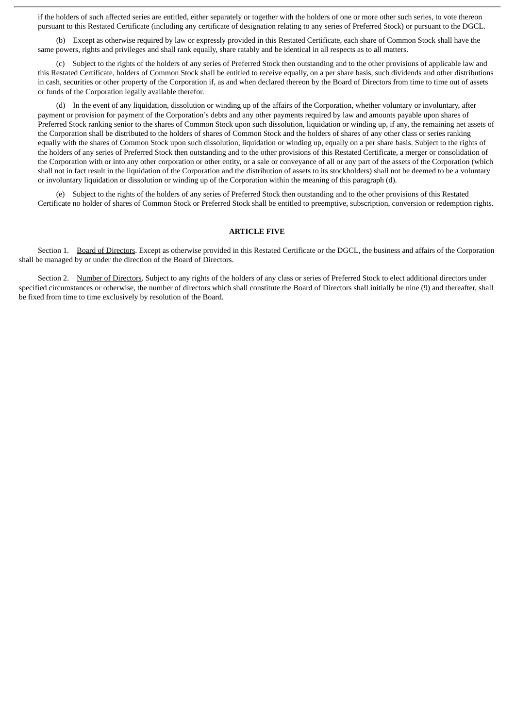if the holders of such affected series are entitled, either separately or together with the holders of one or more other such series, to vote thereon pursuant to this Restated Certificate (including any certificate of designation relating to any series of Preferred Stock) or pursuant to the DGCL.

(b) Except as otherwise required by law or expressly provided in this Restated Certificate, each share of Common Stock shall have the same powers, rights and privileges and shall rank equally, share ratably and be identical in all respects as to all matters.

(c) Subject to the rights of the holders of any series of Preferred Stock then outstanding and to the other provisions of applicable law and this Restated Certificate, holders of Common Stock shall be entitled to receive equally, on a per share basis, such dividends and other distributions in cash, securities or other property of the Corporation if, as and when declared thereon by the Board of Directors from time to time out of assets or funds of the Corporation legally available therefor.

(d) In the event of any liquidation, dissolution or winding up of the affairs of the Corporation, whether voluntary or involuntary, after payment or provision for payment of the Corporation's debts and any other payments required by law and amounts payable upon shares of Preferred Stock ranking senior to the shares of Common Stock upon such dissolution, liquidation or winding up, if any, the remaining net assets of the Corporation shall be distributed to the holders of shares of Common Stock and the holders of shares of any other class or series ranking equally with the shares of Common Stock upon such dissolution, liquidation or winding up, equally on a per share basis. Subject to the rights of the holders of any series of Preferred Stock then outstanding and to the other provisions of this Restated Certificate, a merger or consolidation of the Corporation with or into any other corporation or other entity, or a sale or conveyance of all or any part of the assets of the Corporation (which shall not in fact result in the liquidation of the Corporation and the distribution of assets to its stockholders) shall not be deemed to be a voluntary or involuntary liquidation or dissolution or winding up of the Corporation within the meaning of this paragraph (d).

(e) Subject to the rights of the holders of any series of Preferred Stock then outstanding and to the other provisions of this Restated Certificate no holder of shares of Common Stock or Preferred Stock shall be entitled to preemptive, subscription, conversion or redemption rights.

# **ARTICLE FIVE**

Section 1. Board of Directors. Except as otherwise provided in this Restated Certificate or the DGCL, the business and affairs of the Corporation shall be managed by or under the direction of the Board of Directors.

Section 2. Number of Directors. Subject to any rights of the holders of any class or series of Preferred Stock to elect additional directors under specified circumstances or otherwise, the number of directors which shall constitute the Board of Directors shall initially be nine (9) and thereafter, shall be fixed from time to time exclusively by resolution of the Board.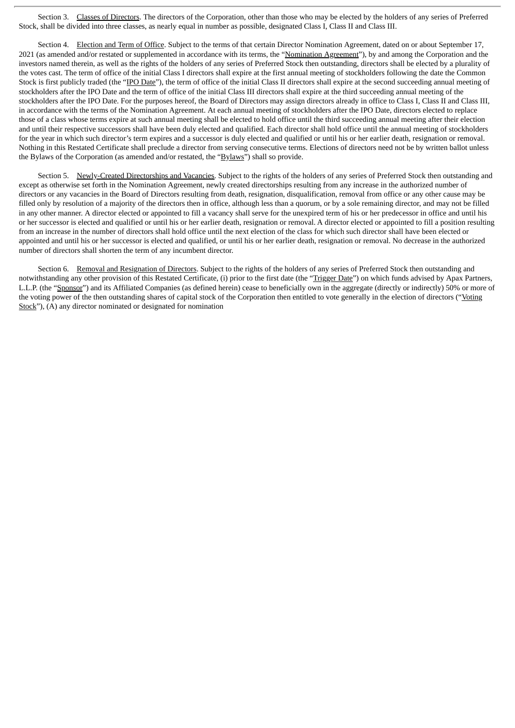Section 3. Classes of Directors. The directors of the Corporation, other than those who may be elected by the holders of any series of Preferred Stock, shall be divided into three classes, as nearly equal in number as possible, designated Class I, Class II and Class III.

Section 4. Election and Term of Office. Subject to the terms of that certain Director Nomination Agreement, dated on or about September 17, 2021 (as amended and/or restated or supplemented in accordance with its terms, the "Nomination Agreement"), by and among the Corporation and the investors named therein, as well as the rights of the holders of any series of Preferred Stock then outstanding, directors shall be elected by a plurality of the votes cast. The term of office of the initial Class I directors shall expire at the first annual meeting of stockholders following the date the Common Stock is first publicly traded (the "IPO Date"), the term of office of the initial Class II directors shall expire at the second succeeding annual meeting of stockholders after the IPO Date and the term of office of the initial Class III directors shall expire at the third succeeding annual meeting of the stockholders after the IPO Date. For the purposes hereof, the Board of Directors may assign directors already in office to Class I, Class II and Class III, in accordance with the terms of the Nomination Agreement. At each annual meeting of stockholders after the IPO Date, directors elected to replace those of a class whose terms expire at such annual meeting shall be elected to hold office until the third succeeding annual meeting after their election and until their respective successors shall have been duly elected and qualified. Each director shall hold office until the annual meeting of stockholders for the year in which such director's term expires and a successor is duly elected and qualified or until his or her earlier death, resignation or removal. Nothing in this Restated Certificate shall preclude a director from serving consecutive terms. Elections of directors need not be by written ballot unless the Bylaws of the Corporation (as amended and/or restated, the "Bylaws") shall so provide.

Section 5. Newly-Created Directorships and Vacancies. Subject to the rights of the holders of any series of Preferred Stock then outstanding and except as otherwise set forth in the Nomination Agreement, newly created directorships resulting from any increase in the authorized number of directors or any vacancies in the Board of Directors resulting from death, resignation, disqualification, removal from office or any other cause may be filled only by resolution of a majority of the directors then in office, although less than a quorum, or by a sole remaining director, and may not be filled in any other manner. A director elected or appointed to fill a vacancy shall serve for the unexpired term of his or her predecessor in office and until his or her successor is elected and qualified or until his or her earlier death, resignation or removal. A director elected or appointed to fill a position resulting from an increase in the number of directors shall hold office until the next election of the class for which such director shall have been elected or appointed and until his or her successor is elected and qualified, or until his or her earlier death, resignation or removal. No decrease in the authorized number of directors shall shorten the term of any incumbent director.

Section 6. Removal and Resignation of Directors. Subject to the rights of the holders of any series of Preferred Stock then outstanding and notwithstanding any other provision of this Restated Certificate, (i) prior to the first date (the "Trigger Date") on which funds advised by Apax Partners, L.L.P. (the "Sponsor") and its Affiliated Companies (as defined herein) cease to beneficially own in the aggregate (directly or indirectly) 50% or more of the voting power of the then outstanding shares of capital stock of the Corporation then entitled to vote generally in the election of directors ("Voting Stock"), (A) any director nominated or designated for nomination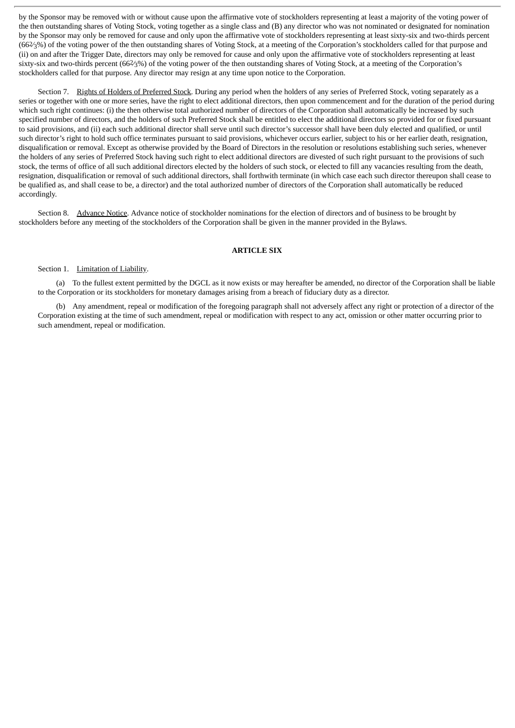by the Sponsor may be removed with or without cause upon the affirmative vote of stockholders representing at least a majority of the voting power of the then outstanding shares of Voting Stock, voting together as a single class and (B) any director who was not nominated or designated for nomination by the Sponsor may only be removed for cause and only upon the affirmative vote of stockholders representing at least sixty-six and two-thirds percent (662⁄3%) of the voting power of the then outstanding shares of Voting Stock, at a meeting of the Corporation's stockholders called for that purpose and (ii) on and after the Trigger Date, directors may only be removed for cause and only upon the affirmative vote of stockholders representing at least sixty-six and two-thirds percent (662⁄3%) of the voting power of the then outstanding shares of Voting Stock, at a meeting of the Corporation's stockholders called for that purpose. Any director may resign at any time upon notice to the Corporation.

Section 7. Rights of Holders of Preferred Stock. During any period when the holders of any series of Preferred Stock, voting separately as a series or together with one or more series, have the right to elect additional directors, then upon commencement and for the duration of the period during which such right continues: (i) the then otherwise total authorized number of directors of the Corporation shall automatically be increased by such specified number of directors, and the holders of such Preferred Stock shall be entitled to elect the additional directors so provided for or fixed pursuant to said provisions, and (ii) each such additional director shall serve until such director's successor shall have been duly elected and qualified, or until such director's right to hold such office terminates pursuant to said provisions, whichever occurs earlier, subject to his or her earlier death, resignation, disqualification or removal. Except as otherwise provided by the Board of Directors in the resolution or resolutions establishing such series, whenever the holders of any series of Preferred Stock having such right to elect additional directors are divested of such right pursuant to the provisions of such stock, the terms of office of all such additional directors elected by the holders of such stock, or elected to fill any vacancies resulting from the death, resignation, disqualification or removal of such additional directors, shall forthwith terminate (in which case each such director thereupon shall cease to be qualified as, and shall cease to be, a director) and the total authorized number of directors of the Corporation shall automatically be reduced accordingly.

Section 8. Advance Notice. Advance notice of stockholder nominations for the election of directors and of business to be brought by stockholders before any meeting of the stockholders of the Corporation shall be given in the manner provided in the Bylaws.

## **ARTICLE SIX**

#### Section 1. Limitation of Liability.

(a) To the fullest extent permitted by the DGCL as it now exists or may hereafter be amended, no director of the Corporation shall be liable to the Corporation or its stockholders for monetary damages arising from a breach of fiduciary duty as a director.

(b) Any amendment, repeal or modification of the foregoing paragraph shall not adversely affect any right or protection of a director of the Corporation existing at the time of such amendment, repeal or modification with respect to any act, omission or other matter occurring prior to such amendment, repeal or modification.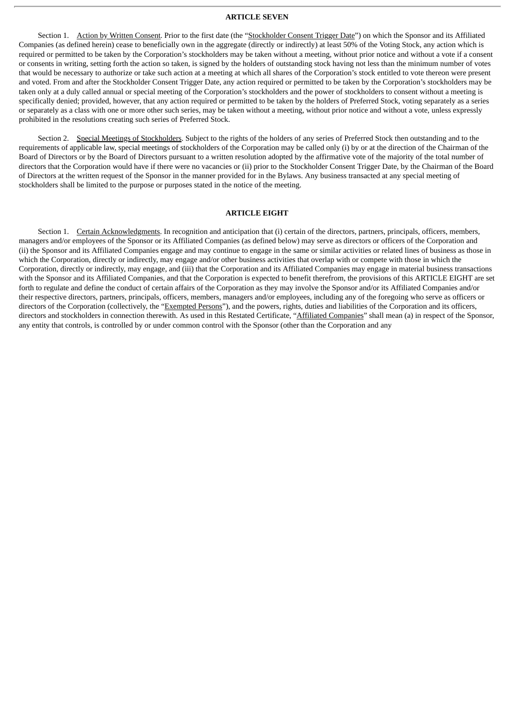## **ARTICLE SEVEN**

Section 1. Action by Written Consent. Prior to the first date (the "Stockholder Consent Trigger Date") on which the Sponsor and its Affiliated Companies (as defined herein) cease to beneficially own in the aggregate (directly or indirectly) at least 50% of the Voting Stock, any action which is required or permitted to be taken by the Corporation's stockholders may be taken without a meeting, without prior notice and without a vote if a consent or consents in writing, setting forth the action so taken, is signed by the holders of outstanding stock having not less than the minimum number of votes that would be necessary to authorize or take such action at a meeting at which all shares of the Corporation's stock entitled to vote thereon were present and voted. From and after the Stockholder Consent Trigger Date, any action required or permitted to be taken by the Corporation's stockholders may be taken only at a duly called annual or special meeting of the Corporation's stockholders and the power of stockholders to consent without a meeting is specifically denied; provided, however, that any action required or permitted to be taken by the holders of Preferred Stock, voting separately as a series or separately as a class with one or more other such series, may be taken without a meeting, without prior notice and without a vote, unless expressly prohibited in the resolutions creating such series of Preferred Stock.

Section 2. Special Meetings of Stockholders. Subject to the rights of the holders of any series of Preferred Stock then outstanding and to the requirements of applicable law, special meetings of stockholders of the Corporation may be called only (i) by or at the direction of the Chairman of the Board of Directors or by the Board of Directors pursuant to a written resolution adopted by the affirmative vote of the majority of the total number of directors that the Corporation would have if there were no vacancies or (ii) prior to the Stockholder Consent Trigger Date, by the Chairman of the Board of Directors at the written request of the Sponsor in the manner provided for in the Bylaws. Any business transacted at any special meeting of stockholders shall be limited to the purpose or purposes stated in the notice of the meeting.

#### **ARTICLE EIGHT**

Section 1. Certain Acknowledgments. In recognition and anticipation that (i) certain of the directors, partners, principals, officers, members, managers and/or employees of the Sponsor or its Affiliated Companies (as defined below) may serve as directors or officers of the Corporation and (ii) the Sponsor and its Affiliated Companies engage and may continue to engage in the same or similar activities or related lines of business as those in which the Corporation, directly or indirectly, may engage and/or other business activities that overlap with or compete with those in which the Corporation, directly or indirectly, may engage, and (iii) that the Corporation and its Affiliated Companies may engage in material business transactions with the Sponsor and its Affiliated Companies, and that the Corporation is expected to benefit therefrom, the provisions of this ARTICLE EIGHT are set forth to regulate and define the conduct of certain affairs of the Corporation as they may involve the Sponsor and/or its Affiliated Companies and/or their respective directors, partners, principals, officers, members, managers and/or employees, including any of the foregoing who serve as officers or directors of the Corporation (collectively, the "Exempted Persons"), and the powers, rights, duties and liabilities of the Corporation and its officers, directors and stockholders in connection therewith. As used in this Restated Certificate, "Affiliated Companies" shall mean (a) in respect of the Sponsor, any entity that controls, is controlled by or under common control with the Sponsor (other than the Corporation and any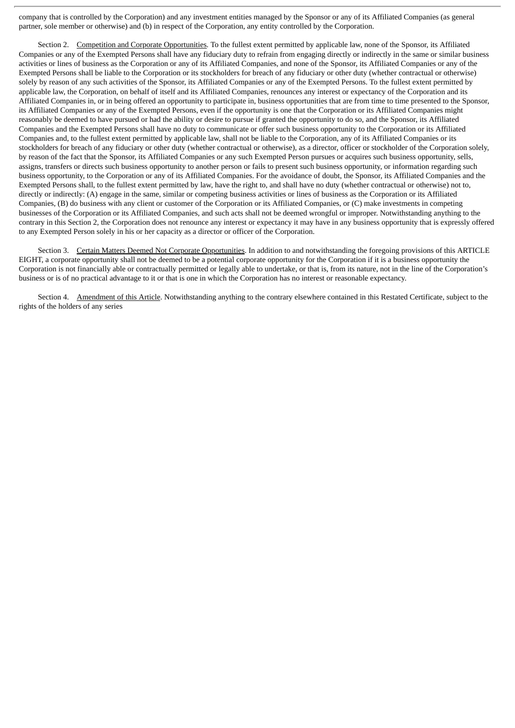company that is controlled by the Corporation) and any investment entities managed by the Sponsor or any of its Affiliated Companies (as general partner, sole member or otherwise) and (b) in respect of the Corporation, any entity controlled by the Corporation.

Section 2. Competition and Corporate Opportunities. To the fullest extent permitted by applicable law, none of the Sponsor, its Affiliated Companies or any of the Exempted Persons shall have any fiduciary duty to refrain from engaging directly or indirectly in the same or similar business activities or lines of business as the Corporation or any of its Affiliated Companies, and none of the Sponsor, its Affiliated Companies or any of the Exempted Persons shall be liable to the Corporation or its stockholders for breach of any fiduciary or other duty (whether contractual or otherwise) solely by reason of any such activities of the Sponsor, its Affiliated Companies or any of the Exempted Persons. To the fullest extent permitted by applicable law, the Corporation, on behalf of itself and its Affiliated Companies, renounces any interest or expectancy of the Corporation and its Affiliated Companies in, or in being offered an opportunity to participate in, business opportunities that are from time to time presented to the Sponsor, its Affiliated Companies or any of the Exempted Persons, even if the opportunity is one that the Corporation or its Affiliated Companies might reasonably be deemed to have pursued or had the ability or desire to pursue if granted the opportunity to do so, and the Sponsor, its Affiliated Companies and the Exempted Persons shall have no duty to communicate or offer such business opportunity to the Corporation or its Affiliated Companies and, to the fullest extent permitted by applicable law, shall not be liable to the Corporation, any of its Affiliated Companies or its stockholders for breach of any fiduciary or other duty (whether contractual or otherwise), as a director, officer or stockholder of the Corporation solely, by reason of the fact that the Sponsor, its Affiliated Companies or any such Exempted Person pursues or acquires such business opportunity, sells, assigns, transfers or directs such business opportunity to another person or fails to present such business opportunity, or information regarding such business opportunity, to the Corporation or any of its Affiliated Companies. For the avoidance of doubt, the Sponsor, its Affiliated Companies and the Exempted Persons shall, to the fullest extent permitted by law, have the right to, and shall have no duty (whether contractual or otherwise) not to, directly or indirectly: (A) engage in the same, similar or competing business activities or lines of business as the Corporation or its Affiliated Companies, (B) do business with any client or customer of the Corporation or its Affiliated Companies, or (C) make investments in competing businesses of the Corporation or its Affiliated Companies, and such acts shall not be deemed wrongful or improper. Notwithstanding anything to the contrary in this Section 2, the Corporation does not renounce any interest or expectancy it may have in any business opportunity that is expressly offered to any Exempted Person solely in his or her capacity as a director or officer of the Corporation.

Section 3. Certain Matters Deemed Not Corporate Opportunities. In addition to and notwithstanding the foregoing provisions of this ARTICLE EIGHT, a corporate opportunity shall not be deemed to be a potential corporate opportunity for the Corporation if it is a business opportunity the Corporation is not financially able or contractually permitted or legally able to undertake, or that is, from its nature, not in the line of the Corporation's business or is of no practical advantage to it or that is one in which the Corporation has no interest or reasonable expectancy.

Section 4. Amendment of this Article. Notwithstanding anything to the contrary elsewhere contained in this Restated Certificate, subject to the rights of the holders of any series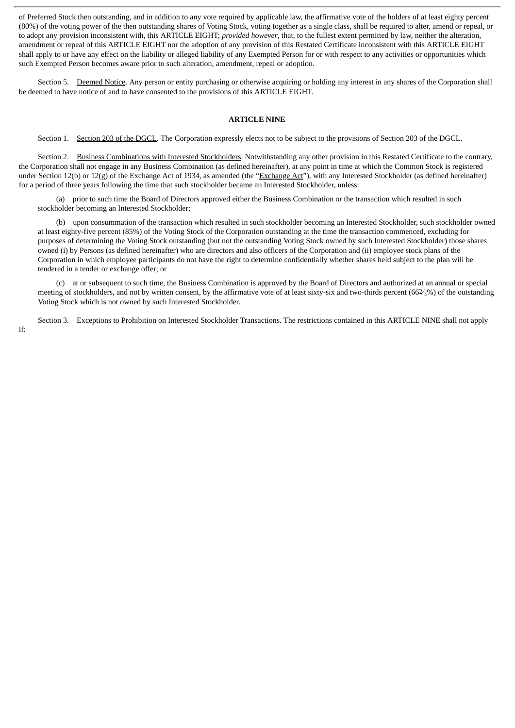of Preferred Stock then outstanding, and in addition to any vote required by applicable law, the affirmative vote of the holders of at least eighty percent (80%) of the voting power of the then outstanding shares of Voting Stock, voting together as a single class, shall be required to alter, amend or repeal, or to adopt any provision inconsistent with, this ARTICLE EIGHT; *provided however*, that, to the fullest extent permitted by law, neither the alteration, amendment or repeal of this ARTICLE EIGHT nor the adoption of any provision of this Restated Certificate inconsistent with this ARTICLE EIGHT shall apply to or have any effect on the liability or alleged liability of any Exempted Person for or with respect to any activities or opportunities which such Exempted Person becomes aware prior to such alteration, amendment, repeal or adoption.

Section 5. Deemed Notice. Any person or entity purchasing or otherwise acquiring or holding any interest in any shares of the Corporation shall be deemed to have notice of and to have consented to the provisions of this ARTICLE EIGHT.

## **ARTICLE NINE**

Section 1. Section 203 of the DGCL. The Corporation expressly elects not to be subject to the provisions of Section 203 of the DGCL.

Section 2. Business Combinations with Interested Stockholders. Notwithstanding any other provision in this Restated Certificate to the contrary, the Corporation shall not engage in any Business Combination (as defined hereinafter), at any point in time at which the Common Stock is registered under Section 12(b) or 12(g) of the Exchange Act of 1934, as amended (the "Exchange Act"), with any Interested Stockholder (as defined hereinafter) for a period of three years following the time that such stockholder became an Interested Stockholder, unless:

(a) prior to such time the Board of Directors approved either the Business Combination or the transaction which resulted in such stockholder becoming an Interested Stockholder;

(b) upon consummation of the transaction which resulted in such stockholder becoming an Interested Stockholder, such stockholder owned at least eighty-five percent (85%) of the Voting Stock of the Corporation outstanding at the time the transaction commenced, excluding for purposes of determining the Voting Stock outstanding (but not the outstanding Voting Stock owned by such Interested Stockholder) those shares owned (i) by Persons (as defined hereinafter) who are directors and also officers of the Corporation and (ii) employee stock plans of the Corporation in which employee participants do not have the right to determine confidentially whether shares held subject to the plan will be tendered in a tender or exchange offer; or

(c) at or subsequent to such time, the Business Combination is approved by the Board of Directors and authorized at an annual or special meeting of stockholders, and not by written consent, by the affirmative vote of at least sixty-six and two-thirds percent (662/3%) of the outstanding Voting Stock which is not owned by such Interested Stockholder.

Section 3. Exceptions to Prohibition on Interested Stockholder Transactions. The restrictions contained in this ARTICLE NINE shall not apply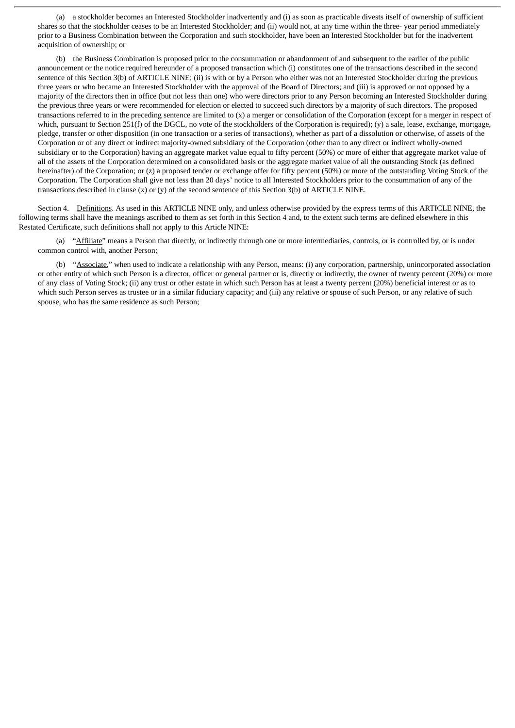(a) a stockholder becomes an Interested Stockholder inadvertently and (i) as soon as practicable divests itself of ownership of sufficient shares so that the stockholder ceases to be an Interested Stockholder; and (ii) would not, at any time within the three- year period immediately prior to a Business Combination between the Corporation and such stockholder, have been an Interested Stockholder but for the inadvertent acquisition of ownership; or

(b) the Business Combination is proposed prior to the consummation or abandonment of and subsequent to the earlier of the public announcement or the notice required hereunder of a proposed transaction which (i) constitutes one of the transactions described in the second sentence of this Section 3(b) of ARTICLE NINE; (ii) is with or by a Person who either was not an Interested Stockholder during the previous three years or who became an Interested Stockholder with the approval of the Board of Directors; and (iii) is approved or not opposed by a majority of the directors then in office (but not less than one) who were directors prior to any Person becoming an Interested Stockholder during the previous three years or were recommended for election or elected to succeed such directors by a majority of such directors. The proposed transactions referred to in the preceding sentence are limited to (x) a merger or consolidation of the Corporation (except for a merger in respect of which, pursuant to Section 251(f) of the DGCL, no vote of the stockholders of the Corporation is required); (y) a sale, lease, exchange, mortgage, pledge, transfer or other disposition (in one transaction or a series of transactions), whether as part of a dissolution or otherwise, of assets of the Corporation or of any direct or indirect majority-owned subsidiary of the Corporation (other than to any direct or indirect wholly-owned subsidiary or to the Corporation) having an aggregate market value equal to fifty percent (50%) or more of either that aggregate market value of all of the assets of the Corporation determined on a consolidated basis or the aggregate market value of all the outstanding Stock (as defined hereinafter) of the Corporation; or (z) a proposed tender or exchange offer for fifty percent (50%) or more of the outstanding Voting Stock of the Corporation. The Corporation shall give not less than 20 days' notice to all Interested Stockholders prior to the consummation of any of the transactions described in clause (x) or (y) of the second sentence of this Section 3(b) of ARTICLE NINE.

Section 4. Definitions. As used in this ARTICLE NINE only, and unless otherwise provided by the express terms of this ARTICLE NINE, the following terms shall have the meanings ascribed to them as set forth in this Section 4 and, to the extent such terms are defined elsewhere in this Restated Certificate, such definitions shall not apply to this Article NINE:

(a) "Affiliate" means a Person that directly, or indirectly through one or more intermediaries, controls, or is controlled by, or is under common control with, another Person;

(b) "Associate," when used to indicate a relationship with any Person, means: (i) any corporation, partnership, unincorporated association or other entity of which such Person is a director, officer or general partner or is, directly or indirectly, the owner of twenty percent (20%) or more of any class of Voting Stock; (ii) any trust or other estate in which such Person has at least a twenty percent (20%) beneficial interest or as to which such Person serves as trustee or in a similar fiduciary capacity; and (iii) any relative or spouse of such Person, or any relative of such spouse, who has the same residence as such Person;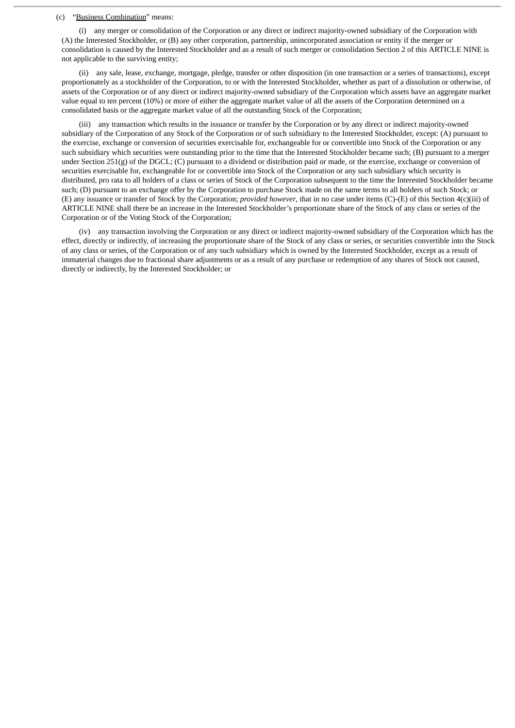## (c) "Business Combination" means:

(i) any merger or consolidation of the Corporation or any direct or indirect majority-owned subsidiary of the Corporation with (A) the Interested Stockholder, or (B) any other corporation, partnership, unincorporated association or entity if the merger or consolidation is caused by the Interested Stockholder and as a result of such merger or consolidation Section 2 of this ARTICLE NINE is not applicable to the surviving entity;

(ii) any sale, lease, exchange, mortgage, pledge, transfer or other disposition (in one transaction or a series of transactions), except proportionately as a stockholder of the Corporation, to or with the Interested Stockholder, whether as part of a dissolution or otherwise, of assets of the Corporation or of any direct or indirect majority-owned subsidiary of the Corporation which assets have an aggregate market value equal to ten percent (10%) or more of either the aggregate market value of all the assets of the Corporation determined on a consolidated basis or the aggregate market value of all the outstanding Stock of the Corporation;

(iii) any transaction which results in the issuance or transfer by the Corporation or by any direct or indirect majority-owned subsidiary of the Corporation of any Stock of the Corporation or of such subsidiary to the Interested Stockholder, except: (A) pursuant to the exercise, exchange or conversion of securities exercisable for, exchangeable for or convertible into Stock of the Corporation or any such subsidiary which securities were outstanding prior to the time that the Interested Stockholder became such; (B) pursuant to a merger under Section 251(g) of the DGCL; (C) pursuant to a dividend or distribution paid or made, or the exercise, exchange or conversion of securities exercisable for, exchangeable for or convertible into Stock of the Corporation or any such subsidiary which security is distributed, pro rata to all holders of a class or series of Stock of the Corporation subsequent to the time the Interested Stockholder became such; (D) pursuant to an exchange offer by the Corporation to purchase Stock made on the same terms to all holders of such Stock; or (E) any issuance or transfer of Stock by the Corporation; *provided however*, that in no case under items (C)-(E) of this Section 4(c)(iii) of ARTICLE NINE shall there be an increase in the Interested Stockholder's proportionate share of the Stock of any class or series of the Corporation or of the Voting Stock of the Corporation;

(iv) any transaction involving the Corporation or any direct or indirect majority-owned subsidiary of the Corporation which has the effect, directly or indirectly, of increasing the proportionate share of the Stock of any class or series, or securities convertible into the Stock of any class or series, of the Corporation or of any such subsidiary which is owned by the Interested Stockholder, except as a result of immaterial changes due to fractional share adjustments or as a result of any purchase or redemption of any shares of Stock not caused, directly or indirectly, by the Interested Stockholder; or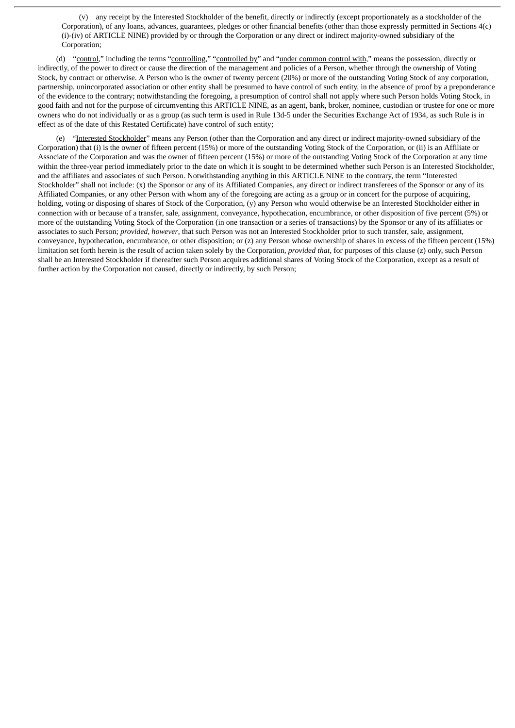(v) any receipt by the Interested Stockholder of the benefit, directly or indirectly (except proportionately as a stockholder of the Corporation), of any loans, advances, guarantees, pledges or other financial benefits (other than those expressly permitted in Sections 4(c) (i)-(iv) of ARTICLE NINE) provided by or through the Corporation or any direct or indirect majority-owned subsidiary of the Corporation;

(d) "control," including the terms "controlling," "controlled by" and "under common control with," means the possession, directly or indirectly, of the power to direct or cause the direction of the management and policies of a Person, whether through the ownership of Voting Stock, by contract or otherwise. A Person who is the owner of twenty percent (20%) or more of the outstanding Voting Stock of any corporation, partnership, unincorporated association or other entity shall be presumed to have control of such entity, in the absence of proof by a preponderance of the evidence to the contrary; notwithstanding the foregoing, a presumption of control shall not apply where such Person holds Voting Stock, in good faith and not for the purpose of circumventing this ARTICLE NINE, as an agent, bank, broker, nominee, custodian or trustee for one or more owners who do not individually or as a group (as such term is used in Rule 13d-5 under the Securities Exchange Act of 1934, as such Rule is in effect as of the date of this Restated Certificate) have control of such entity;

(e) "Interested Stockholder" means any Person (other than the Corporation and any direct or indirect majority-owned subsidiary of the Corporation) that (i) is the owner of fifteen percent (15%) or more of the outstanding Voting Stock of the Corporation, or (ii) is an Affiliate or Associate of the Corporation and was the owner of fifteen percent (15%) or more of the outstanding Voting Stock of the Corporation at any time within the three-year period immediately prior to the date on which it is sought to be determined whether such Person is an Interested Stockholder, and the affiliates and associates of such Person. Notwithstanding anything in this ARTICLE NINE to the contrary, the term "Interested Stockholder" shall not include: (x) the Sponsor or any of its Affiliated Companies, any direct or indirect transferees of the Sponsor or any of its Affiliated Companies, or any other Person with whom any of the foregoing are acting as a group or in concert for the purpose of acquiring, holding, voting or disposing of shares of Stock of the Corporation, (y) any Person who would otherwise be an Interested Stockholder either in connection with or because of a transfer, sale, assignment, conveyance, hypothecation, encumbrance, or other disposition of five percent (5%) or more of the outstanding Voting Stock of the Corporation (in one transaction or a series of transactions) by the Sponsor or any of its affiliates or associates to such Person; *provided*, *however*, that such Person was not an Interested Stockholder prior to such transfer, sale, assignment, conveyance, hypothecation, encumbrance, or other disposition; or (z) any Person whose ownership of shares in excess of the fifteen percent (15%) limitation set forth herein is the result of action taken solely by the Corporation, *provided that*, for purposes of this clause (z) only, such Person shall be an Interested Stockholder if thereafter such Person acquires additional shares of Voting Stock of the Corporation, except as a result of further action by the Corporation not caused, directly or indirectly, by such Person;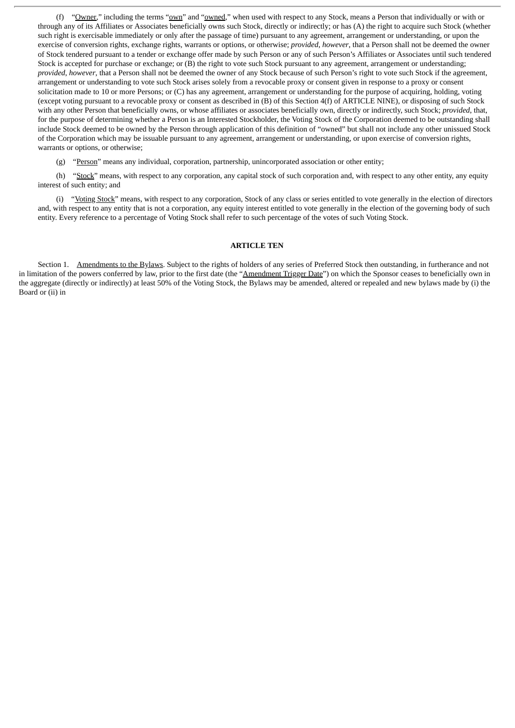(f) "Owner," including the terms "own" and "owned," when used with respect to any Stock, means a Person that individually or with or through any of its Affiliates or Associates beneficially owns such Stock, directly or indirectly; or has (A) the right to acquire such Stock (whether such right is exercisable immediately or only after the passage of time) pursuant to any agreement, arrangement or understanding, or upon the exercise of conversion rights, exchange rights, warrants or options, or otherwise; *provided*, *however*, that a Person shall not be deemed the owner of Stock tendered pursuant to a tender or exchange offer made by such Person or any of such Person's Affiliates or Associates until such tendered Stock is accepted for purchase or exchange; or (B) the right to vote such Stock pursuant to any agreement, arrangement or understanding; *provided*, *however*, that a Person shall not be deemed the owner of any Stock because of such Person's right to vote such Stock if the agreement, arrangement or understanding to vote such Stock arises solely from a revocable proxy or consent given in response to a proxy or consent solicitation made to 10 or more Persons; or (C) has any agreement, arrangement or understanding for the purpose of acquiring, holding, voting (except voting pursuant to a revocable proxy or consent as described in (B) of this Section 4(f) of ARTICLE NINE), or disposing of such Stock with any other Person that beneficially owns, or whose affiliates or associates beneficially own, directly or indirectly, such Stock; *provided*, that, for the purpose of determining whether a Person is an Interested Stockholder, the Voting Stock of the Corporation deemed to be outstanding shall include Stock deemed to be owned by the Person through application of this definition of "owned" but shall not include any other unissued Stock of the Corporation which may be issuable pursuant to any agreement, arrangement or understanding, or upon exercise of conversion rights, warrants or options, or otherwise;

 $(g)$  "Person" means any individual, corporation, partnership, unincorporated association or other entity;

(h) "Stock" means, with respect to any corporation, any capital stock of such corporation and, with respect to any other entity, any equity interest of such entity; and

(i) "Voting Stock" means, with respect to any corporation, Stock of any class or series entitled to vote generally in the election of directors and, with respect to any entity that is not a corporation, any equity interest entitled to vote generally in the election of the governing body of such entity. Every reference to a percentage of Voting Stock shall refer to such percentage of the votes of such Voting Stock.

## **ARTICLE TEN**

Section 1. Amendments to the Bylaws. Subject to the rights of holders of any series of Preferred Stock then outstanding, in furtherance and not in limitation of the powers conferred by law, prior to the first date (the "Amendment Trigger Date") on which the Sponsor ceases to beneficially own in the aggregate (directly or indirectly) at least 50% of the Voting Stock, the Bylaws may be amended, altered or repealed and new bylaws made by (i) the Board or (ii) in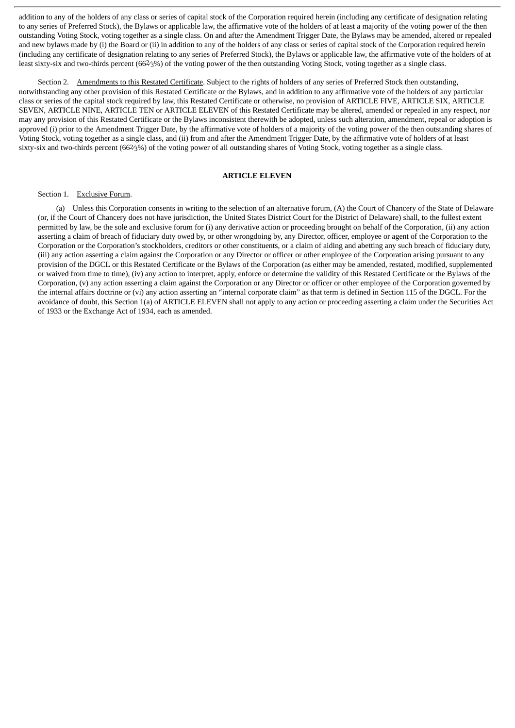addition to any of the holders of any class or series of capital stock of the Corporation required herein (including any certificate of designation relating to any series of Preferred Stock), the Bylaws or applicable law, the affirmative vote of the holders of at least a majority of the voting power of the then outstanding Voting Stock, voting together as a single class. On and after the Amendment Trigger Date, the Bylaws may be amended, altered or repealed and new bylaws made by (i) the Board or (ii) in addition to any of the holders of any class or series of capital stock of the Corporation required herein (including any certificate of designation relating to any series of Preferred Stock), the Bylaws or applicable law, the affirmative vote of the holders of at least sixty-six and two-thirds percent (662⁄3%) of the voting power of the then outstanding Voting Stock, voting together as a single class.

Section 2. Amendments to this Restated Certificate. Subject to the rights of holders of any series of Preferred Stock then outstanding, notwithstanding any other provision of this Restated Certificate or the Bylaws, and in addition to any affirmative vote of the holders of any particular class or series of the capital stock required by law, this Restated Certificate or otherwise, no provision of ARTICLE FIVE, ARTICLE SIX, ARTICLE SEVEN, ARTICLE NINE, ARTICLE TEN or ARTICLE ELEVEN of this Restated Certificate may be altered, amended or repealed in any respect, nor may any provision of this Restated Certificate or the Bylaws inconsistent therewith be adopted, unless such alteration, amendment, repeal or adoption is approved (i) prior to the Amendment Trigger Date, by the affirmative vote of holders of a majority of the voting power of the then outstanding shares of Voting Stock, voting together as a single class, and (ii) from and after the Amendment Trigger Date, by the affirmative vote of holders of at least sixty-six and two-thirds percent (662⁄3%) of the voting power of all outstanding shares of Voting Stock, voting together as a single class.

## **ARTICLE ELEVEN**

#### Section 1. Exclusive Forum.

(a) Unless this Corporation consents in writing to the selection of an alternative forum, (A) the Court of Chancery of the State of Delaware (or, if the Court of Chancery does not have jurisdiction, the United States District Court for the District of Delaware) shall, to the fullest extent permitted by law, be the sole and exclusive forum for (i) any derivative action or proceeding brought on behalf of the Corporation, (ii) any action asserting a claim of breach of fiduciary duty owed by, or other wrongdoing by, any Director, officer, employee or agent of the Corporation to the Corporation or the Corporation's stockholders, creditors or other constituents, or a claim of aiding and abetting any such breach of fiduciary duty, (iii) any action asserting a claim against the Corporation or any Director or officer or other employee of the Corporation arising pursuant to any provision of the DGCL or this Restated Certificate or the Bylaws of the Corporation (as either may be amended, restated, modified, supplemented or waived from time to time), (iv) any action to interpret, apply, enforce or determine the validity of this Restated Certificate or the Bylaws of the Corporation, (v) any action asserting a claim against the Corporation or any Director or officer or other employee of the Corporation governed by the internal affairs doctrine or (vi) any action asserting an "internal corporate claim" as that term is defined in Section 115 of the DGCL. For the avoidance of doubt, this Section 1(a) of ARTICLE ELEVEN shall not apply to any action or proceeding asserting a claim under the Securities Act of 1933 or the Exchange Act of 1934, each as amended.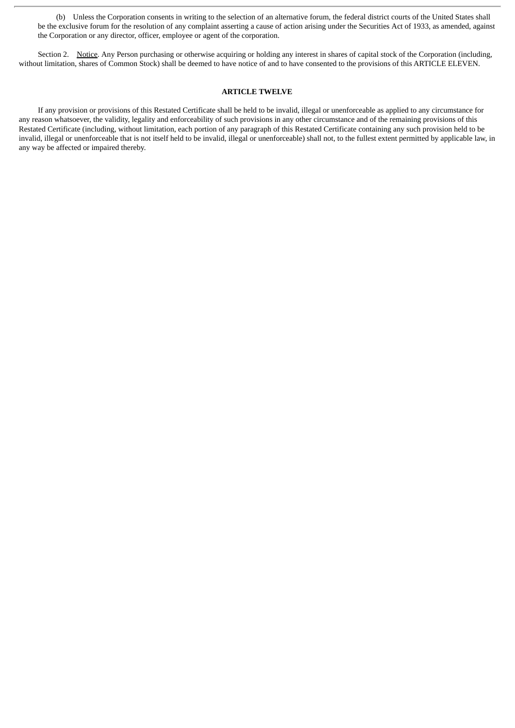(b) Unless the Corporation consents in writing to the selection of an alternative forum, the federal district courts of the United States shall be the exclusive forum for the resolution of any complaint asserting a cause of action arising under the Securities Act of 1933, as amended, against the Corporation or any director, officer, employee or agent of the corporation.

Section 2. Notice. Any Person purchasing or otherwise acquiring or holding any interest in shares of capital stock of the Corporation (including, without limitation, shares of Common Stock) shall be deemed to have notice of and to have consented to the provisions of this ARTICLE ELEVEN.

## **ARTICLE TWELVE**

If any provision or provisions of this Restated Certificate shall be held to be invalid, illegal or unenforceable as applied to any circumstance for any reason whatsoever, the validity, legality and enforceability of such provisions in any other circumstance and of the remaining provisions of this Restated Certificate (including, without limitation, each portion of any paragraph of this Restated Certificate containing any such provision held to be invalid, illegal or unenforceable that is not itself held to be invalid, illegal or unenforceable) shall not, to the fullest extent permitted by applicable law, in any way be affected or impaired thereby.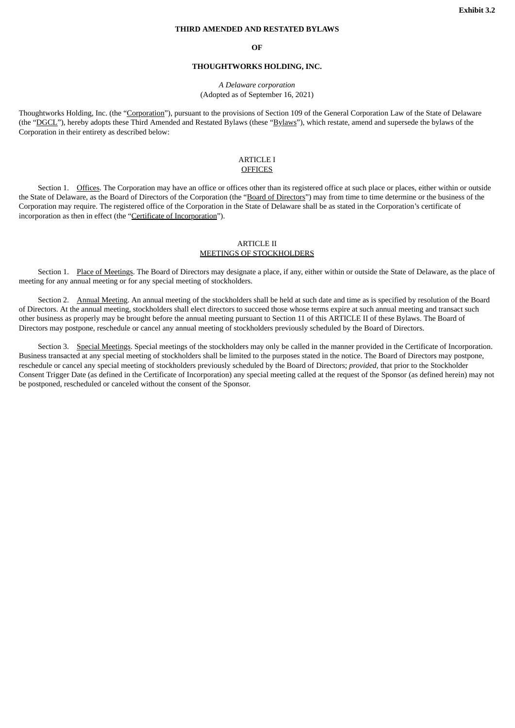#### **THIRD AMENDED AND RESTATED BYLAWS**

#### **OF**

#### **THOUGHTWORKS HOLDING, INC.**

## *A Delaware corporation* (Adopted as of September 16, 2021)

Thoughtworks Holding, Inc. (the "Corporation"), pursuant to the provisions of Section 109 of the General Corporation Law of the State of Delaware (the "DGCL"), hereby adopts these Third Amended and Restated Bylaws (these "Bylaws"), which restate, amend and supersede the bylaws of the Corporation in their entirety as described below:

#### ARTICLE I **OFFICES**

Section 1. Offices. The Corporation may have an office or offices other than its registered office at such place or places, either within or outside the State of Delaware, as the Board of Directors of the Corporation (the "Board of Directors") may from time to time determine or the business of the Corporation may require. The registered office of the Corporation in the State of Delaware shall be as stated in the Corporation's certificate of incorporation as then in effect (the "Certificate of Incorporation").

## ARTICLE II MEETINGS OF STOCKHOLDERS

Section 1. Place of Meetings. The Board of Directors may designate a place, if any, either within or outside the State of Delaware, as the place of meeting for any annual meeting or for any special meeting of stockholders.

Section 2. Annual Meeting. An annual meeting of the stockholders shall be held at such date and time as is specified by resolution of the Board of Directors. At the annual meeting, stockholders shall elect directors to succeed those whose terms expire at such annual meeting and transact such other business as properly may be brought before the annual meeting pursuant to Section 11 of this ARTICLE II of these Bylaws. The Board of Directors may postpone, reschedule or cancel any annual meeting of stockholders previously scheduled by the Board of Directors.

Section 3. Special Meetings. Special meetings of the stockholders may only be called in the manner provided in the Certificate of Incorporation. Business transacted at any special meeting of stockholders shall be limited to the purposes stated in the notice. The Board of Directors may postpone, reschedule or cancel any special meeting of stockholders previously scheduled by the Board of Directors; *provided*, that prior to the Stockholder Consent Trigger Date (as defined in the Certificate of Incorporation) any special meeting called at the request of the Sponsor (as defined herein) may not be postponed, rescheduled or canceled without the consent of the Sponsor.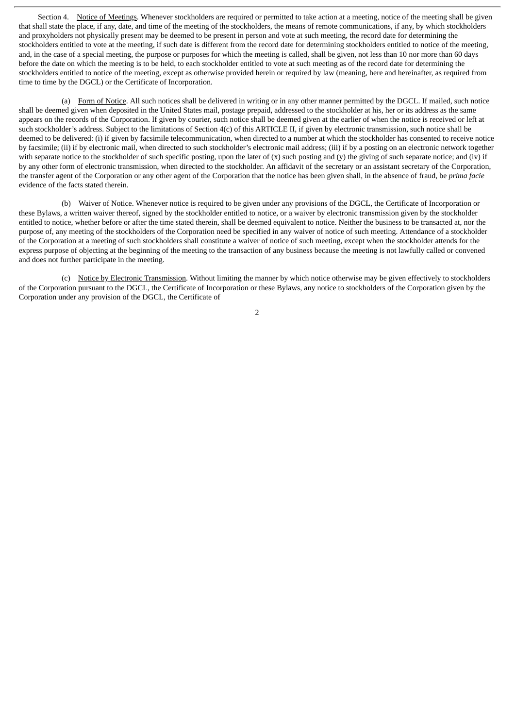Section 4. Notice of Meetings. Whenever stockholders are required or permitted to take action at a meeting, notice of the meeting shall be given that shall state the place, if any, date, and time of the meeting of the stockholders, the means of remote communications, if any, by which stockholders and proxyholders not physically present may be deemed to be present in person and vote at such meeting, the record date for determining the stockholders entitled to vote at the meeting, if such date is different from the record date for determining stockholders entitled to notice of the meeting, and, in the case of a special meeting, the purpose or purposes for which the meeting is called, shall be given, not less than 10 nor more than 60 days before the date on which the meeting is to be held, to each stockholder entitled to vote at such meeting as of the record date for determining the stockholders entitled to notice of the meeting, except as otherwise provided herein or required by law (meaning, here and hereinafter, as required from time to time by the DGCL) or the Certificate of Incorporation.

(a) Form of Notice. All such notices shall be delivered in writing or in any other manner permitted by the DGCL. If mailed, such notice shall be deemed given when deposited in the United States mail, postage prepaid, addressed to the stockholder at his, her or its address as the same appears on the records of the Corporation. If given by courier, such notice shall be deemed given at the earlier of when the notice is received or left at such stockholder's address. Subject to the limitations of Section 4(c) of this ARTICLE II, if given by electronic transmission, such notice shall be deemed to be delivered: (i) if given by facsimile telecommunication, when directed to a number at which the stockholder has consented to receive notice by facsimile; (ii) if by electronic mail, when directed to such stockholder's electronic mail address; (iii) if by a posting on an electronic network together with separate notice to the stockholder of such specific posting, upon the later of  $(x)$  such posting and  $(y)$  the giving of such separate notice; and  $(iv)$  if by any other form of electronic transmission, when directed to the stockholder. An affidavit of the secretary or an assistant secretary of the Corporation, the transfer agent of the Corporation or any other agent of the Corporation that the notice has been given shall, in the absence of fraud, be *prima facie* evidence of the facts stated therein.

(b) Waiver of Notice. Whenever notice is required to be given under any provisions of the DGCL, the Certificate of Incorporation or these Bylaws, a written waiver thereof, signed by the stockholder entitled to notice, or a waiver by electronic transmission given by the stockholder entitled to notice, whether before or after the time stated therein, shall be deemed equivalent to notice. Neither the business to be transacted at, nor the purpose of, any meeting of the stockholders of the Corporation need be specified in any waiver of notice of such meeting. Attendance of a stockholder of the Corporation at a meeting of such stockholders shall constitute a waiver of notice of such meeting, except when the stockholder attends for the express purpose of objecting at the beginning of the meeting to the transaction of any business because the meeting is not lawfully called or convened and does not further participate in the meeting.

(c) Notice by Electronic Transmission. Without limiting the manner by which notice otherwise may be given effectively to stockholders of the Corporation pursuant to the DGCL, the Certificate of Incorporation or these Bylaws, any notice to stockholders of the Corporation given by the Corporation under any provision of the DGCL, the Certificate of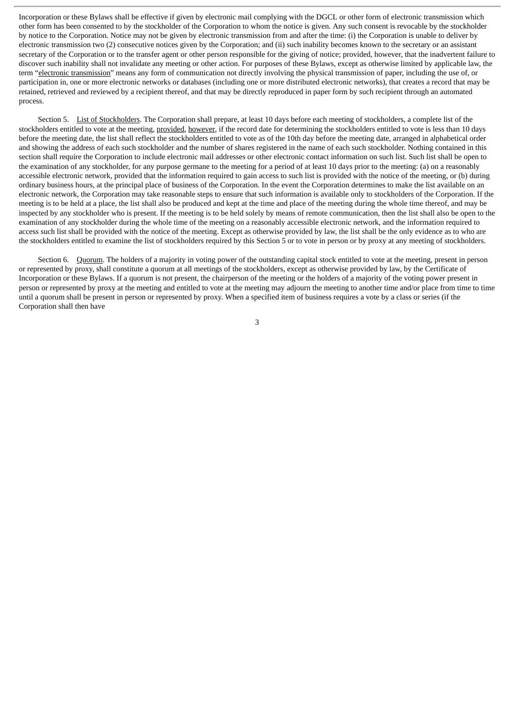Incorporation or these Bylaws shall be effective if given by electronic mail complying with the DGCL or other form of electronic transmission which other form has been consented to by the stockholder of the Corporation to whom the notice is given. Any such consent is revocable by the stockholder by notice to the Corporation. Notice may not be given by electronic transmission from and after the time: (i) the Corporation is unable to deliver by electronic transmission two (2) consecutive notices given by the Corporation; and (ii) such inability becomes known to the secretary or an assistant secretary of the Corporation or to the transfer agent or other person responsible for the giving of notice; provided, however, that the inadvertent failure to discover such inability shall not invalidate any meeting or other action. For purposes of these Bylaws, except as otherwise limited by applicable law, the term "electronic transmission" means any form of communication not directly involving the physical transmission of paper, including the use of, or participation in, one or more electronic networks or databases (including one or more distributed electronic networks), that creates a record that may be retained, retrieved and reviewed by a recipient thereof, and that may be directly reproduced in paper form by such recipient through an automated process.

Section 5. List of Stockholders. The Corporation shall prepare, at least 10 days before each meeting of stockholders, a complete list of the stockholders entitled to vote at the meeting, provided, however, if the record date for determining the stockholders entitled to vote is less than 10 days before the meeting date, the list shall reflect the stockholders entitled to vote as of the 10th day before the meeting date, arranged in alphabetical order and showing the address of each such stockholder and the number of shares registered in the name of each such stockholder. Nothing contained in this section shall require the Corporation to include electronic mail addresses or other electronic contact information on such list. Such list shall be open to the examination of any stockholder, for any purpose germane to the meeting for a period of at least 10 days prior to the meeting: (a) on a reasonably accessible electronic network, provided that the information required to gain access to such list is provided with the notice of the meeting, or (b) during ordinary business hours, at the principal place of business of the Corporation. In the event the Corporation determines to make the list available on an electronic network, the Corporation may take reasonable steps to ensure that such information is available only to stockholders of the Corporation. If the meeting is to be held at a place, the list shall also be produced and kept at the time and place of the meeting during the whole time thereof, and may be inspected by any stockholder who is present. If the meeting is to be held solely by means of remote communication, then the list shall also be open to the examination of any stockholder during the whole time of the meeting on a reasonably accessible electronic network, and the information required to access such list shall be provided with the notice of the meeting. Except as otherwise provided by law, the list shall be the only evidence as to who are the stockholders entitled to examine the list of stockholders required by this Section 5 or to vote in person or by proxy at any meeting of stockholders.

Section 6. Quorum. The holders of a majority in voting power of the outstanding capital stock entitled to vote at the meeting, present in person or represented by proxy, shall constitute a quorum at all meetings of the stockholders, except as otherwise provided by law, by the Certificate of Incorporation or these Bylaws. If a quorum is not present, the chairperson of the meeting or the holders of a majority of the voting power present in person or represented by proxy at the meeting and entitled to vote at the meeting may adjourn the meeting to another time and/or place from time to time until a quorum shall be present in person or represented by proxy. When a specified item of business requires a vote by a class or series (if the Corporation shall then have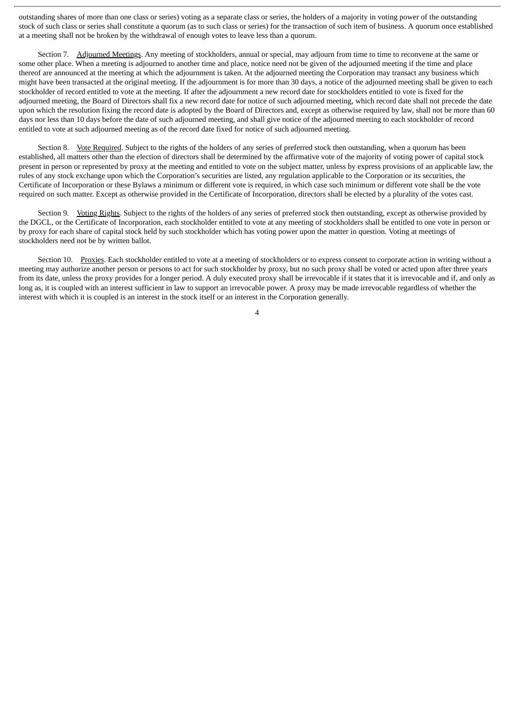outstanding shares of more than one class or series) voting as a separate class or series, the holders of a majority in voting power of the outstanding stock of such class or series shall constitute a quorum (as to such class or series) for the transaction of such item of business. A quorum once established at a meeting shall not be broken by the withdrawal of enough votes to leave less than a quorum.

Section 7. Adjourned Meetings. Any meeting of stockholders, annual or special, may adjourn from time to time to reconvene at the same or some other place. When a meeting is adjourned to another time and place, notice need not be given of the adjourned meeting if the time and place thereof are announced at the meeting at which the adjournment is taken. At the adjourned meeting the Corporation may transact any business which might have been transacted at the original meeting. If the adjournment is for more than 30 days, a notice of the adjourned meeting shall be given to each stockholder of record entitled to vote at the meeting. If after the adjournment a new record date for stockholders entitled to vote is fixed for the adjourned meeting, the Board of Directors shall fix a new record date for notice of such adjourned meeting, which record date shall not precede the date upon which the resolution fixing the record date is adopted by the Board of Directors and, except as otherwise required by law, shall not be more than 60 days nor less than 10 days before the date of such adjourned meeting, and shall give notice of the adjourned meeting to each stockholder of record entitled to vote at such adjourned meeting as of the record date fixed for notice of such adjourned meeting.

Section 8. Vote Required. Subject to the rights of the holders of any series of preferred stock then outstanding, when a quorum has been established, all matters other than the election of directors shall be determined by the affirmative vote of the majority of voting power of capital stock present in person or represented by proxy at the meeting and entitled to vote on the subject matter, unless by express provisions of an applicable law, the rules of any stock exchange upon which the Corporation's securities are listed, any regulation applicable to the Corporation or its securities, the Certificate of Incorporation or these Bylaws a minimum or different vote is required, in which case such minimum or different vote shall be the vote required on such matter. Except as otherwise provided in the Certificate of Incorporation, directors shall be elected by a plurality of the votes cast.

Section 9. Voting Rights. Subject to the rights of the holders of any series of preferred stock then outstanding, except as otherwise provided by the DGCL, or the Certificate of Incorporation, each stockholder entitled to vote at any meeting of stockholders shall be entitled to one vote in person or by proxy for each share of capital stock held by such stockholder which has voting power upon the matter in question. Voting at meetings of stockholders need not be by written ballot.

Section 10. Proxies. Each stockholder entitled to vote at a meeting of stockholders or to express consent to corporate action in writing without a meeting may authorize another person or persons to act for such stockholder by proxy, but no such proxy shall be voted or acted upon after three years from its date, unless the proxy provides for a longer period. A duly executed proxy shall be irrevocable if it states that it is irrevocable and if, and only as long as, it is coupled with an interest sufficient in law to support an irrevocable power. A proxy may be made irrevocable regardless of whether the interest with which it is coupled is an interest in the stock itself or an interest in the Corporation generally.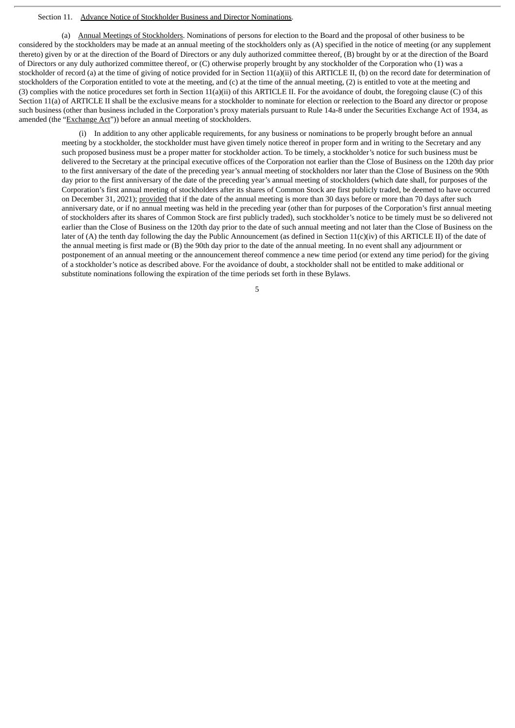#### Section 11. Advance Notice of Stockholder Business and Director Nominations.

(a) Annual Meetings of Stockholders. Nominations of persons for election to the Board and the proposal of other business to be considered by the stockholders may be made at an annual meeting of the stockholders only as (A) specified in the notice of meeting (or any supplement thereto) given by or at the direction of the Board of Directors or any duly authorized committee thereof, (B) brought by or at the direction of the Board of Directors or any duly authorized committee thereof, or (C) otherwise properly brought by any stockholder of the Corporation who (1) was a stockholder of record (a) at the time of giving of notice provided for in Section 11(a)(ii) of this ARTICLE II, (b) on the record date for determination of stockholders of the Corporation entitled to vote at the meeting, and (c) at the time of the annual meeting, (2) is entitled to vote at the meeting and (3) complies with the notice procedures set forth in Section 11(a)(ii) of this ARTICLE II. For the avoidance of doubt, the foregoing clause (C) of this Section 11(a) of ARTICLE II shall be the exclusive means for a stockholder to nominate for election or reelection to the Board any director or propose such business (other than business included in the Corporation's proxy materials pursuant to Rule 14a-8 under the Securities Exchange Act of 1934, as amended (the "Exchange Act")) before an annual meeting of stockholders.

(i) In addition to any other applicable requirements, for any business or nominations to be properly brought before an annual meeting by a stockholder, the stockholder must have given timely notice thereof in proper form and in writing to the Secretary and any such proposed business must be a proper matter for stockholder action. To be timely, a stockholder's notice for such business must be delivered to the Secretary at the principal executive offices of the Corporation not earlier than the Close of Business on the 120th day prior to the first anniversary of the date of the preceding year's annual meeting of stockholders nor later than the Close of Business on the 90th day prior to the first anniversary of the date of the preceding year's annual meeting of stockholders (which date shall, for purposes of the Corporation's first annual meeting of stockholders after its shares of Common Stock are first publicly traded, be deemed to have occurred on December 31, 2021); provided that if the date of the annual meeting is more than 30 days before or more than 70 days after such anniversary date, or if no annual meeting was held in the preceding year (other than for purposes of the Corporation's first annual meeting of stockholders after its shares of Common Stock are first publicly traded), such stockholder's notice to be timely must be so delivered not earlier than the Close of Business on the 120th day prior to the date of such annual meeting and not later than the Close of Business on the later of (A) the tenth day following the day the Public Announcement (as defined in Section 11(c)(iv) of this ARTICLE II) of the date of the annual meeting is first made or (B) the 90th day prior to the date of the annual meeting. In no event shall any adjournment or postponement of an annual meeting or the announcement thereof commence a new time period (or extend any time period) for the giving of a stockholder's notice as described above. For the avoidance of doubt, a stockholder shall not be entitled to make additional or substitute nominations following the expiration of the time periods set forth in these Bylaws.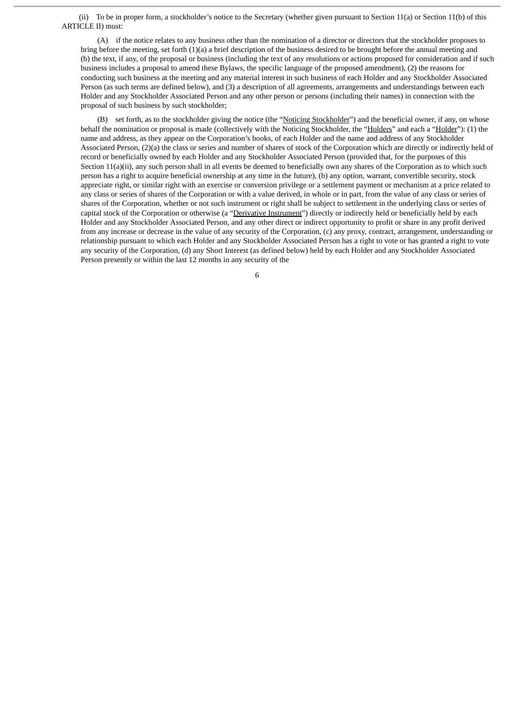(ii) To be in proper form, a stockholder's notice to the Secretary (whether given pursuant to Section 11(a) or Section 11(b) of this ARTICLE II) must:

(A) if the notice relates to any business other than the nomination of a director or directors that the stockholder proposes to bring before the meeting, set forth (1)(a) a brief description of the business desired to be brought before the annual meeting and (b) the text, if any, of the proposal or business (including the text of any resolutions or actions proposed for consideration and if such business includes a proposal to amend these Bylaws, the specific language of the proposed amendment), (2) the reasons for conducting such business at the meeting and any material interest in such business of each Holder and any Stockholder Associated Person (as such terms are defined below), and (3) a description of all agreements, arrangements and understandings between each Holder and any Stockholder Associated Person and any other person or persons (including their names) in connection with the proposal of such business by such stockholder;

(B) set forth, as to the stockholder giving the notice (the "Noticing Stockholder") and the beneficial owner, if any, on whose behalf the nomination or proposal is made (collectively with the Noticing Stockholder, the "Holders" and each a "Holder"): (1) the name and address, as they appear on the Corporation's books, of each Holder and the name and address of any Stockholder Associated Person, (2)(a) the class or series and number of shares of stock of the Corporation which are directly or indirectly held of record or beneficially owned by each Holder and any Stockholder Associated Person (provided that, for the purposes of this Section 11(a)(ii), any such person shall in all events be deemed to beneficially own any shares of the Corporation as to which such person has a right to acquire beneficial ownership at any time in the future), (b) any option, warrant, convertible security, stock appreciate right, or similar right with an exercise or conversion privilege or a settlement payment or mechanism at a price related to any class or series of shares of the Corporation or with a value derived, in whole or in part, from the value of any class or series of shares of the Corporation, whether or not such instrument or right shall be subject to settlement in the underlying class or series of capital stock of the Corporation or otherwise (a "Derivative Instrument") directly or indirectly held or beneficially held by each Holder and any Stockholder Associated Person, and any other direct or indirect opportunity to profit or share in any profit derived from any increase or decrease in the value of any security of the Corporation, (c) any proxy, contract, arrangement, understanding or relationship pursuant to which each Holder and any Stockholder Associated Person has a right to vote or has granted a right to vote any security of the Corporation, (d) any Short Interest (as defined below) held by each Holder and any Stockholder Associated Person presently or within the last 12 months in any security of the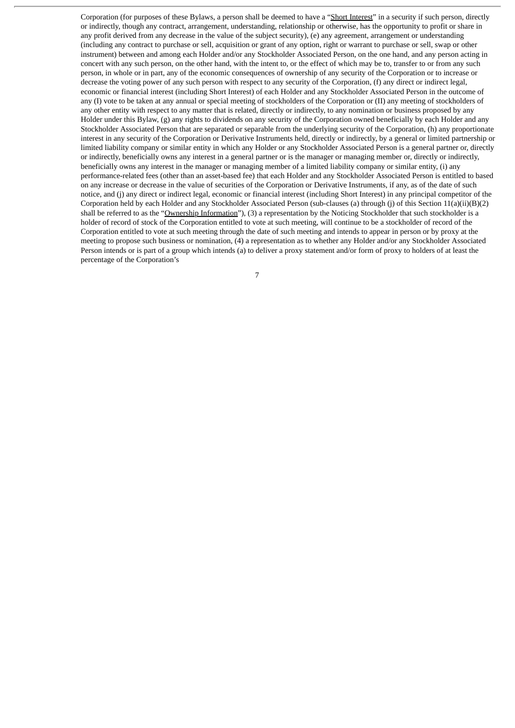Corporation (for purposes of these Bylaws, a person shall be deemed to have a "Short Interest" in a security if such person, directly or indirectly, though any contract, arrangement, understanding, relationship or otherwise, has the opportunity to profit or share in any profit derived from any decrease in the value of the subject security), (e) any agreement, arrangement or understanding (including any contract to purchase or sell, acquisition or grant of any option, right or warrant to purchase or sell, swap or other instrument) between and among each Holder and/or any Stockholder Associated Person, on the one hand, and any person acting in concert with any such person, on the other hand, with the intent to, or the effect of which may be to, transfer to or from any such person, in whole or in part, any of the economic consequences of ownership of any security of the Corporation or to increase or decrease the voting power of any such person with respect to any security of the Corporation, (f) any direct or indirect legal, economic or financial interest (including Short Interest) of each Holder and any Stockholder Associated Person in the outcome of any (I) vote to be taken at any annual or special meeting of stockholders of the Corporation or (II) any meeting of stockholders of any other entity with respect to any matter that is related, directly or indirectly, to any nomination or business proposed by any Holder under this Bylaw, (g) any rights to dividends on any security of the Corporation owned beneficially by each Holder and any Stockholder Associated Person that are separated or separable from the underlying security of the Corporation, (h) any proportionate interest in any security of the Corporation or Derivative Instruments held, directly or indirectly, by a general or limited partnership or limited liability company or similar entity in which any Holder or any Stockholder Associated Person is a general partner or, directly or indirectly, beneficially owns any interest in a general partner or is the manager or managing member or, directly or indirectly, beneficially owns any interest in the manager or managing member of a limited liability company or similar entity, (i) any performance-related fees (other than an asset-based fee) that each Holder and any Stockholder Associated Person is entitled to based on any increase or decrease in the value of securities of the Corporation or Derivative Instruments, if any, as of the date of such notice, and (j) any direct or indirect legal, economic or financial interest (including Short Interest) in any principal competitor of the Corporation held by each Holder and any Stockholder Associated Person (sub-clauses (a) through (j) of this Section 11(a)(ii)(B)(2) shall be referred to as the "Ownership Information"), (3) a representation by the Noticing Stockholder that such stockholder is a holder of record of stock of the Corporation entitled to vote at such meeting, will continue to be a stockholder of record of the Corporation entitled to vote at such meeting through the date of such meeting and intends to appear in person or by proxy at the meeting to propose such business or nomination, (4) a representation as to whether any Holder and/or any Stockholder Associated Person intends or is part of a group which intends (a) to deliver a proxy statement and/or form of proxy to holders of at least the percentage of the Corporation's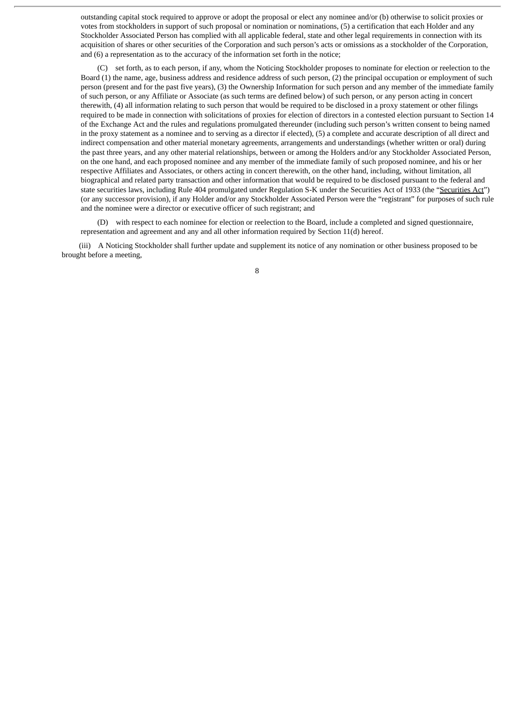outstanding capital stock required to approve or adopt the proposal or elect any nominee and/or (b) otherwise to solicit proxies or votes from stockholders in support of such proposal or nomination or nominations, (5) a certification that each Holder and any Stockholder Associated Person has complied with all applicable federal, state and other legal requirements in connection with its acquisition of shares or other securities of the Corporation and such person's acts or omissions as a stockholder of the Corporation, and (6) a representation as to the accuracy of the information set forth in the notice;

(C) set forth, as to each person, if any, whom the Noticing Stockholder proposes to nominate for election or reelection to the Board (1) the name, age, business address and residence address of such person, (2) the principal occupation or employment of such person (present and for the past five years), (3) the Ownership Information for such person and any member of the immediate family of such person, or any Affiliate or Associate (as such terms are defined below) of such person, or any person acting in concert therewith, (4) all information relating to such person that would be required to be disclosed in a proxy statement or other filings required to be made in connection with solicitations of proxies for election of directors in a contested election pursuant to Section 14 of the Exchange Act and the rules and regulations promulgated thereunder (including such person's written consent to being named in the proxy statement as a nominee and to serving as a director if elected), (5) a complete and accurate description of all direct and indirect compensation and other material monetary agreements, arrangements and understandings (whether written or oral) during the past three years, and any other material relationships, between or among the Holders and/or any Stockholder Associated Person, on the one hand, and each proposed nominee and any member of the immediate family of such proposed nominee, and his or her respective Affiliates and Associates, or others acting in concert therewith, on the other hand, including, without limitation, all biographical and related party transaction and other information that would be required to be disclosed pursuant to the federal and state securities laws, including Rule 404 promulgated under Regulation S-K under the Securities Act of 1933 (the "Securities Act") (or any successor provision), if any Holder and/or any Stockholder Associated Person were the "registrant" for purposes of such rule and the nominee were a director or executive officer of such registrant; and

(D) with respect to each nominee for election or reelection to the Board, include a completed and signed questionnaire, representation and agreement and any and all other information required by Section 11(d) hereof.

(iii) A Noticing Stockholder shall further update and supplement its notice of any nomination or other business proposed to be brought before a meeting,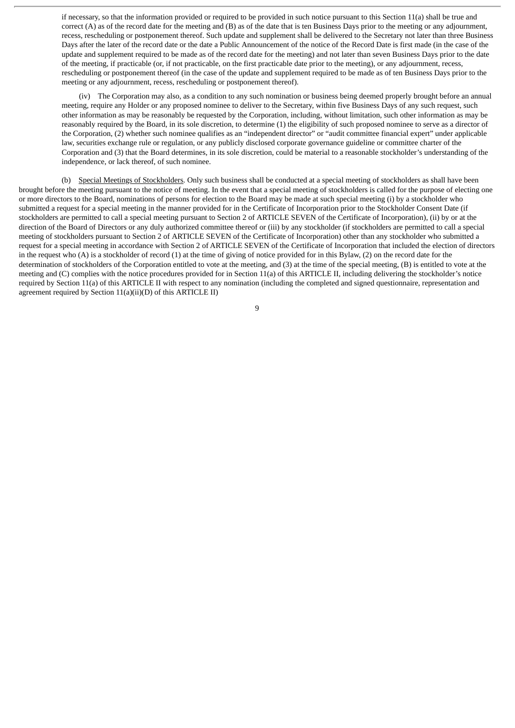if necessary, so that the information provided or required to be provided in such notice pursuant to this Section 11(a) shall be true and correct  $(A)$  as of the record date for the meeting and  $(B)$  as of the date that is ten Business Days prior to the meeting or any adjournment. recess, rescheduling or postponement thereof. Such update and supplement shall be delivered to the Secretary not later than three Business Days after the later of the record date or the date a Public Announcement of the notice of the Record Date is first made (in the case of the update and supplement required to be made as of the record date for the meeting) and not later than seven Business Days prior to the date of the meeting, if practicable (or, if not practicable, on the first practicable date prior to the meeting), or any adjournment, recess, rescheduling or postponement thereof (in the case of the update and supplement required to be made as of ten Business Days prior to the meeting or any adjournment, recess, rescheduling or postponement thereof).

(iv) The Corporation may also, as a condition to any such nomination or business being deemed properly brought before an annual meeting, require any Holder or any proposed nominee to deliver to the Secretary, within five Business Days of any such request, such other information as may be reasonably be requested by the Corporation, including, without limitation, such other information as may be reasonably required by the Board, in its sole discretion, to determine (1) the eligibility of such proposed nominee to serve as a director of the Corporation, (2) whether such nominee qualifies as an "independent director" or "audit committee financial expert" under applicable law, securities exchange rule or regulation, or any publicly disclosed corporate governance guideline or committee charter of the Corporation and (3) that the Board determines, in its sole discretion, could be material to a reasonable stockholder's understanding of the independence, or lack thereof, of such nominee.

(b) Special Meetings of Stockholders. Only such business shall be conducted at a special meeting of stockholders as shall have been brought before the meeting pursuant to the notice of meeting. In the event that a special meeting of stockholders is called for the purpose of electing one or more directors to the Board, nominations of persons for election to the Board may be made at such special meeting (i) by a stockholder who submitted a request for a special meeting in the manner provided for in the Certificate of Incorporation prior to the Stockholder Consent Date (if stockholders are permitted to call a special meeting pursuant to Section 2 of ARTICLE SEVEN of the Certificate of Incorporation), (ii) by or at the direction of the Board of Directors or any duly authorized committee thereof or (iii) by any stockholder (if stockholders are permitted to call a special meeting of stockholders pursuant to Section 2 of ARTICLE SEVEN of the Certificate of Incorporation) other than any stockholder who submitted a request for a special meeting in accordance with Section 2 of ARTICLE SEVEN of the Certificate of Incorporation that included the election of directors in the request who (A) is a stockholder of record (1) at the time of giving of notice provided for in this Bylaw, (2) on the record date for the determination of stockholders of the Corporation entitled to vote at the meeting, and (3) at the time of the special meeting, (B) is entitled to vote at the meeting and (C) complies with the notice procedures provided for in Section 11(a) of this ARTICLE II, including delivering the stockholder's notice required by Section 11(a) of this ARTICLE II with respect to any nomination (including the completed and signed questionnaire, representation and agreement required by Section 11(a)(ii)(D) of this ARTICLE II)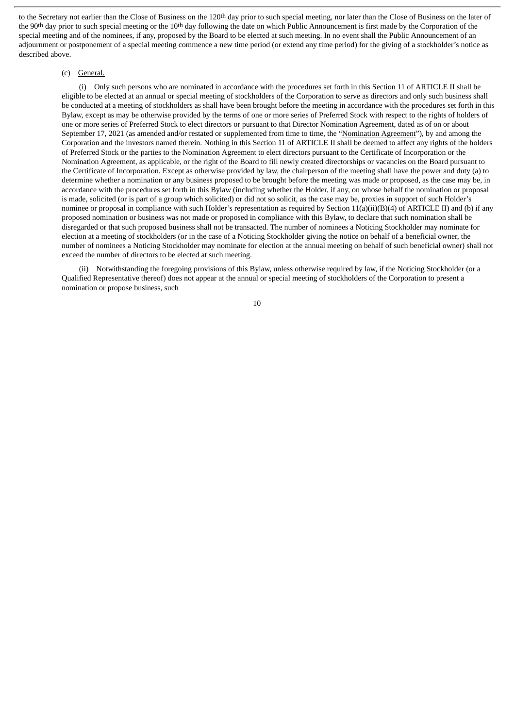to the Secretary not earlier than the Close of Business on the 120<sup>th</sup> day prior to such special meeting, nor later than the Close of Business on the later of the 90<sup>th</sup> day prior to such special meeting or the 10<sup>th</sup> day following the date on which Public Announcement is first made by the Corporation of the special meeting and of the nominees, if any, proposed by the Board to be elected at such meeting. In no event shall the Public Announcement of an adjournment or postponement of a special meeting commence a new time period (or extend any time period) for the giving of a stockholder's notice as described above.

## (c) General.

(i) Only such persons who are nominated in accordance with the procedures set forth in this Section 11 of ARTICLE II shall be eligible to be elected at an annual or special meeting of stockholders of the Corporation to serve as directors and only such business shall be conducted at a meeting of stockholders as shall have been brought before the meeting in accordance with the procedures set forth in this Bylaw, except as may be otherwise provided by the terms of one or more series of Preferred Stock with respect to the rights of holders of one or more series of Preferred Stock to elect directors or pursuant to that Director Nomination Agreement, dated as of on or about September 17, 2021 (as amended and/or restated or supplemented from time to time, the "Nomination Agreement"), by and among the Corporation and the investors named therein. Nothing in this Section 11 of ARTICLE II shall be deemed to affect any rights of the holders of Preferred Stock or the parties to the Nomination Agreement to elect directors pursuant to the Certificate of Incorporation or the Nomination Agreement, as applicable, or the right of the Board to fill newly created directorships or vacancies on the Board pursuant to the Certificate of Incorporation. Except as otherwise provided by law, the chairperson of the meeting shall have the power and duty (a) to determine whether a nomination or any business proposed to be brought before the meeting was made or proposed, as the case may be, in accordance with the procedures set forth in this Bylaw (including whether the Holder, if any, on whose behalf the nomination or proposal is made, solicited (or is part of a group which solicited) or did not so solicit, as the case may be, proxies in support of such Holder's nominee or proposal in compliance with such Holder's representation as required by Section  $11(a)(ii)(B)(4)$  of ARTICLE II) and (b) if any proposed nomination or business was not made or proposed in compliance with this Bylaw, to declare that such nomination shall be disregarded or that such proposed business shall not be transacted. The number of nominees a Noticing Stockholder may nominate for election at a meeting of stockholders (or in the case of a Noticing Stockholder giving the notice on behalf of a beneficial owner, the number of nominees a Noticing Stockholder may nominate for election at the annual meeting on behalf of such beneficial owner) shall not exceed the number of directors to be elected at such meeting.

(ii) Notwithstanding the foregoing provisions of this Bylaw, unless otherwise required by law, if the Noticing Stockholder (or a Qualified Representative thereof) does not appear at the annual or special meeting of stockholders of the Corporation to present a nomination or propose business, such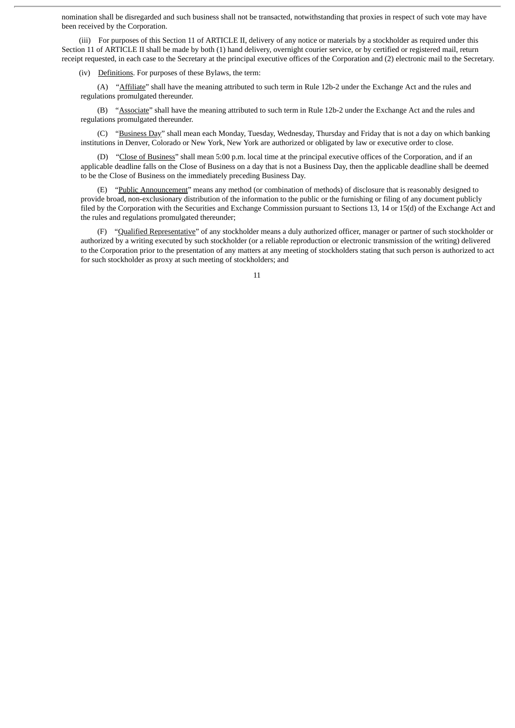nomination shall be disregarded and such business shall not be transacted, notwithstanding that proxies in respect of such vote may have been received by the Corporation.

(iii) For purposes of this Section 11 of ARTICLE II, delivery of any notice or materials by a stockholder as required under this Section 11 of ARTICLE II shall be made by both (1) hand delivery, overnight courier service, or by certified or registered mail, return receipt requested, in each case to the Secretary at the principal executive offices of the Corporation and (2) electronic mail to the Secretary.

(iv) Definitions. For purposes of these Bylaws, the term:

(A) "Affiliate" shall have the meaning attributed to such term in Rule 12b-2 under the Exchange Act and the rules and regulations promulgated thereunder.

(B) "Associate" shall have the meaning attributed to such term in Rule 12b-2 under the Exchange Act and the rules and regulations promulgated thereunder.

(C) "Business Day" shall mean each Monday, Tuesday, Wednesday, Thursday and Friday that is not a day on which banking institutions in Denver, Colorado or New York, New York are authorized or obligated by law or executive order to close.

(D) "Close of Business" shall mean 5:00 p.m. local time at the principal executive offices of the Corporation, and if an applicable deadline falls on the Close of Business on a day that is not a Business Day, then the applicable deadline shall be deemed to be the Close of Business on the immediately preceding Business Day.

(E) "Public Announcement" means any method (or combination of methods) of disclosure that is reasonably designed to provide broad, non-exclusionary distribution of the information to the public or the furnishing or filing of any document publicly filed by the Corporation with the Securities and Exchange Commission pursuant to Sections 13, 14 or 15(d) of the Exchange Act and the rules and regulations promulgated thereunder;

(F) "Qualified Representative" of any stockholder means a duly authorized officer, manager or partner of such stockholder or authorized by a writing executed by such stockholder (or a reliable reproduction or electronic transmission of the writing) delivered to the Corporation prior to the presentation of any matters at any meeting of stockholders stating that such person is authorized to act for such stockholder as proxy at such meeting of stockholders; and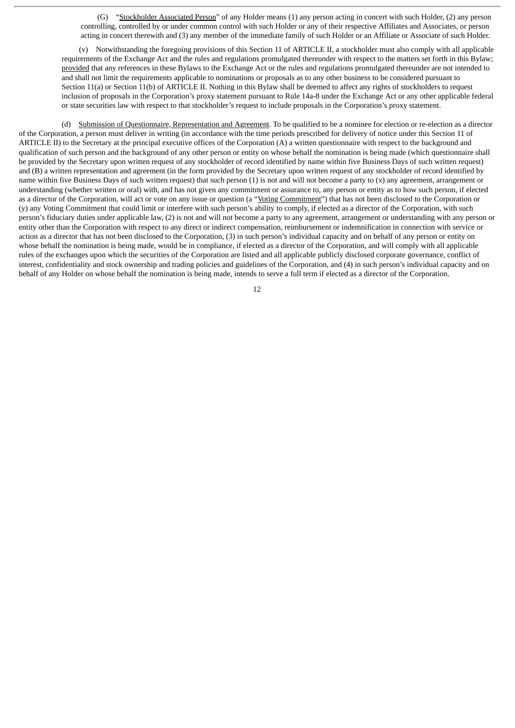(G) "Stockholder Associated Person" of any Holder means (1) any person acting in concert with such Holder, (2) any person controlling, controlled by or under common control with such Holder or any of their respective Affiliates and Associates, or person acting in concert therewith and (3) any member of the immediate family of such Holder or an Affiliate or Associate of such Holder.

(v) Notwithstanding the foregoing provisions of this Section 11 of ARTICLE II, a stockholder must also comply with all applicable requirements of the Exchange Act and the rules and regulations promulgated thereunder with respect to the matters set forth in this Bylaw; provided that any references in these Bylaws to the Exchange Act or the rules and regulations promulgated thereunder are not intended to and shall not limit the requirements applicable to nominations or proposals as to any other business to be considered pursuant to Section 11(a) or Section 11(b) of ARTICLE II. Nothing in this Bylaw shall be deemed to affect any rights of stockholders to request inclusion of proposals in the Corporation's proxy statement pursuant to Rule 14a-8 under the Exchange Act or any other applicable federal or state securities law with respect to that stockholder's request to include proposals in the Corporation's proxy statement.

(d) Submission of Questionnaire, Representation and Agreement. To be qualified to be a nominee for election or re-election as a director of the Corporation, a person must deliver in writing (in accordance with the time periods prescribed for delivery of notice under this Section 11 of ARTICLE II) to the Secretary at the principal executive offices of the Corporation (A) a written questionnaire with respect to the background and qualification of such person and the background of any other person or entity on whose behalf the nomination is being made (which questionnaire shall be provided by the Secretary upon written request of any stockholder of record identified by name within five Business Days of such written request) and (B) a written representation and agreement (in the form provided by the Secretary upon written request of any stockholder of record identified by name within five Business Days of such written request) that such person (1) is not and will not become a party to (x) any agreement, arrangement or understanding (whether written or oral) with, and has not given any commitment or assurance to, any person or entity as to how such person, if elected as a director of the Corporation, will act or vote on any issue or question (a "Voting Commitment") that has not been disclosed to the Corporation or (y) any Voting Commitment that could limit or interfere with such person's ability to comply, if elected as a director of the Corporation, with such person's fiduciary duties under applicable law, (2) is not and will not become a party to any agreement, arrangement or understanding with any person or entity other than the Corporation with respect to any direct or indirect compensation, reimbursement or indemnification in connection with service or action as a director that has not been disclosed to the Corporation, (3) in such person's individual capacity and on behalf of any person or entity on whose behalf the nomination is being made, would be in compliance, if elected as a director of the Corporation, and will comply with all applicable rules of the exchanges upon which the securities of the Corporation are listed and all applicable publicly disclosed corporate governance, conflict of interest, confidentiality and stock ownership and trading policies and guidelines of the Corporation, and (4) in such person's individual capacity and on behalf of any Holder on whose behalf the nomination is being made, intends to serve a full term if elected as a director of the Corporation.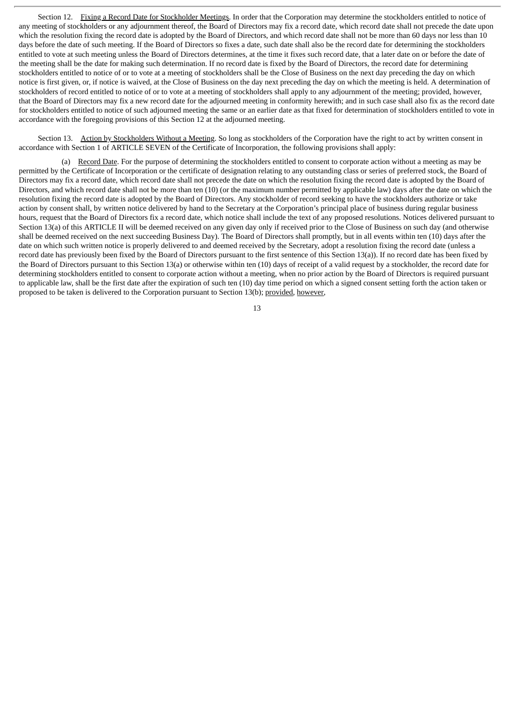Section 12. Fixing a Record Date for Stockholder Meetings. In order that the Corporation may determine the stockholders entitled to notice of any meeting of stockholders or any adjournment thereof, the Board of Directors may fix a record date, which record date shall not precede the date upon which the resolution fixing the record date is adopted by the Board of Directors, and which record date shall not be more than 60 days nor less than 10 days before the date of such meeting. If the Board of Directors so fixes a date, such date shall also be the record date for determining the stockholders entitled to vote at such meeting unless the Board of Directors determines, at the time it fixes such record date, that a later date on or before the date of the meeting shall be the date for making such determination. If no record date is fixed by the Board of Directors, the record date for determining stockholders entitled to notice of or to vote at a meeting of stockholders shall be the Close of Business on the next day preceding the day on which notice is first given, or, if notice is waived, at the Close of Business on the day next preceding the day on which the meeting is held. A determination of stockholders of record entitled to notice of or to vote at a meeting of stockholders shall apply to any adjournment of the meeting; provided, however, that the Board of Directors may fix a new record date for the adjourned meeting in conformity herewith; and in such case shall also fix as the record date for stockholders entitled to notice of such adjourned meeting the same or an earlier date as that fixed for determination of stockholders entitled to vote in accordance with the foregoing provisions of this Section 12 at the adjourned meeting.

Section 13. Action by Stockholders Without a Meeting. So long as stockholders of the Corporation have the right to act by written consent in accordance with Section 1 of ARTICLE SEVEN of the Certificate of Incorporation, the following provisions shall apply:

(a) Record Date. For the purpose of determining the stockholders entitled to consent to corporate action without a meeting as may be permitted by the Certificate of Incorporation or the certificate of designation relating to any outstanding class or series of preferred stock, the Board of Directors may fix a record date, which record date shall not precede the date on which the resolution fixing the record date is adopted by the Board of Directors, and which record date shall not be more than ten (10) (or the maximum number permitted by applicable law) days after the date on which the resolution fixing the record date is adopted by the Board of Directors. Any stockholder of record seeking to have the stockholders authorize or take action by consent shall, by written notice delivered by hand to the Secretary at the Corporation's principal place of business during regular business hours, request that the Board of Directors fix a record date, which notice shall include the text of any proposed resolutions. Notices delivered pursuant to Section 13(a) of this ARTICLE II will be deemed received on any given day only if received prior to the Close of Business on such day (and otherwise shall be deemed received on the next succeeding Business Day). The Board of Directors shall promptly, but in all events within ten (10) days after the date on which such written notice is properly delivered to and deemed received by the Secretary, adopt a resolution fixing the record date (unless a record date has previously been fixed by the Board of Directors pursuant to the first sentence of this Section 13(a)). If no record date has been fixed by the Board of Directors pursuant to this Section 13(a) or otherwise within ten (10) days of receipt of a valid request by a stockholder, the record date for determining stockholders entitled to consent to corporate action without a meeting, when no prior action by the Board of Directors is required pursuant to applicable law, shall be the first date after the expiration of such ten (10) day time period on which a signed consent setting forth the action taken or proposed to be taken is delivered to the Corporation pursuant to Section 13(b); provided, however,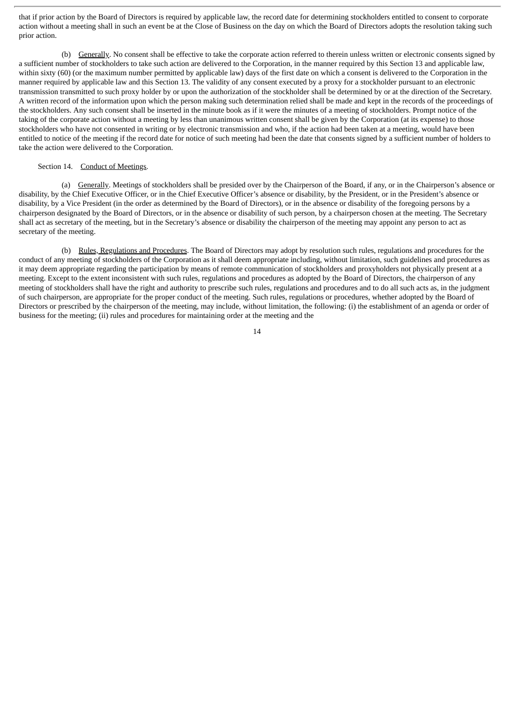that if prior action by the Board of Directors is required by applicable law, the record date for determining stockholders entitled to consent to corporate action without a meeting shall in such an event be at the Close of Business on the day on which the Board of Directors adopts the resolution taking such prior action.

(b) Generally. No consent shall be effective to take the corporate action referred to therein unless written or electronic consents signed by a sufficient number of stockholders to take such action are delivered to the Corporation, in the manner required by this Section 13 and applicable law, within sixty (60) (or the maximum number permitted by applicable law) days of the first date on which a consent is delivered to the Corporation in the manner required by applicable law and this Section 13. The validity of any consent executed by a proxy for a stockholder pursuant to an electronic transmission transmitted to such proxy holder by or upon the authorization of the stockholder shall be determined by or at the direction of the Secretary. A written record of the information upon which the person making such determination relied shall be made and kept in the records of the proceedings of the stockholders. Any such consent shall be inserted in the minute book as if it were the minutes of a meeting of stockholders. Prompt notice of the taking of the corporate action without a meeting by less than unanimous written consent shall be given by the Corporation (at its expense) to those stockholders who have not consented in writing or by electronic transmission and who, if the action had been taken at a meeting, would have been entitled to notice of the meeting if the record date for notice of such meeting had been the date that consents signed by a sufficient number of holders to take the action were delivered to the Corporation.

### Section 14. Conduct of Meetings.

(a) Generally. Meetings of stockholders shall be presided over by the Chairperson of the Board, if any, or in the Chairperson's absence or disability, by the Chief Executive Officer, or in the Chief Executive Officer's absence or disability, by the President, or in the President's absence or disability, by a Vice President (in the order as determined by the Board of Directors), or in the absence or disability of the foregoing persons by a chairperson designated by the Board of Directors, or in the absence or disability of such person, by a chairperson chosen at the meeting. The Secretary shall act as secretary of the meeting, but in the Secretary's absence or disability the chairperson of the meeting may appoint any person to act as secretary of the meeting.

(b) Rules, Regulations and Procedures. The Board of Directors may adopt by resolution such rules, regulations and procedures for the conduct of any meeting of stockholders of the Corporation as it shall deem appropriate including, without limitation, such guidelines and procedures as it may deem appropriate regarding the participation by means of remote communication of stockholders and proxyholders not physically present at a meeting. Except to the extent inconsistent with such rules, regulations and procedures as adopted by the Board of Directors, the chairperson of any meeting of stockholders shall have the right and authority to prescribe such rules, regulations and procedures and to do all such acts as, in the judgment of such chairperson, are appropriate for the proper conduct of the meeting. Such rules, regulations or procedures, whether adopted by the Board of Directors or prescribed by the chairperson of the meeting, may include, without limitation, the following: (i) the establishment of an agenda or order of business for the meeting; (ii) rules and procedures for maintaining order at the meeting and the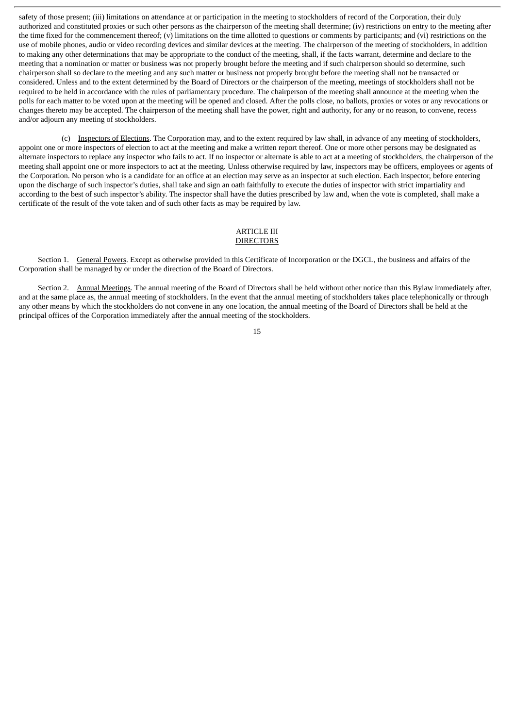safety of those present; (iii) limitations on attendance at or participation in the meeting to stockholders of record of the Corporation, their duly authorized and constituted proxies or such other persons as the chairperson of the meeting shall determine; (iv) restrictions on entry to the meeting after the time fixed for the commencement thereof; (v) limitations on the time allotted to questions or comments by participants; and (vi) restrictions on the use of mobile phones, audio or video recording devices and similar devices at the meeting. The chairperson of the meeting of stockholders, in addition to making any other determinations that may be appropriate to the conduct of the meeting, shall, if the facts warrant, determine and declare to the meeting that a nomination or matter or business was not properly brought before the meeting and if such chairperson should so determine, such chairperson shall so declare to the meeting and any such matter or business not properly brought before the meeting shall not be transacted or considered. Unless and to the extent determined by the Board of Directors or the chairperson of the meeting, meetings of stockholders shall not be required to be held in accordance with the rules of parliamentary procedure. The chairperson of the meeting shall announce at the meeting when the polls for each matter to be voted upon at the meeting will be opened and closed. After the polls close, no ballots, proxies or votes or any revocations or changes thereto may be accepted. The chairperson of the meeting shall have the power, right and authority, for any or no reason, to convene, recess and/or adjourn any meeting of stockholders.

(c) Inspectors of Elections. The Corporation may, and to the extent required by law shall, in advance of any meeting of stockholders, appoint one or more inspectors of election to act at the meeting and make a written report thereof. One or more other persons may be designated as alternate inspectors to replace any inspector who fails to act. If no inspector or alternate is able to act at a meeting of stockholders, the chairperson of the meeting shall appoint one or more inspectors to act at the meeting. Unless otherwise required by law, inspectors may be officers, employees or agents of the Corporation. No person who is a candidate for an office at an election may serve as an inspector at such election. Each inspector, before entering upon the discharge of such inspector's duties, shall take and sign an oath faithfully to execute the duties of inspector with strict impartiality and according to the best of such inspector's ability. The inspector shall have the duties prescribed by law and, when the vote is completed, shall make a certificate of the result of the vote taken and of such other facts as may be required by law.

### ARTICLE III **DIRECTORS**

Section 1. General Powers. Except as otherwise provided in this Certificate of Incorporation or the DGCL, the business and affairs of the Corporation shall be managed by or under the direction of the Board of Directors.

Section 2. Annual Meetings. The annual meeting of the Board of Directors shall be held without other notice than this Bylaw immediately after, and at the same place as, the annual meeting of stockholders. In the event that the annual meeting of stockholders takes place telephonically or through any other means by which the stockholders do not convene in any one location, the annual meeting of the Board of Directors shall be held at the principal offices of the Corporation immediately after the annual meeting of the stockholders.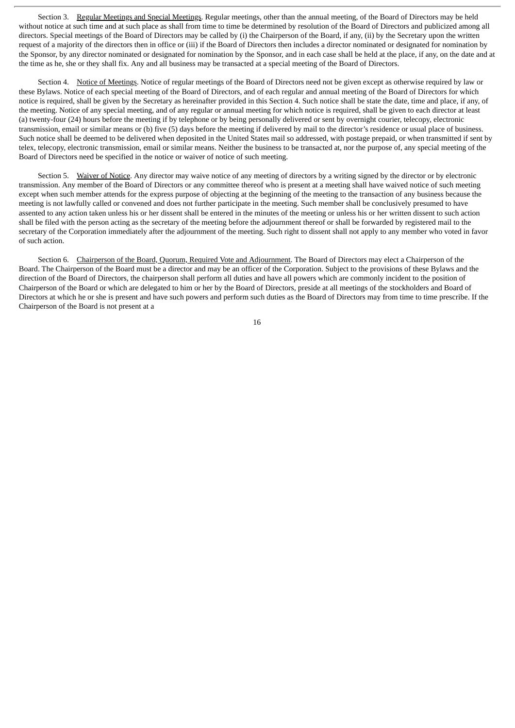Section 3. Regular Meetings and Special Meetings. Regular meetings, other than the annual meeting, of the Board of Directors may be held without notice at such time and at such place as shall from time to time be determined by resolution of the Board of Directors and publicized among all directors. Special meetings of the Board of Directors may be called by (i) the Chairperson of the Board, if any, (ii) by the Secretary upon the written request of a majority of the directors then in office or (iii) if the Board of Directors then includes a director nominated or designated for nomination by the Sponsor, by any director nominated or designated for nomination by the Sponsor, and in each case shall be held at the place, if any, on the date and at the time as he, she or they shall fix. Any and all business may be transacted at a special meeting of the Board of Directors.

Section 4. Notice of Meetings. Notice of regular meetings of the Board of Directors need not be given except as otherwise required by law or these Bylaws. Notice of each special meeting of the Board of Directors, and of each regular and annual meeting of the Board of Directors for which notice is required, shall be given by the Secretary as hereinafter provided in this Section 4. Such notice shall be state the date, time and place, if any, of the meeting. Notice of any special meeting, and of any regular or annual meeting for which notice is required, shall be given to each director at least (a) twenty-four (24) hours before the meeting if by telephone or by being personally delivered or sent by overnight courier, telecopy, electronic transmission, email or similar means or (b) five (5) days before the meeting if delivered by mail to the director's residence or usual place of business. Such notice shall be deemed to be delivered when deposited in the United States mail so addressed, with postage prepaid, or when transmitted if sent by telex, telecopy, electronic transmission, email or similar means. Neither the business to be transacted at, nor the purpose of, any special meeting of the Board of Directors need be specified in the notice or waiver of notice of such meeting.

Section 5. Waiver of Notice. Any director may waive notice of any meeting of directors by a writing signed by the director or by electronic transmission. Any member of the Board of Directors or any committee thereof who is present at a meeting shall have waived notice of such meeting except when such member attends for the express purpose of objecting at the beginning of the meeting to the transaction of any business because the meeting is not lawfully called or convened and does not further participate in the meeting. Such member shall be conclusively presumed to have assented to any action taken unless his or her dissent shall be entered in the minutes of the meeting or unless his or her written dissent to such action shall be filed with the person acting as the secretary of the meeting before the adjournment thereof or shall be forwarded by registered mail to the secretary of the Corporation immediately after the adjournment of the meeting. Such right to dissent shall not apply to any member who voted in favor of such action.

Section 6. Chairperson of the Board, Quorum, Required Vote and Adjournment. The Board of Directors may elect a Chairperson of the Board. The Chairperson of the Board must be a director and may be an officer of the Corporation. Subject to the provisions of these Bylaws and the direction of the Board of Directors, the chairperson shall perform all duties and have all powers which are commonly incident to the position of Chairperson of the Board or which are delegated to him or her by the Board of Directors, preside at all meetings of the stockholders and Board of Directors at which he or she is present and have such powers and perform such duties as the Board of Directors may from time to time prescribe. If the Chairperson of the Board is not present at a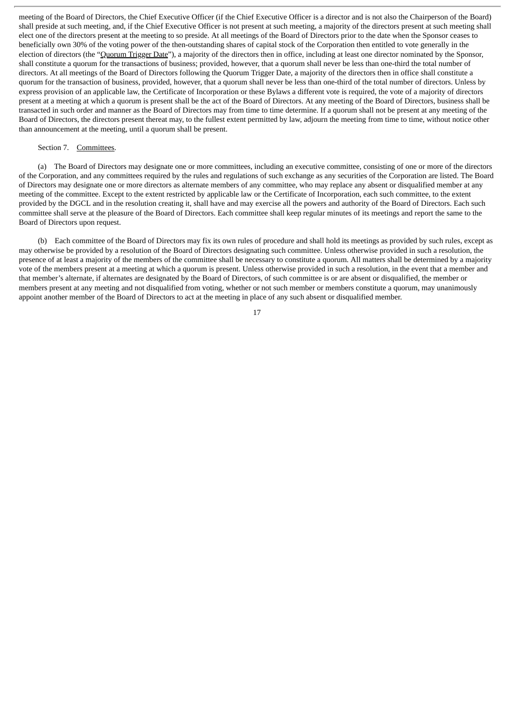meeting of the Board of Directors, the Chief Executive Officer (if the Chief Executive Officer is a director and is not also the Chairperson of the Board) shall preside at such meeting, and, if the Chief Executive Officer is not present at such meeting, a majority of the directors present at such meeting shall elect one of the directors present at the meeting to so preside. At all meetings of the Board of Directors prior to the date when the Sponsor ceases to beneficially own 30% of the voting power of the then-outstanding shares of capital stock of the Corporation then entitled to vote generally in the election of directors (the "Quorum Trigger Date"), a majority of the directors then in office, including at least one director nominated by the Sponsor, shall constitute a quorum for the transactions of business; provided, however, that a quorum shall never be less than one-third the total number of directors. At all meetings of the Board of Directors following the Quorum Trigger Date, a majority of the directors then in office shall constitute a quorum for the transaction of business, provided, however, that a quorum shall never be less than one-third of the total number of directors. Unless by express provision of an applicable law, the Certificate of Incorporation or these Bylaws a different vote is required, the vote of a majority of directors present at a meeting at which a quorum is present shall be the act of the Board of Directors. At any meeting of the Board of Directors, business shall be transacted in such order and manner as the Board of Directors may from time to time determine. If a quorum shall not be present at any meeting of the Board of Directors, the directors present thereat may, to the fullest extent permitted by law, adjourn the meeting from time to time, without notice other than announcement at the meeting, until a quorum shall be present.

### Section 7. Committees.

(a) The Board of Directors may designate one or more committees, including an executive committee, consisting of one or more of the directors of the Corporation, and any committees required by the rules and regulations of such exchange as any securities of the Corporation are listed. The Board of Directors may designate one or more directors as alternate members of any committee, who may replace any absent or disqualified member at any meeting of the committee. Except to the extent restricted by applicable law or the Certificate of Incorporation, each such committee, to the extent provided by the DGCL and in the resolution creating it, shall have and may exercise all the powers and authority of the Board of Directors. Each such committee shall serve at the pleasure of the Board of Directors. Each committee shall keep regular minutes of its meetings and report the same to the Board of Directors upon request.

(b) Each committee of the Board of Directors may fix its own rules of procedure and shall hold its meetings as provided by such rules, except as may otherwise be provided by a resolution of the Board of Directors designating such committee. Unless otherwise provided in such a resolution, the presence of at least a majority of the members of the committee shall be necessary to constitute a quorum. All matters shall be determined by a majority vote of the members present at a meeting at which a quorum is present. Unless otherwise provided in such a resolution, in the event that a member and that member's alternate, if alternates are designated by the Board of Directors, of such committee is or are absent or disqualified, the member or members present at any meeting and not disqualified from voting, whether or not such member or members constitute a quorum, may unanimously appoint another member of the Board of Directors to act at the meeting in place of any such absent or disqualified member.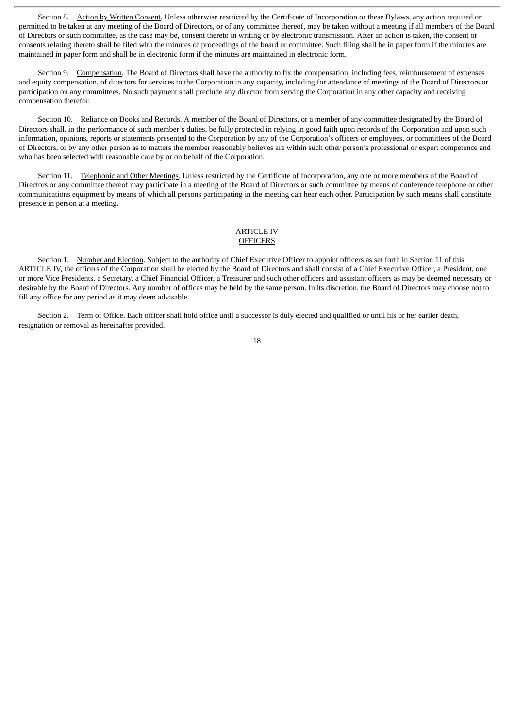Section 8. Action by Written Consent. Unless otherwise restricted by the Certificate of Incorporation or these Bylaws, any action required or permitted to be taken at any meeting of the Board of Directors, or of any committee thereof, may be taken without a meeting if all members of the Board of Directors or such committee, as the case may be, consent thereto in writing or by electronic transmission. After an action is taken, the consent or consents relating thereto shall be filed with the minutes of proceedings of the board or committee. Such filing shall be in paper form if the minutes are maintained in paper form and shall be in electronic form if the minutes are maintained in electronic form.

Section 9. Compensation. The Board of Directors shall have the authority to fix the compensation, including fees, reimbursement of expenses and equity compensation, of directors for services to the Corporation in any capacity, including for attendance of meetings of the Board of Directors or participation on any committees. No such payment shall preclude any director from serving the Corporation in any other capacity and receiving compensation therefor.

Section 10. Reliance on Books and Records. A member of the Board of Directors, or a member of any committee designated by the Board of Directors shall, in the performance of such member's duties, be fully protected in relying in good faith upon records of the Corporation and upon such information, opinions, reports or statements presented to the Corporation by any of the Corporation's officers or employees, or committees of the Board of Directors, or by any other person as to matters the member reasonably believes are within such other person's professional or expert competence and who has been selected with reasonable care by or on behalf of the Corporation.

Section 11. Telephonic and Other Meetings. Unless restricted by the Certificate of Incorporation, any one or more members of the Board of Directors or any committee thereof may participate in a meeting of the Board of Directors or such committee by means of conference telephone or other communications equipment by means of which all persons participating in the meeting can hear each other. Participation by such means shall constitute presence in person at a meeting.

## ARTICLE IV **OFFICERS**

Section 1. Number and Election. Subject to the authority of Chief Executive Officer to appoint officers as set forth in Section 11 of this ARTICLE IV, the officers of the Corporation shall be elected by the Board of Directors and shall consist of a Chief Executive Officer, a President, one or more Vice Presidents, a Secretary, a Chief Financial Officer, a Treasurer and such other officers and assistant officers as may be deemed necessary or desirable by the Board of Directors. Any number of offices may be held by the same person. In its discretion, the Board of Directors may choose not to fill any office for any period as it may deem advisable.

Section 2. Term of Office. Each officer shall hold office until a successor is duly elected and qualified or until his or her earlier death, resignation or removal as hereinafter provided.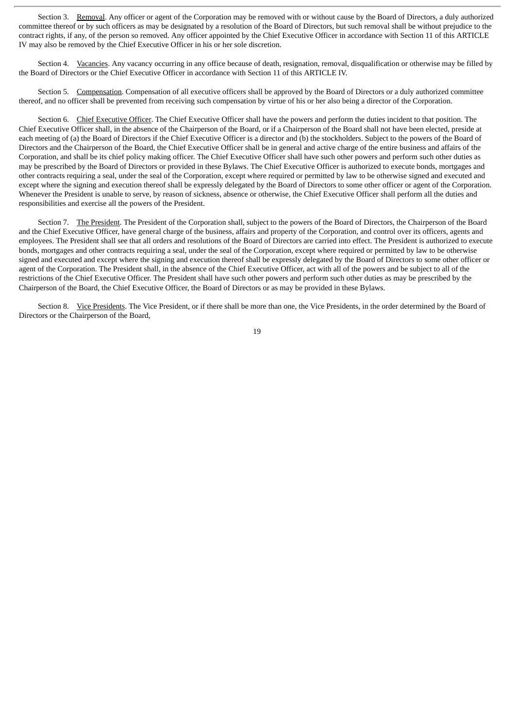Section 3. Removal. Any officer or agent of the Corporation may be removed with or without cause by the Board of Directors, a duly authorized committee thereof or by such officers as may be designated by a resolution of the Board of Directors, but such removal shall be without prejudice to the contract rights, if any, of the person so removed. Any officer appointed by the Chief Executive Officer in accordance with Section 11 of this ARTICLE IV may also be removed by the Chief Executive Officer in his or her sole discretion.

Section 4. Vacancies. Any vacancy occurring in any office because of death, resignation, removal, disqualification or otherwise may be filled by the Board of Directors or the Chief Executive Officer in accordance with Section 11 of this ARTICLE IV.

Section 5. Compensation. Compensation of all executive officers shall be approved by the Board of Directors or a duly authorized committee thereof, and no officer shall be prevented from receiving such compensation by virtue of his or her also being a director of the Corporation.

Section 6. Chief Executive Officer. The Chief Executive Officer shall have the powers and perform the duties incident to that position. The Chief Executive Officer shall, in the absence of the Chairperson of the Board, or if a Chairperson of the Board shall not have been elected, preside at each meeting of (a) the Board of Directors if the Chief Executive Officer is a director and (b) the stockholders. Subject to the powers of the Board of Directors and the Chairperson of the Board, the Chief Executive Officer shall be in general and active charge of the entire business and affairs of the Corporation, and shall be its chief policy making officer. The Chief Executive Officer shall have such other powers and perform such other duties as may be prescribed by the Board of Directors or provided in these Bylaws. The Chief Executive Officer is authorized to execute bonds, mortgages and other contracts requiring a seal, under the seal of the Corporation, except where required or permitted by law to be otherwise signed and executed and except where the signing and execution thereof shall be expressly delegated by the Board of Directors to some other officer or agent of the Corporation. Whenever the President is unable to serve, by reason of sickness, absence or otherwise, the Chief Executive Officer shall perform all the duties and responsibilities and exercise all the powers of the President.

Section 7. The President. The President of the Corporation shall, subject to the powers of the Board of Directors, the Chairperson of the Board and the Chief Executive Officer, have general charge of the business, affairs and property of the Corporation, and control over its officers, agents and employees. The President shall see that all orders and resolutions of the Board of Directors are carried into effect. The President is authorized to execute bonds, mortgages and other contracts requiring a seal, under the seal of the Corporation, except where required or permitted by law to be otherwise signed and executed and except where the signing and execution thereof shall be expressly delegated by the Board of Directors to some other officer or agent of the Corporation. The President shall, in the absence of the Chief Executive Officer, act with all of the powers and be subject to all of the restrictions of the Chief Executive Officer. The President shall have such other powers and perform such other duties as may be prescribed by the Chairperson of the Board, the Chief Executive Officer, the Board of Directors or as may be provided in these Bylaws.

Section 8. Vice Presidents. The Vice President, or if there shall be more than one, the Vice Presidents, in the order determined by the Board of Directors or the Chairperson of the Board,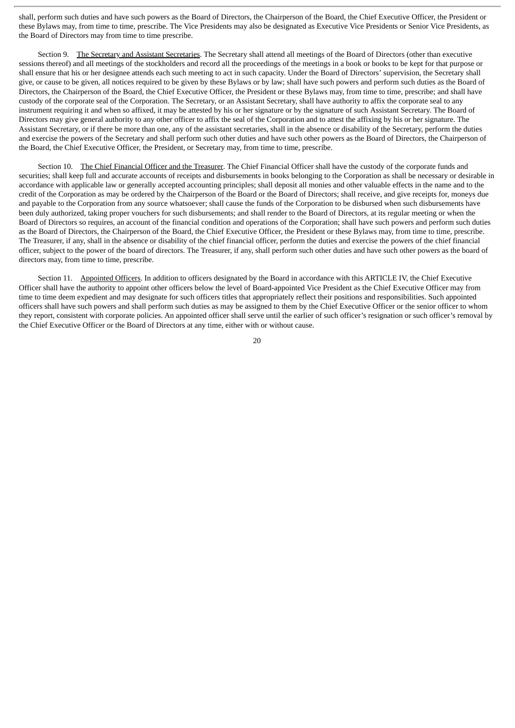shall, perform such duties and have such powers as the Board of Directors, the Chairperson of the Board, the Chief Executive Officer, the President or these Bylaws may, from time to time, prescribe. The Vice Presidents may also be designated as Executive Vice Presidents or Senior Vice Presidents, as the Board of Directors may from time to time prescribe.

Section 9. The Secretary and Assistant Secretaries. The Secretary shall attend all meetings of the Board of Directors (other than executive sessions thereof) and all meetings of the stockholders and record all the proceedings of the meetings in a book or books to be kept for that purpose or shall ensure that his or her designee attends each such meeting to act in such capacity. Under the Board of Directors' supervision, the Secretary shall give, or cause to be given, all notices required to be given by these Bylaws or by law; shall have such powers and perform such duties as the Board of Directors, the Chairperson of the Board, the Chief Executive Officer, the President or these Bylaws may, from time to time, prescribe; and shall have custody of the corporate seal of the Corporation. The Secretary, or an Assistant Secretary, shall have authority to affix the corporate seal to any instrument requiring it and when so affixed, it may be attested by his or her signature or by the signature of such Assistant Secretary. The Board of Directors may give general authority to any other officer to affix the seal of the Corporation and to attest the affixing by his or her signature. The Assistant Secretary, or if there be more than one, any of the assistant secretaries, shall in the absence or disability of the Secretary, perform the duties and exercise the powers of the Secretary and shall perform such other duties and have such other powers as the Board of Directors, the Chairperson of the Board, the Chief Executive Officer, the President, or Secretary may, from time to time, prescribe.

Section 10. The Chief Financial Officer and the Treasurer. The Chief Financial Officer shall have the custody of the corporate funds and securities; shall keep full and accurate accounts of receipts and disbursements in books belonging to the Corporation as shall be necessary or desirable in accordance with applicable law or generally accepted accounting principles; shall deposit all monies and other valuable effects in the name and to the credit of the Corporation as may be ordered by the Chairperson of the Board or the Board of Directors; shall receive, and give receipts for, moneys due and payable to the Corporation from any source whatsoever; shall cause the funds of the Corporation to be disbursed when such disbursements have been duly authorized, taking proper vouchers for such disbursements; and shall render to the Board of Directors, at its regular meeting or when the Board of Directors so requires, an account of the financial condition and operations of the Corporation; shall have such powers and perform such duties as the Board of Directors, the Chairperson of the Board, the Chief Executive Officer, the President or these Bylaws may, from time to time, prescribe. The Treasurer, if any, shall in the absence or disability of the chief financial officer, perform the duties and exercise the powers of the chief financial officer, subject to the power of the board of directors. The Treasurer, if any, shall perform such other duties and have such other powers as the board of directors may, from time to time, prescribe.

Section 11. Appointed Officers. In addition to officers designated by the Board in accordance with this ARTICLE IV, the Chief Executive Officer shall have the authority to appoint other officers below the level of Board-appointed Vice President as the Chief Executive Officer may from time to time deem expedient and may designate for such officers titles that appropriately reflect their positions and responsibilities. Such appointed officers shall have such powers and shall perform such duties as may be assigned to them by the Chief Executive Officer or the senior officer to whom they report, consistent with corporate policies. An appointed officer shall serve until the earlier of such officer's resignation or such officer's removal by the Chief Executive Officer or the Board of Directors at any time, either with or without cause.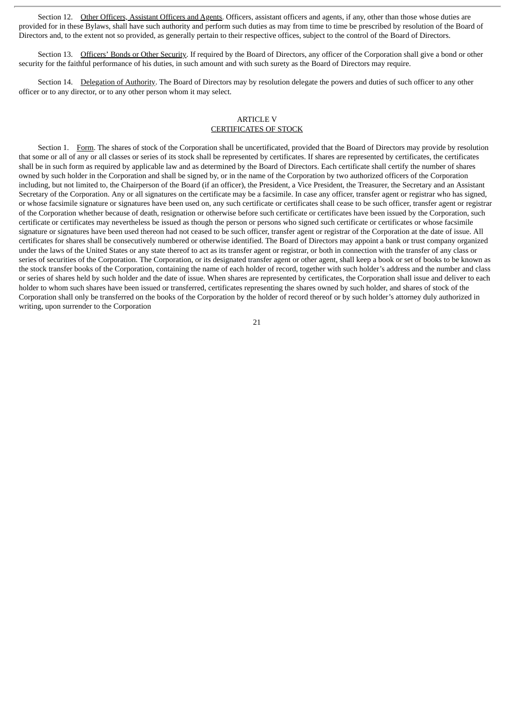Section 12. Other Officers, Assistant Officers and Agents. Officers, assistant officers and agents, if any, other than those whose duties are provided for in these Bylaws, shall have such authority and perform such duties as may from time to time be prescribed by resolution of the Board of Directors and, to the extent not so provided, as generally pertain to their respective offices, subject to the control of the Board of Directors.

Section 13. Officers' Bonds or Other Security. If required by the Board of Directors, any officer of the Corporation shall give a bond or other security for the faithful performance of his duties, in such amount and with such surety as the Board of Directors may require.

Section 14. Delegation of Authority. The Board of Directors may by resolution delegate the powers and duties of such officer to any other officer or to any director, or to any other person whom it may select.

# ARTICLE V CERTIFICATES OF STOCK

Section 1. Form. The shares of stock of the Corporation shall be uncertificated, provided that the Board of Directors may provide by resolution that some or all of any or all classes or series of its stock shall be represented by certificates. If shares are represented by certificates, the certificates shall be in such form as required by applicable law and as determined by the Board of Directors. Each certificate shall certify the number of shares owned by such holder in the Corporation and shall be signed by, or in the name of the Corporation by two authorized officers of the Corporation including, but not limited to, the Chairperson of the Board (if an officer), the President, a Vice President, the Treasurer, the Secretary and an Assistant Secretary of the Corporation. Any or all signatures on the certificate may be a facsimile. In case any officer, transfer agent or registrar who has signed, or whose facsimile signature or signatures have been used on, any such certificate or certificates shall cease to be such officer, transfer agent or registrar of the Corporation whether because of death, resignation or otherwise before such certificate or certificates have been issued by the Corporation, such certificate or certificates may nevertheless be issued as though the person or persons who signed such certificate or certificates or whose facsimile signature or signatures have been used thereon had not ceased to be such officer, transfer agent or registrar of the Corporation at the date of issue. All certificates for shares shall be consecutively numbered or otherwise identified. The Board of Directors may appoint a bank or trust company organized under the laws of the United States or any state thereof to act as its transfer agent or registrar, or both in connection with the transfer of any class or series of securities of the Corporation. The Corporation, or its designated transfer agent or other agent, shall keep a book or set of books to be known as the stock transfer books of the Corporation, containing the name of each holder of record, together with such holder's address and the number and class or series of shares held by such holder and the date of issue. When shares are represented by certificates, the Corporation shall issue and deliver to each holder to whom such shares have been issued or transferred, certificates representing the shares owned by such holder, and shares of stock of the Corporation shall only be transferred on the books of the Corporation by the holder of record thereof or by such holder's attorney duly authorized in writing, upon surrender to the Corporation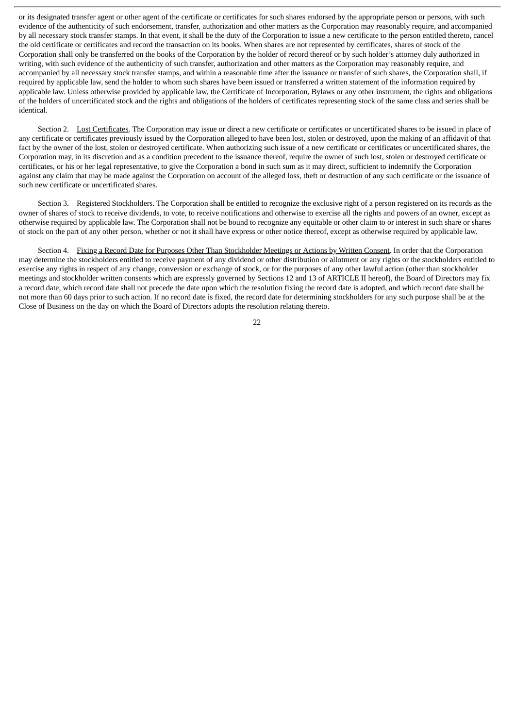or its designated transfer agent or other agent of the certificate or certificates for such shares endorsed by the appropriate person or persons, with such evidence of the authenticity of such endorsement, transfer, authorization and other matters as the Corporation may reasonably require, and accompanied by all necessary stock transfer stamps. In that event, it shall be the duty of the Corporation to issue a new certificate to the person entitled thereto, cancel the old certificate or certificates and record the transaction on its books. When shares are not represented by certificates, shares of stock of the Corporation shall only be transferred on the books of the Corporation by the holder of record thereof or by such holder's attorney duly authorized in writing, with such evidence of the authenticity of such transfer, authorization and other matters as the Corporation may reasonably require, and accompanied by all necessary stock transfer stamps, and within a reasonable time after the issuance or transfer of such shares, the Corporation shall, if required by applicable law, send the holder to whom such shares have been issued or transferred a written statement of the information required by applicable law. Unless otherwise provided by applicable law, the Certificate of Incorporation, Bylaws or any other instrument, the rights and obligations of the holders of uncertificated stock and the rights and obligations of the holders of certificates representing stock of the same class and series shall be identical.

Section 2. Lost Certificates. The Corporation may issue or direct a new certificate or certificates or uncertificated shares to be issued in place of any certificate or certificates previously issued by the Corporation alleged to have been lost, stolen or destroyed, upon the making of an affidavit of that fact by the owner of the lost, stolen or destroyed certificate. When authorizing such issue of a new certificate or certificates or uncertificated shares, the Corporation may, in its discretion and as a condition precedent to the issuance thereof, require the owner of such lost, stolen or destroyed certificate or certificates, or his or her legal representative, to give the Corporation a bond in such sum as it may direct, sufficient to indemnify the Corporation against any claim that may be made against the Corporation on account of the alleged loss, theft or destruction of any such certificate or the issuance of such new certificate or uncertificated shares.

Section 3. Registered Stockholders. The Corporation shall be entitled to recognize the exclusive right of a person registered on its records as the owner of shares of stock to receive dividends, to vote, to receive notifications and otherwise to exercise all the rights and powers of an owner, except as otherwise required by applicable law. The Corporation shall not be bound to recognize any equitable or other claim to or interest in such share or shares of stock on the part of any other person, whether or not it shall have express or other notice thereof, except as otherwise required by applicable law.

Section 4. Fixing a Record Date for Purposes Other Than Stockholder Meetings or Actions by Written Consent. In order that the Corporation may determine the stockholders entitled to receive payment of any dividend or other distribution or allotment or any rights or the stockholders entitled to exercise any rights in respect of any change, conversion or exchange of stock, or for the purposes of any other lawful action (other than stockholder meetings and stockholder written consents which are expressly governed by Sections 12 and 13 of ARTICLE II hereof), the Board of Directors may fix a record date, which record date shall not precede the date upon which the resolution fixing the record date is adopted, and which record date shall be not more than 60 days prior to such action. If no record date is fixed, the record date for determining stockholders for any such purpose shall be at the Close of Business on the day on which the Board of Directors adopts the resolution relating thereto.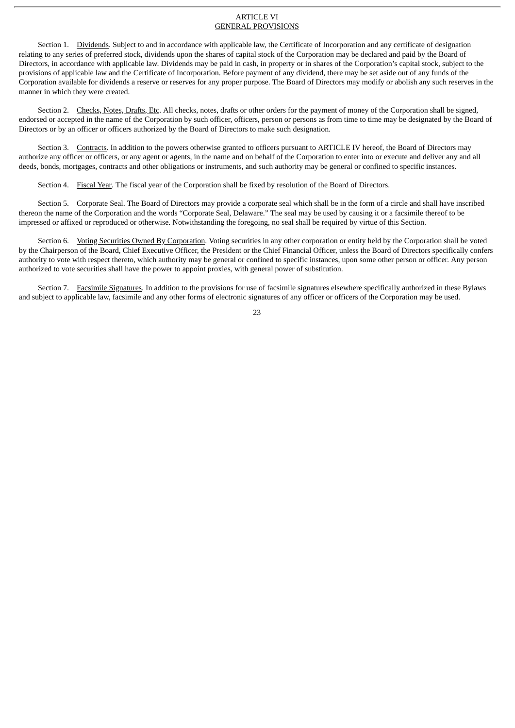### ARTICLE VI GENERAL PROVISIONS

Section 1. Dividends. Subject to and in accordance with applicable law, the Certificate of Incorporation and any certificate of designation relating to any series of preferred stock, dividends upon the shares of capital stock of the Corporation may be declared and paid by the Board of Directors, in accordance with applicable law. Dividends may be paid in cash, in property or in shares of the Corporation's capital stock, subject to the provisions of applicable law and the Certificate of Incorporation. Before payment of any dividend, there may be set aside out of any funds of the Corporation available for dividends a reserve or reserves for any proper purpose. The Board of Directors may modify or abolish any such reserves in the manner in which they were created.

Section 2. Checks, Notes, Drafts, Etc. All checks, notes, drafts or other orders for the payment of money of the Corporation shall be signed, endorsed or accepted in the name of the Corporation by such officer, officers, person or persons as from time to time may be designated by the Board of Directors or by an officer or officers authorized by the Board of Directors to make such designation.

Section 3. Contracts. In addition to the powers otherwise granted to officers pursuant to ARTICLE IV hereof, the Board of Directors may authorize any officer or officers, or any agent or agents, in the name and on behalf of the Corporation to enter into or execute and deliver any and all deeds, bonds, mortgages, contracts and other obligations or instruments, and such authority may be general or confined to specific instances.

Section 4. Fiscal Year. The fiscal year of the Corporation shall be fixed by resolution of the Board of Directors.

Section 5. Corporate Seal. The Board of Directors may provide a corporate seal which shall be in the form of a circle and shall have inscribed thereon the name of the Corporation and the words "Corporate Seal, Delaware." The seal may be used by causing it or a facsimile thereof to be impressed or affixed or reproduced or otherwise. Notwithstanding the foregoing, no seal shall be required by virtue of this Section.

Section 6. Voting Securities Owned By Corporation. Voting securities in any other corporation or entity held by the Corporation shall be voted by the Chairperson of the Board, Chief Executive Officer, the President or the Chief Financial Officer, unless the Board of Directors specifically confers authority to vote with respect thereto, which authority may be general or confined to specific instances, upon some other person or officer. Any person authorized to vote securities shall have the power to appoint proxies, with general power of substitution.

Section 7. Facsimile Signatures. In addition to the provisions for use of facsimile signatures elsewhere specifically authorized in these Bylaws and subject to applicable law, facsimile and any other forms of electronic signatures of any officer or officers of the Corporation may be used.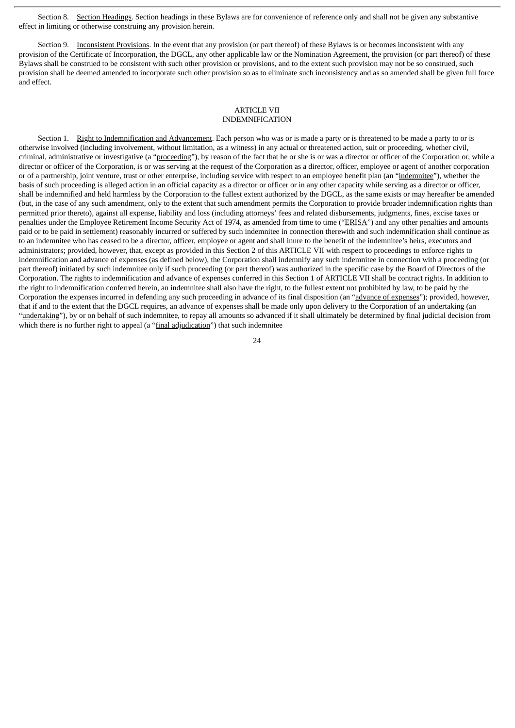Section 8. Section Headings. Section headings in these Bylaws are for convenience of reference only and shall not be given any substantive effect in limiting or otherwise construing any provision herein.

Section 9. Inconsistent Provisions. In the event that any provision (or part thereof) of these Bylaws is or becomes inconsistent with any provision of the Certificate of Incorporation, the DGCL, any other applicable law or the Nomination Agreement, the provision (or part thereof) of these Bylaws shall be construed to be consistent with such other provision or provisions, and to the extent such provision may not be so construed, such provision shall be deemed amended to incorporate such other provision so as to eliminate such inconsistency and as so amended shall be given full force and effect.

#### ARTICLE VII INDEMNIFICATION

Section 1. Right to Indemnification and Advancement. Each person who was or is made a party or is threatened to be made a party to or is otherwise involved (including involvement, without limitation, as a witness) in any actual or threatened action, suit or proceeding, whether civil, criminal, administrative or investigative (a "proceeding"), by reason of the fact that he or she is or was a director or officer of the Corporation or, while a director or officer of the Corporation, is or was serving at the request of the Corporation as a director, officer, employee or agent of another corporation or of a partnership, joint venture, trust or other enterprise, including service with respect to an employee benefit plan (an "indemnitee"), whether the basis of such proceeding is alleged action in an official capacity as a director or officer or in any other capacity while serving as a director or officer, shall be indemnified and held harmless by the Corporation to the fullest extent authorized by the DGCL, as the same exists or may hereafter be amended (but, in the case of any such amendment, only to the extent that such amendment permits the Corporation to provide broader indemnification rights than permitted prior thereto), against all expense, liability and loss (including attorneys' fees and related disbursements, judgments, fines, excise taxes or penalties under the Employee Retirement Income Security Act of 1974, as amended from time to time ("ERISA") and any other penalties and amounts paid or to be paid in settlement) reasonably incurred or suffered by such indemnitee in connection therewith and such indemnification shall continue as to an indemnitee who has ceased to be a director, officer, employee or agent and shall inure to the benefit of the indemnitee's heirs, executors and administrators; provided, however, that, except as provided in this Section 2 of this ARTICLE VII with respect to proceedings to enforce rights to indemnification and advance of expenses (as defined below), the Corporation shall indemnify any such indemnitee in connection with a proceeding (or part thereof) initiated by such indemnitee only if such proceeding (or part thereof) was authorized in the specific case by the Board of Directors of the Corporation. The rights to indemnification and advance of expenses conferred in this Section 1 of ARTICLE VII shall be contract rights. In addition to the right to indemnification conferred herein, an indemnitee shall also have the right, to the fullest extent not prohibited by law, to be paid by the Corporation the expenses incurred in defending any such proceeding in advance of its final disposition (an "advance of expenses"); provided, however, that if and to the extent that the DGCL requires, an advance of expenses shall be made only upon delivery to the Corporation of an undertaking (an "undertaking"), by or on behalf of such indemnitee, to repay all amounts so advanced if it shall ultimately be determined by final judicial decision from which there is no further right to appeal (a "final adjudication") that such indemnitee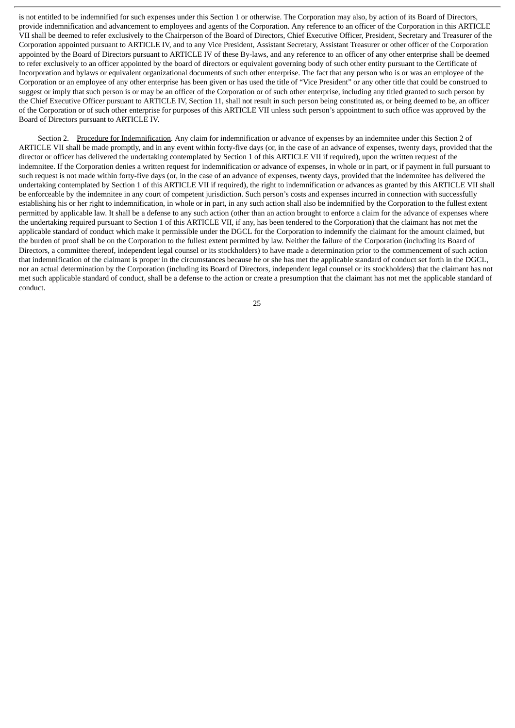is not entitled to be indemnified for such expenses under this Section 1 or otherwise. The Corporation may also, by action of its Board of Directors, provide indemnification and advancement to employees and agents of the Corporation. Any reference to an officer of the Corporation in this ARTICLE VII shall be deemed to refer exclusively to the Chairperson of the Board of Directors, Chief Executive Officer, President, Secretary and Treasurer of the Corporation appointed pursuant to ARTICLE IV, and to any Vice President, Assistant Secretary, Assistant Treasurer or other officer of the Corporation appointed by the Board of Directors pursuant to ARTICLE IV of these By-laws, and any reference to an officer of any other enterprise shall be deemed to refer exclusively to an officer appointed by the board of directors or equivalent governing body of such other entity pursuant to the Certificate of Incorporation and bylaws or equivalent organizational documents of such other enterprise. The fact that any person who is or was an employee of the Corporation or an employee of any other enterprise has been given or has used the title of "Vice President" or any other title that could be construed to suggest or imply that such person is or may be an officer of the Corporation or of such other enterprise, including any titled granted to such person by the Chief Executive Officer pursuant to ARTICLE IV, Section 11, shall not result in such person being constituted as, or being deemed to be, an officer of the Corporation or of such other enterprise for purposes of this ARTICLE VII unless such person's appointment to such office was approved by the Board of Directors pursuant to ARTICLE IV.

Section 2. Procedure for Indemnification. Any claim for indemnification or advance of expenses by an indemnitee under this Section 2 of ARTICLE VII shall be made promptly, and in any event within forty-five days (or, in the case of an advance of expenses, twenty days, provided that the director or officer has delivered the undertaking contemplated by Section 1 of this ARTICLE VII if required), upon the written request of the indemnitee. If the Corporation denies a written request for indemnification or advance of expenses, in whole or in part, or if payment in full pursuant to such request is not made within forty-five days (or, in the case of an advance of expenses, twenty days, provided that the indemnitee has delivered the undertaking contemplated by Section 1 of this ARTICLE VII if required), the right to indemnification or advances as granted by this ARTICLE VII shall be enforceable by the indemnitee in any court of competent jurisdiction. Such person's costs and expenses incurred in connection with successfully establishing his or her right to indemnification, in whole or in part, in any such action shall also be indemnified by the Corporation to the fullest extent permitted by applicable law. It shall be a defense to any such action (other than an action brought to enforce a claim for the advance of expenses where the undertaking required pursuant to Section 1 of this ARTICLE VII, if any, has been tendered to the Corporation) that the claimant has not met the applicable standard of conduct which make it permissible under the DGCL for the Corporation to indemnify the claimant for the amount claimed, but the burden of proof shall be on the Corporation to the fullest extent permitted by law. Neither the failure of the Corporation (including its Board of Directors, a committee thereof, independent legal counsel or its stockholders) to have made a determination prior to the commencement of such action that indemnification of the claimant is proper in the circumstances because he or she has met the applicable standard of conduct set forth in the DGCL, nor an actual determination by the Corporation (including its Board of Directors, independent legal counsel or its stockholders) that the claimant has not met such applicable standard of conduct, shall be a defense to the action or create a presumption that the claimant has not met the applicable standard of conduct.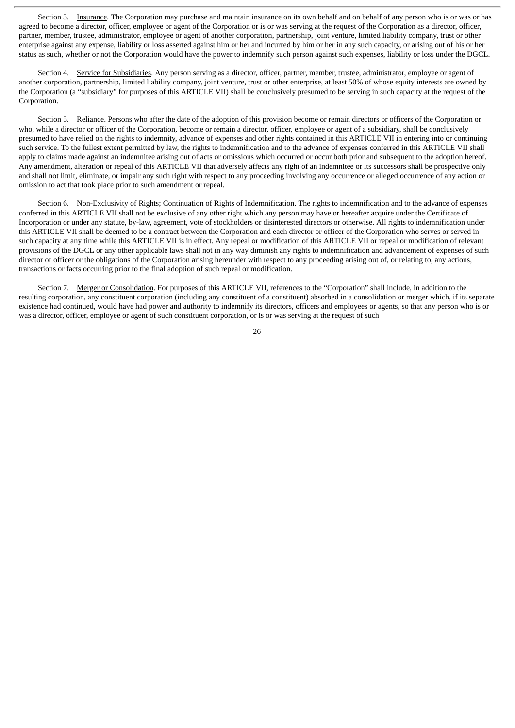Section 3. Insurance. The Corporation may purchase and maintain insurance on its own behalf and on behalf of any person who is or was or has agreed to become a director, officer, employee or agent of the Corporation or is or was serving at the request of the Corporation as a director, officer, partner, member, trustee, administrator, employee or agent of another corporation, partnership, joint venture, limited liability company, trust or other enterprise against any expense, liability or loss asserted against him or her and incurred by him or her in any such capacity, or arising out of his or her status as such, whether or not the Corporation would have the power to indemnify such person against such expenses, liability or loss under the DGCL.

Section 4. Service for Subsidiaries. Any person serving as a director, officer, partner, member, trustee, administrator, employee or agent of another corporation, partnership, limited liability company, joint venture, trust or other enterprise, at least 50% of whose equity interests are owned by the Corporation (a "subsidiary" for purposes of this ARTICLE VII) shall be conclusively presumed to be serving in such capacity at the request of the Corporation.

Section 5. Reliance. Persons who after the date of the adoption of this provision become or remain directors or officers of the Corporation or who, while a director or officer of the Corporation, become or remain a director, officer, employee or agent of a subsidiary, shall be conclusively presumed to have relied on the rights to indemnity, advance of expenses and other rights contained in this ARTICLE VII in entering into or continuing such service. To the fullest extent permitted by law, the rights to indemnification and to the advance of expenses conferred in this ARTICLE VII shall apply to claims made against an indemnitee arising out of acts or omissions which occurred or occur both prior and subsequent to the adoption hereof. Any amendment, alteration or repeal of this ARTICLE VII that adversely affects any right of an indemnitee or its successors shall be prospective only and shall not limit, eliminate, or impair any such right with respect to any proceeding involving any occurrence or alleged occurrence of any action or omission to act that took place prior to such amendment or repeal.

Section 6. Non-Exclusivity of Rights; Continuation of Rights of Indemnification. The rights to indemnification and to the advance of expenses conferred in this ARTICLE VII shall not be exclusive of any other right which any person may have or hereafter acquire under the Certificate of Incorporation or under any statute, by-law, agreement, vote of stockholders or disinterested directors or otherwise. All rights to indemnification under this ARTICLE VII shall be deemed to be a contract between the Corporation and each director or officer of the Corporation who serves or served in such capacity at any time while this ARTICLE VII is in effect. Any repeal or modification of this ARTICLE VII or repeal or modification of relevant provisions of the DGCL or any other applicable laws shall not in any way diminish any rights to indemnification and advancement of expenses of such director or officer or the obligations of the Corporation arising hereunder with respect to any proceeding arising out of, or relating to, any actions, transactions or facts occurring prior to the final adoption of such repeal or modification.

Section 7. Merger or Consolidation. For purposes of this ARTICLE VII, references to the "Corporation" shall include, in addition to the resulting corporation, any constituent corporation (including any constituent of a constituent) absorbed in a consolidation or merger which, if its separate existence had continued, would have had power and authority to indemnify its directors, officers and employees or agents, so that any person who is or was a director, officer, employee or agent of such constituent corporation, or is or was serving at the request of such